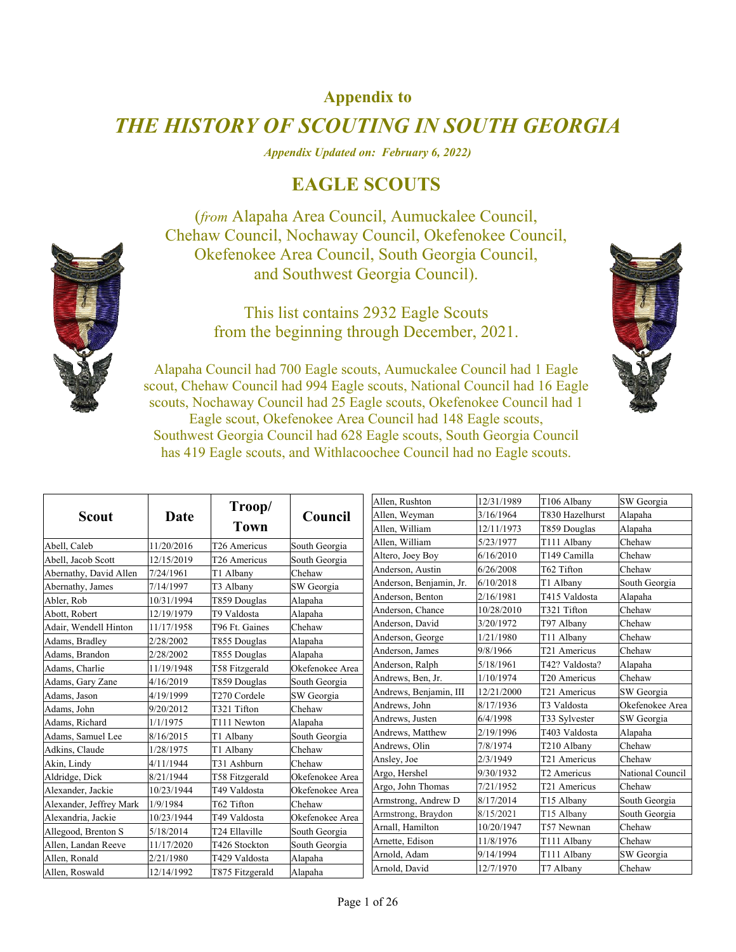## **Appendix to**

## *THE HISTORY OF SCOUTING IN SOUTH GEORGIA*

*Appendix Updated on: February 6, 2022)* 

## **EAGLE SCOUTS**

(*from* Alapaha Area Council, Aumuckalee Council, Chehaw Council, Nochaway Council, Okefenokee Council, Okefenokee Area Council, South Georgia Council, and Southwest Georgia Council).

> This list contains 2932 Eagle Scouts from the beginning through December, 2021.



Alapaha Council had 700 Eagle scouts, Aumuckalee Council had 1 Eagle scout, Chehaw Council had 994 Eagle scouts, National Council had 16 Eagle scouts, Nochaway Council had 25 Eagle scouts, Okefenokee Council had 1 Eagle scout, Okefenokee Area Council had 148 Eagle scouts, Southwest Georgia Council had 628 Eagle scouts, South Georgia Council has 419 Eagle scouts, and Withlacoochee Council had no Eagle scouts.

|                         |            | Troop/                   |                 | Allen, Rushton          | 12/31/1989 | T106 Albany              | SW Georgia       |
|-------------------------|------------|--------------------------|-----------------|-------------------------|------------|--------------------------|------------------|
| Scout                   | Date       |                          | Council         | Allen, Weyman           | 3/16/1964  | T830 Hazelhurst          | Alapaha          |
|                         |            | Town                     |                 | Allen, William          | 12/11/1973 | T859 Douglas             | Alapaha          |
| Abell, Caleb            | 11/20/2016 | T26 Americus             | South Georgia   | Allen, William          | 5/23/1977  | T111 Albany              | Chehaw           |
| Abell, Jacob Scott      | 12/15/2019 | T <sub>26</sub> Americus | South Georgia   | Altero, Joey Boy        | 6/16/2010  | T149 Camilla             | Chehaw           |
| Abernathy, David Allen  | 7/24/1961  | T1 Albany                | Chehaw          | Anderson, Austin        | 6/26/2008  | T62 Tifton               | Chehaw           |
| Abernathy, James        | 7/14/1997  | T3 Albany                | SW Georgia      | Anderson, Benjamin, Jr. | 6/10/2018  | T1 Albany                | South Georgia    |
| Abler, Rob              | 10/31/1994 | T859 Douglas             | Alapaha         | Anderson, Benton        | 2/16/1981  | T415 Valdosta            | Alapaha          |
| Abott, Robert           | 12/19/1979 | T9 Valdosta              | Alapaha         | Anderson, Chance        | 10/28/2010 | T321 Tifton              | Chehaw           |
| Adair, Wendell Hinton   | 11/17/1958 | T96 Ft. Gaines           | Chehaw          | Anderson, David         | 3/20/1972  | T97 Albany               | Chehaw           |
| Adams, Bradley          | 2/28/2002  | T855 Douglas             | Alapaha         | Anderson, George        | 1/21/1980  | T11 Albany               | Chehaw           |
| Adams, Brandon          | 2/28/2002  | T855 Douglas             | Alapaha         | Anderson, James         | 9/8/1966   | T <sub>21</sub> Americus | Chehaw           |
| Adams, Charlie          | 11/19/1948 | T58 Fitzgerald           | Okefenokee Area | Anderson, Ralph         | 5/18/1961  | T42? Valdosta?           | Alapaha          |
| Adams, Gary Zane        | 4/16/2019  | T859 Douglas             | South Georgia   | Andrews, Ben, Jr.       | 1/10/1974  | T20 Americus             | Chehaw           |
| Adams, Jason            | 4/19/1999  | T <sub>270</sub> Cordele | SW Georgia      | Andrews, Benjamin, III  | 12/21/2000 | T21 Americus             | SW Georgia       |
| Adams, John             | 9/20/2012  | T321 Tifton              | Chehaw          | Andrews, John           | 8/17/1936  | T3 Valdosta              | Okefenokee Area  |
| Adams, Richard          | 1/1/1975   | T111 Newton              | Alapaha         | Andrews, Justen         | 6/4/1998   | T33 Sylvester            | SW Georgia       |
| Adams, Samuel Lee       | 8/16/2015  | T1 Albany                | South Georgia   | Andrews, Matthew        | 2/19/1996  | T403 Valdosta            | Alapaha          |
| Adkins, Claude          | 1/28/1975  | T1 Albany                | Chehaw          | Andrews, Olin           | 7/8/1974   | T210 Albany              | Chehaw           |
| Akin, Lindy             | 4/11/1944  | T31 Ashburn              | Chehaw          | Ansley, Joe             | 2/3/1949   | T <sub>21</sub> Americus | Chehaw           |
| Aldridge, Dick          | 8/21/1944  | T58 Fitzgerald           | Okefenokee Area | Argo, Hershel           | 9/30/1932  | T2 Americus              | National Council |
| Alexander, Jackie       | 10/23/1944 | T49 Valdosta             | Okefenokee Area | Argo, John Thomas       | 7/21/1952  | T21 Americus             | Chehaw           |
| Alexander, Jeffrey Mark | 1/9/1984   | T62 Tifton               | Chehaw          | Armstrong, Andrew D     | 8/17/2014  | T15 Albany               | South Georgia    |
| Alexandria, Jackie      | 10/23/1944 | T49 Valdosta             | Okefenokee Area | Armstrong, Braydon      | 8/15/2021  | T15 Albany               | South Georgia    |
| Allegood, Brenton S     | 5/18/2014  | T24 Ellaville            | South Georgia   | Arnall, Hamilton        | 10/20/1947 | T57 Newnan               | Chehaw           |
| Allen, Landan Reeve     | 11/17/2020 | T426 Stockton            | South Georgia   | Arnette, Edison         | 11/8/1976  | T111 Albany              | Chehaw           |
| Allen, Ronald           | 2/21/1980  | T429 Valdosta            | Alapaha         | Arnold, Adam            | 9/14/1994  | T111 Albany              | SW Georgia       |
| Allen, Roswald          | 12/14/1992 | T875 Fitzgerald          | Alapaha         | Arnold, David           | 12/7/1970  | T7 Albany                | Chehaw           |

Page 1 of 26

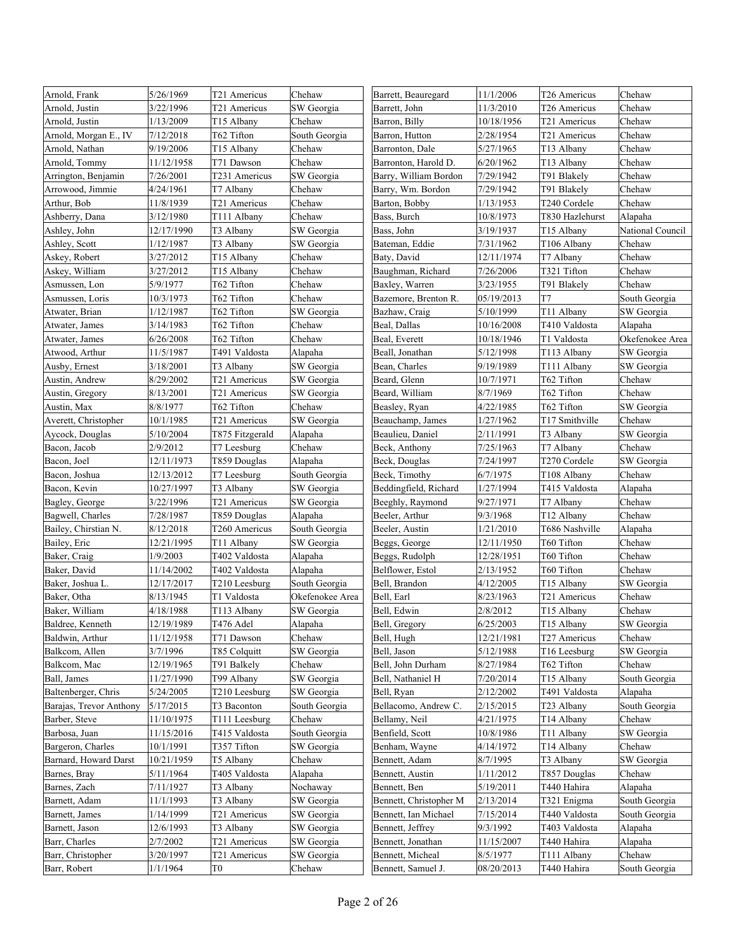| Arnold, Frank           | 5/26/1969  | T21 Americus             | Chehaw          | Barrett, Beauregard    | 11/1/2006  | T26 Americus             | Chehaw           |
|-------------------------|------------|--------------------------|-----------------|------------------------|------------|--------------------------|------------------|
| Arnold, Justin          | 3/22/1996  | T21 Americus             | SW Georgia      | Barrett, John          | 11/3/2010  | T <sub>26</sub> Americus | Chehaw           |
| Arnold, Justin          | 1/13/2009  | T15 Albany               | Chehaw          | Barron, Billy          | 10/18/1956 | T21 Americus             | Chehaw           |
| Arnold, Morgan E., IV   | 7/12/2018  | T62 Tifton               | South Georgia   | Barron, Hutton         | 2/28/1954  | T21 Americus             | Chehaw           |
| Arnold, Nathan          | 9/19/2006  | T15 Albany               | Chehaw          | Barronton, Dale        | 5/27/1965  | T13 Albany               | Chehaw           |
| Arnold, Tommy           | 11/12/1958 | T71 Dawson               | Chehaw          | Barronton, Harold D.   | 6/20/1962  | T13 Albany               | Chehaw           |
| Arrington, Benjamin     | 7/26/2001  | T231 Americus            | SW Georgia      | Barry, William Bordon  | 7/29/1942  | T91 Blakely              | Chehaw           |
| Arrowood, Jimmie        | 4/24/1961  | T7 Albany                | Chehaw          | Barry, Wm. Bordon      | 7/29/1942  | T91 Blakely              | Chehaw           |
| Arthur, Bob             | 11/8/1939  | T21 Americus             | Chehaw          | Barton, Bobby          | 1/13/1953  | T240 Cordele             | Chehaw           |
| Ashberry, Dana          | 3/12/1980  | T111 Albany              | Chehaw          | Bass, Burch            | 10/8/1973  | T830 Hazlehurst          | Alapaha          |
| Ashley, John            | 12/17/1990 | T3 Albany                | SW Georgia      | Bass, John             | 3/19/1937  | T15 Albany               | National Council |
| Ashley, Scott           | 1/12/1987  | T3 Albany                | SW Georgia      | Bateman, Eddie         | 7/31/1962  | T106 Albany              | Chehaw           |
| Askey, Robert           | 3/27/2012  | T15 Albany               | Chehaw          | Baty, David            | 12/11/1974 | T7 Albany                | Chehaw           |
| Askey, William          | 3/27/2012  | T15 Albany               | Chehaw          | Baughman, Richard      | 7/26/2006  | T321 Tifton              | Chehaw           |
| Asmussen, Lon           | 5/9/1977   | T62 Tifton               | Chehaw          | Baxley, Warren         | 3/23/1955  | T91 Blakely              | Chehaw           |
| Asmussen, Loris         | 10/3/1973  | T62 Tifton               | Chehaw          | Bazemore, Brenton R.   | 05/19/2013 | T7                       | South Georgia    |
| Atwater, Brian          | 1/12/1987  | T62 Tifton               | SW Georgia      | Bazhaw, Craig          | 5/10/1999  | T11 Albany               | SW Georgia       |
| Atwater, James          | 3/14/1983  | T62 Tifton               | Chehaw          | Beal, Dallas           | 10/16/2008 | T410 Valdosta            | Alapaha          |
| Atwater, James          | 6/26/2008  | T62 Tifton               | Chehaw          | Beal, Everett          | 10/18/1946 | T1 Valdosta              | Okefenokee Area  |
| Atwood, Arthur          | 11/5/1987  | T491 Valdosta            | Alapaha         | Beall, Jonathan        | 5/12/1998  | T113 Albany              | SW Georgia       |
| Ausby, Ernest           | 3/18/2001  | T3 Albany                | SW Georgia      | Bean, Charles          | 9/19/1989  | T111 Albany              | SW Georgia       |
| Austin, Andrew          | 8/29/2002  | T21 Americus             | SW Georgia      | Beard, Glenn           | 10/7/1971  | T62 Tifton               | Chehaw           |
| Austin, Gregory         | 8/13/2001  | T21 Americus             | SW Georgia      | Beard, William         | 8/7/1969   | T62 Tifton               | Chehaw           |
| Austin, Max             | 8/8/1977   | T62 Tifton               | Chehaw          | Beasley, Ryan          | 4/22/1985  | T62 Tifton               | SW Georgia       |
| Averett, Christopher    | 10/1/1985  | T <sub>21</sub> Americus | SW Georgia      | Beauchamp, James       | 1/27/1962  | T17 Smithville           | Chehaw           |
| Aycock, Douglas         | 5/10/2004  | T875 Fitzgerald          | Alapaha         | Beaulieu, Daniel       | 2/11/1991  | T3 Albany                | SW Georgia       |
| Bacon, Jacob            | 2/9/2012   | T7 Leesburg              | Chehaw          | Beck, Anthony          | 7/25/1963  | T7 Albany                | Chehaw           |
| Bacon, Joel             | 12/11/1973 | T859 Douglas             | Alapaha         | Beck, Douglas          | 7/24/1997  | T270 Cordele             | SW Georgia       |
| Bacon, Joshua           | 12/13/2012 | T7 Leesburg              | South Georgia   | Beck, Timothy          | 6/7/1975   | T108 Albany              | Chehaw           |
| Bacon, Kevin            | 10/27/1997 | T3 Albany                | SW Georgia      | Beddingfield, Richard  | 1/27/1994  | T415 Valdosta            | Alapaha          |
| Bagley, George          | 3/22/1996  | T21 Americus             | SW Georgia      | Beeghly, Raymond       | 9/27/1971  | T7 Albany                | Chehaw           |
| Bagwell, Charles        | 7/28/1987  | T859 Douglas             | Alapaha         | Beeler, Arthur         | 9/3/1968   | T12 Albany               | Chehaw           |
| Bailey, Chirstian N.    | 8/12/2018  | T260 Americus            | South Georgia   | Beeler, Austin         | 1/21/2010  | T686 Nashville           | Alapaha          |
| Bailey, Eric            | 12/21/1995 | T11 Albany               | SW Georgia      | Beggs, George          | 12/11/1950 | T60 Tifton               | Chehaw           |
| Baker, Craig            | 1/9/2003   | T402 Valdosta            | Alapaha         | Beggs, Rudolph         | 12/28/1951 | T60 Tifton               | Chehaw           |
| Baker, David            | 11/14/2002 | T402 Valdosta            | Alapaha         | Belflower, Estol       | 2/13/1952  | T60 Tifton               | Chehaw           |
| Baker, Joshua L.        | 12/17/2017 | T210 Leesburg            | South Georgia   | Bell, Brandon          | 4/12/2005  | T15 Albany               | SW Georgia       |
| Baker, Otha             | 8/13/1945  | T1 Valdosta              | Okefenokee Area | Bell, Earl             | 8/23/1963  | T21 Americus             | Chehaw           |
| Baker, William          | 4/18/1988  | T113 Albany              | SW Georgia      | Bell, Edwin            | 2/8/2012   | T15 Albany               | Chehaw           |
| Baldree, Kenneth        | 12/19/1989 | T476 Adel                | Alapaha         | Bell, Gregory          | 6/25/2003  | T15 Albany               | SW Georgia       |
| Baldwin, Arthur         | 11/12/1958 | T71 Dawson               | Chehaw          | Bell, Hugh             | 12/21/1981 | T27 Americus             | Chehaw           |
| Balkcom, Allen          | 3/7/1996   | T85 Colquitt             | SW Georgia      | Bell, Jason            | 5/12/1988  | T16 Leesburg             | SW Georgia       |
| Balkcom, Mac            | 12/19/1965 | T91 Balkely              | Chehaw          | Bell, John Durham      | 8/27/1984  | T62 Tifton               | Chehaw           |
| Ball, James             | 11/27/1990 | T99 Albany               | SW Georgia      | Bell, Nathaniel H      | 7/20/2014  | T15 Albany               | South Georgia    |
| Baltenberger, Chris     | 5/24/2005  | T210 Leesburg            | SW Georgia      | Bell, Ryan             | 2/12/2002  | T491 Valdosta            | Alapaha          |
| Barajas, Trevor Anthony | 5/17/2015  | T3 Baconton              | South Georgia   | Bellacomo, Andrew C.   | 2/15/2015  | T23 Albany               | South Georgia    |
| Barber, Steve           | 11/10/1975 | T111 Leesburg            | Chehaw          | Bellamy, Neil          | 4/21/1975  | T14 Albany               | Chehaw           |
| Barbosa, Juan           | 11/15/2016 | T415 Valdosta            | South Georgia   | Benfield, Scott        | 10/8/1986  | T11 Albany               | SW Georgia       |
| Bargeron, Charles       | 10/1/1991  | T357 Tifton              | SW Georgia      | Benham, Wayne          | 4/14/1972  | T14 Albany               | Chehaw           |
| Barnard, Howard Darst   | 10/21/1959 | T5 Albany                | Chehaw          | Bennett, Adam          | 8/7/1995   | T3 Albany                | SW Georgia       |
| Barnes, Bray            | 5/11/1964  | T405 Valdosta            | Alapaha         | Bennett, Austin        | 1/11/2012  | T857 Douglas             | Chehaw           |
| Barnes, Zach            | 7/11/1927  | T3 Albany                | Nochaway        | Bennett, Ben           | 5/19/2011  | T440 Hahira              | Alapaha          |
| Barnett, Adam           | 11/1/1993  | T3 Albany                | SW Georgia      | Bennett, Christopher M | 2/13/2014  | T321 Enigma              | South Georgia    |
| Barnett, James          | 1/14/1999  | T21 Americus             | SW Georgia      | Bennett, Ian Michael   | 7/15/2014  | T440 Valdosta            | South Georgia    |
| Barnett, Jason          | 12/6/1993  | T3 Albany                | SW Georgia      | Bennett, Jeffrey       | 9/3/1992   | T403 Valdosta            | Alapaha          |
| Barr, Charles           | 2/7/2002   | T21 Americus             | SW Georgia      | Bennett, Jonathan      | 11/15/2007 | T440 Hahira              | Alapaha          |
| Barr, Christopher       | 3/20/1997  | T21 Americus             | SW Georgia      | Bennett, Micheal       | 8/5/1977   | T111 Albany              | Chehaw           |
| Barr, Robert            | 1/1/1964   | T0                       | Chehaw          | Bennett, Samuel J.     | 08/20/2013 | T440 Hahira              | South Georgia    |
|                         |            |                          |                 |                        |            |                          |                  |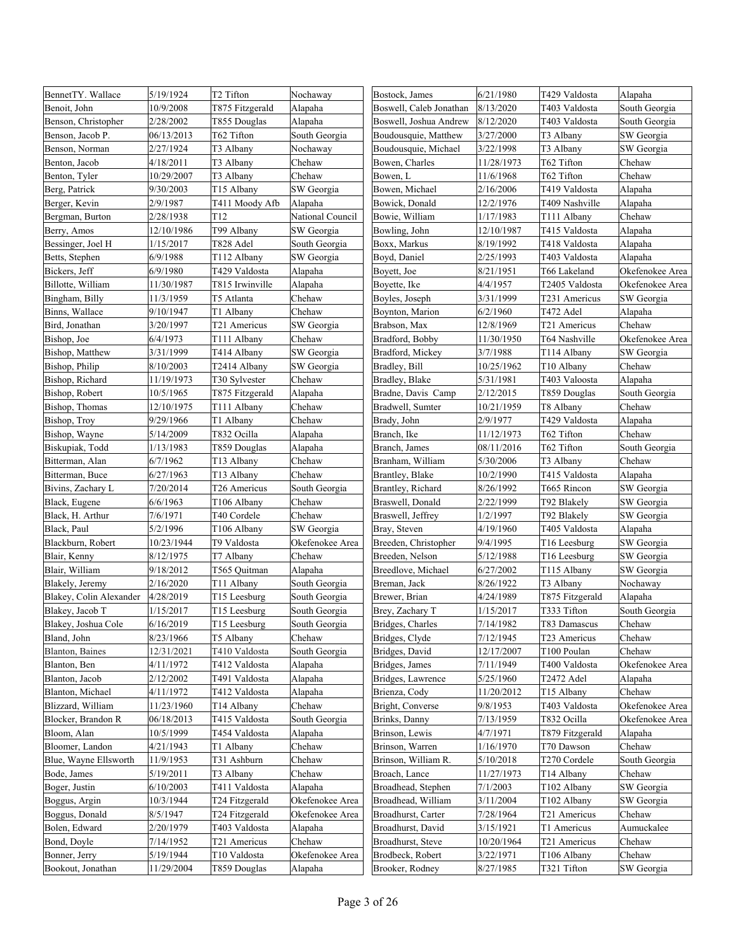| BennetTY. Wallace       | 5/19/1924  | T2 Tifton                | Nochaway         | Bostock, James          | 6/21/1980  | T429 Valdosta          | Alapaha         |
|-------------------------|------------|--------------------------|------------------|-------------------------|------------|------------------------|-----------------|
| Benoit. John            | 10/9/2008  | T875 Fitzgerald          | Alapaha          | Boswell, Caleb Jonathan | 8/13/2020  | T403 Valdosta          | South Georgia   |
| Benson, Christopher     | 2/28/2002  | T855 Douglas             | Alapaha          | Boswell, Joshua Andrew  | 8/12/2020  | T403 Valdosta          | South Georgia   |
| Benson, Jacob P.        | 06/13/2013 | T62 Tifton               | South Georgia    | Boudousquie, Matthew    | 3/27/2000  | T3 Albany              | SW Georgia      |
| Benson, Norman          | 2/27/1924  | T3 Albany                | Nochaway         | Boudousquie, Michael    | 3/22/1998  | T3 Albany              | SW Georgia      |
| Benton, Jacob           | 4/18/2011  | T3 Albany                | Chehaw           | Bowen, Charles          | 11/28/1973 | T62 Tifton             | Chehaw          |
| Benton, Tyler           | 10/29/2007 | T3 Albany                | Chehaw           | Bowen, L                | 11/6/1968  | T62 Tifton             | Chehaw          |
| Berg, Patrick           | 9/30/2003  | T15 Albany               | SW Georgia       | Bowen, Michael          | 2/16/2006  | T419 Valdosta          | Alapaha         |
| Berger, Kevin           | 2/9/1987   | T411 Moody Afb           | Alapaha          | Bowick, Donald          | 12/2/1976  | T409 Nashville         | Alapaha         |
| Bergman, Burton         | 2/28/1938  | T12                      | National Council | Bowie, William          | 1/17/1983  | T111 Albany            | Chehaw          |
| Berry, Amos             | 12/10/1986 | T99 Albany               | SW Georgia       | Bowling, John           | 12/10/1987 | T415 Valdosta          | Alapaha         |
| Bessinger, Joel H       | 1/15/2017  | T828 Adel                | South Georgia    | Boxx, Markus            | 8/19/1992  | T418 Valdosta          | Alapaha         |
| Betts, Stephen          | 6/9/1988   | T112 Albany              | SW Georgia       | Boyd, Daniel            | 2/25/1993  | T403 Valdosta          | Alapaha         |
| Bickers, Jeff           | 6/9/1980   | T429 Valdosta            | Alapaha          | Boyett, Joe             | 8/21/1951  | T66 Lakeland           | Okefenokee Area |
| Billotte, William       | 11/30/1987 | T815 Irwinville          | Alapaha          | Boyette, Ike            | 4/4/1957   | T2405 Valdosta         | Okefenokee Area |
| Bingham, Billy          | 11/3/1959  | T5 Atlanta               | Chehaw           | Boyles, Joseph          | 3/31/1999  | T231 Americus          | SW Georgia      |
| Binns, Wallace          | 9/10/1947  | T1 Albany                | Chehaw           | Boynton, Marion         | 6/2/1960   | T472 Adel              | Alapaha         |
| Bird, Jonathan          | 3/20/1997  | T21 Americus             | SW Georgia       | Brabson, Max            | 12/8/1969  | T21 Americus           | Chehaw          |
| Bishop, Joe             | 6/4/1973   | T111 Albany              | Chehaw           | Bradford, Bobby         | 11/30/1950 | T64 Nashville          | Okefenokee Area |
| Bishop, Matthew         | 3/31/1999  | T414 Albany              | SW Georgia       | Bradford, Mickey        | 3/7/1988   | T114 Albany            | SW Georgia      |
| Bishop, Philip          | 8/10/2003  | T2414 Albany             | SW Georgia       | Bradley, Bill           | 10/25/1962 | T <sub>10</sub> Albany | Chehaw          |
| Bishop, Richard         | 11/19/1973 | T30 Sylvester            | Chehaw           | Bradley, Blake          | 5/31/1981  | T403 Valoosta          | Alapaha         |
| Bishop, Robert          | 10/5/1965  | T875 Fitzgerald          | Alapaha          | Bradne, Davis Camp      | 2/12/2015  | T859 Douglas           | South Georgia   |
| Bishop, Thomas          | 12/10/1975 | T111 Albany              | Chehaw           | Bradwell, Sumter        | 10/21/1959 | T8 Albany              | Chehaw          |
| Bishop, Troy            | 9/29/1966  | T1 Albany                | Chehaw           | Brady, John             | 2/9/1977   | T429 Valdosta          | Alapaha         |
| Bishop, Wayne           | 5/14/2009  | T832 Ocilla              | Alapaha          | Branch, Ike             | 11/12/1973 | T62 Tifton             | Chehaw          |
| Biskupiak, Todd         | 1/13/1983  | T859 Douglas             | Alapaha          | Branch, James           | 08/11/2016 | T62 Tifton             | South Georgia   |
| Bitterman, Alan         | 6/7/1962   | T13 Albany               | Chehaw           | Branham, William        | 5/30/2006  | T3 Albany              | Chehaw          |
| Bitterman, Buce         | 6/27/1963  | T13 Albany               | Chehaw           | Brantley, Blake         | 10/2/1990  | T415 Valdosta          | Alapaha         |
| Bivins, Zachary L       | 7/20/2014  | T26 Americus             | South Georgia    | Brantley, Richard       | 8/26/1992  | T665 Rincon            | SW Georgia      |
| Black, Eugene           | 6/6/1963   | T106 Albany              | Chehaw           | Braswell, Donald        | 2/22/1999  | T92 Blakely            | SW Georgia      |
| Black, H. Arthur        | 7/6/1971   | T40 Cordele              | Chehaw           | Braswell, Jeffrey       | 1/2/1997   | T92 Blakely            | SW Georgia      |
| Black, Paul             | 5/2/1996   | T106 Albany              | SW Georgia       | Bray, Steven            | 4/19/1960  | T405 Valdosta          | Alapaha         |
| Blackburn, Robert       | 10/23/1944 | T9 Valdosta              | Okefenokee Area  | Breeden, Christopher    | 9/4/1995   | T16 Leesburg           | SW Georgia      |
| Blair, Kenny            | 8/12/1975  | T7 Albany                | Chehaw           | Breeden, Nelson         | 5/12/1988  | T16 Leesburg           | SW Georgia      |
| Blair, William          | 9/18/2012  | T565 Quitman             | Alapaha          | Breedlove, Michael      | 6/27/2002  | T115 Albany            | SW Georgia      |
| Blakely, Jeremy         | 2/16/2020  | T11 Albany               | South Georgia    | Breman, Jack            | 8/26/1922  | T3 Albany              | Nochaway        |
| Blakey, Colin Alexander | 4/28/2019  | T15 Leesburg             | South Georgia    | Brewer, Brian           | 4/24/1989  | T875 Fitzgerald        | Alapaha         |
| Blakey, Jacob T         | 1/15/2017  | T15 Leesburg             | South Georgia    | Brey, Zachary T         | 1/15/2017  | T333 Tifton            | South Georgia   |
| Blakey, Joshua Cole     | 6/16/2019  | T <sub>15</sub> Leesburg | South Georgia    | Bridges, Charles        | 7/14/1982  | T83 Damascus           | Chehaw          |
| Bland, John             | 8/23/1966  | T5 Albany                | Chehaw           | Bridges, Clyde          | 7/12/1945  | T23 Americus           | Chehaw          |
| Blanton, Baines         | 12/31/2021 | T410 Valdosta            | South Georgia    | Bridges, David          | 12/17/2007 | T100 Poulan            | Chehaw          |
| Blanton, Ben            | 4/11/1972  | T412 Valdosta            | Alapaha          | Bridges, James          | 7/11/1949  | T400 Valdosta          | Okefenokee Area |
| Blanton, Jacob          | 2/12/2002  | T491 Valdosta            | Alapaha          | Bridges, Lawrence       | 5/25/1960  | T2472 Adel             | Alapaha         |
| Blanton, Michael        | 4/11/1972  | T412 Valdosta            | Alapaha          | Brienza, Cody           | 11/20/2012 | T15 Albany             | Chehaw          |
| Blizzard, William       | 11/23/1960 | T14 Albany               | Chehaw           | Bright, Converse        | 9/8/1953   | T403 Valdosta          | Okefenokee Area |
| Blocker, Brandon R      | 06/18/2013 | T415 Valdosta            | South Georgia    | Brinks, Danny           | 7/13/1959  | T832 Ocilla            | Okefenokee Area |
| Bloom, Alan             | 10/5/1999  | T454 Valdosta            | Alapaha          | Brinson, Lewis          | 4/7/1971   | T879 Fitzgerald        | Alapaha         |
| Bloomer, Landon         | 4/21/1943  | T1 Albany                | Chehaw           | Brinson, Warren         | 1/16/1970  | T70 Dawson             | Chehaw          |
| Blue, Wayne Ellsworth   | 11/9/1953  | T31 Ashburn              | Chehaw           | Brinson, William R.     | 5/10/2018  | T270 Cordele           | South Georgia   |
| Bode, James             | 5/19/2011  | T3 Albany                | Chehaw           | Broach, Lance           | 11/27/1973 | T14 Albany             | Chehaw          |
| Boger, Justin           | 6/10/2003  | T411 Valdosta            | Alapaha          | Broadhead, Stephen      | 7/1/2003   | T102 Albany            | SW Georgia      |
| Boggus, Argin           | 10/3/1944  | T24 Fitzgerald           | Okefenokee Area  | Broadhead, William      | 3/11/2004  | T102 Albany            | SW Georgia      |
| Boggus, Donald          | 8/5/1947   | T24 Fitzgerald           | Okefenokee Area  | Broadhurst, Carter      | 7/28/1964  | T21 Americus           | Chehaw          |
| Bolen, Edward           | 2/20/1979  | T403 Valdosta            | Alapaha          | Broadhurst, David       | 3/15/1921  | T1 Americus            | Aumuckalee      |
| Bond, Doyle             | 7/14/1952  | T <sub>21</sub> Americus | Chehaw           | Broadhurst, Steve       | 10/20/1964 | T21 Americus           | Chehaw          |
| Bonner, Jerry           | 5/19/1944  | T10 Valdosta             | Okefenokee Area  | Brodbeck, Robert        | 3/22/1971  | T106 Albany            | Chehaw          |
| Bookout, Jonathan       | 11/29/2004 | T859 Douglas             | Alapaha          | Brooker, Rodney         | 8/27/1985  | T321 Tifton            | SW Georgia      |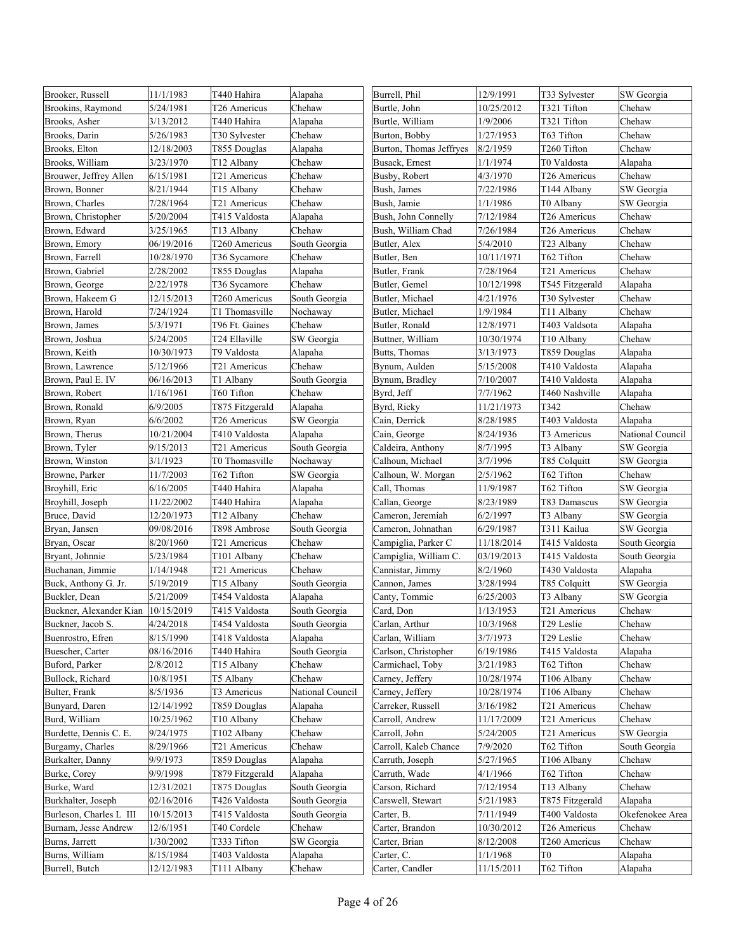| Brookins, Raymond<br>5/24/1981<br>T26 Americus<br>Chehaw<br>Burtle, John<br>10/25/2012<br>T321 Tifton                   | Chehaw           |
|-------------------------------------------------------------------------------------------------------------------------|------------------|
| 3/13/2012<br>1/9/2006<br>T321 Tifton<br>Brooks, Asher<br>T440 Hahira<br>Alapaha<br>Burtle, William                      | Chehaw           |
| 5/26/1983<br>1/27/1953<br>T63 Tifton<br>Brooks, Darin<br>T30 Sylvester<br>Chehaw<br>Burton, Bobby                       | Chehaw           |
| 8/2/1959<br>T260 Tifton<br>Brooks, Elton<br>12/18/2003<br>T855 Douglas<br>Alapaha<br>Burton, Thomas Jeffryes            | Chehaw           |
| Brooks, William<br>3/23/1970<br>T12 Albany<br>Chehaw<br>Busack, Ernest<br>1/1/1974<br>T0 Valdosta                       | Alapaha          |
| 4/3/1970<br>Brouwer, Jeffrey Allen<br>6/15/1981<br>Chehaw<br>Busby, Robert<br>T26 Americus<br>T21 Americus              | Chehaw           |
| 8/21/1944<br>Bush, James<br>7/22/1986<br>T144 Albany<br>Brown, Bonner<br>T15 Albany<br>Chehaw                           | SW Georgia       |
| Brown, Charles<br>7/28/1964<br>Bush, Jamie<br>1/1/1986<br>T21 Americus<br>Chehaw<br>T0 Albany                           | SW Georgia       |
| Brown, Christopher<br>5/20/2004<br>T415 Valdosta<br>Bush, John Connelly<br>7/12/1984<br>T26 Americus<br>Alapaha         | Chehaw           |
| Brown, Edward<br>3/25/1965<br>T13 Albany<br>Chehaw<br>Bush, William Chad<br>7/26/1984<br>T26 Americus                   | Chehaw           |
| 06/19/2016<br>5/4/2010<br>Brown, Emory<br>T260 Americus<br>South Georgia<br>Butler, Alex<br>T23 Albany                  | Chehaw           |
| 10/28/1970<br>10/11/1971<br>T62 Tifton<br>Brown, Farrell<br>T36 Sycamore<br>Chehaw<br>Butler, Ben                       | Chehaw           |
| 2/28/2002<br>Brown, Gabriel<br>T855 Douglas<br>Alapaha<br>Butler, Frank<br>7/28/1964<br>T21 Americus                    | Chehaw           |
| 2/22/1978<br>Chehaw<br>Butler, Gemel<br>10/12/1998<br>T545 Fitzgerald<br>Brown, George<br>T36 Sycamore                  | Alapaha          |
| Brown, Hakeem G<br>12/15/2013<br>South Georgia<br>Butler, Michael<br>4/21/1976<br>T30 Sylvester<br>T260 Americus        | Chehaw           |
| 1/9/1984<br>Brown, Harold<br>7/24/1924<br>T1 Thomasville<br>Nochaway<br>Butler, Michael<br>T11 Albany                   | Chehaw           |
| 5/3/1971<br>T96 Ft. Gaines<br>Chehaw<br>Butler, Ronald<br>12/8/1971<br>T403 Valdsota<br>Brown, James                    | Alapaha          |
| 5/24/2005<br>T24 Ellaville<br>SW Georgia<br>Buttner, William<br>10/30/1974<br>T10 Albany<br>Brown, Joshua               | Chehaw           |
| Brown, Keith<br>10/30/1973<br>T9 Valdosta<br>Butts, Thomas<br>3/13/1973<br>T859 Douglas<br>Alapaha                      | Alapaha          |
| 5/12/1966<br>Bynum, Aulden<br>5/15/2008<br>Brown, Lawrence<br>T21 Americus<br>Chehaw<br>T410 Valdosta                   | Alapaha          |
| 7/10/2007<br>06/16/2013<br>T1 Albany<br>T410 Valdosta<br>Brown, Paul E. IV<br>South Georgia<br>Bynum, Bradley           | Alapaha          |
| 1/16/1961<br>T60 Tifton<br>Chehaw<br>Byrd, Jeff<br>7/7/1962<br>T460 Nashville<br>Brown, Robert                          | Alapaha          |
| T342<br>Brown, Ronald<br>6/9/2005<br>T875 Fitzgerald<br>Byrd, Ricky<br>11/21/1973<br>Alapaha                            | Chehaw           |
| 6/6/2002<br>Cain, Derrick<br>8/28/1985<br>T403 Valdosta<br>Brown, Ryan<br>T26 Americus<br>SW Georgia                    | Alapaha          |
| Brown, Therus<br>10/21/2004<br>T410 Valdosta<br>Alapaha<br>Cain, George<br>8/24/1936<br>T3 Americus                     | National Council |
| 9/15/2013<br>T21 Americus<br>8/7/1995<br>T3 Albany<br>Brown, Tyler<br>South Georgia<br>Caldeira, Anthony                | SW Georgia       |
| 3/7/1996<br>Brown, Winston<br>3/1/1923<br>T0 Thomasville<br>Nochaway<br>Calhoun, Michael<br>T85 Colquitt                | SW Georgia       |
| 2/5/1962<br>T62 Tifton<br>Browne, Parker<br>11/7/2003<br>T62 Tifton<br>SW Georgia<br>Calhoun, W. Morgan                 | Chehaw           |
| 11/9/1987<br>T62 Tifton<br>Broyhill, Eric<br>6/16/2005<br>T440 Hahira<br>Alapaha<br>Call, Thomas                        | SW Georgia       |
| 8/23/1989<br>Broyhill, Joseph<br>11/22/2002<br>T440 Hahira<br>Alapaha<br>Callan, George<br>T83 Damascus                 | SW Georgia       |
| Bruce, David<br>12/20/1973<br>Chehaw<br>Cameron, Jeremiah<br>6/2/1997<br>T3 Albany<br>T12 Albany                        | SW Georgia       |
| Bryan, Jansen<br>09/08/2016<br>T898 Ambrose<br>Cameron, Johnathan<br>6/29/1987<br>T311 Kailua<br>South Georgia          | SW Georgia       |
| Bryan, Oscar<br>8/20/1960<br>T21 Americus<br>Chehaw<br>Campiglia, Parker C<br>11/18/2014<br>T415 Valdosta               | South Georgia    |
| Bryant, Johnnie<br>5/23/1984<br>Chehaw<br>Campiglia, William C.<br>03/19/2013<br>T415 Valdosta<br>T101 Albany           | South Georgia    |
| Buchanan, Jimmie<br>1/14/1948<br>T21 Americus<br>Chehaw<br>Cannistar, Jimmy<br>8/2/1960<br>T430 Valdosta                | Alapaha          |
| 5/19/2019<br>3/28/1994<br>Buck, Anthony G. Jr.<br>T15 Albany<br>South Georgia<br>Cannon, James<br>T85 Colquitt          | SW Georgia       |
| 5/21/2009<br>T454 Valdosta<br>6/25/2003<br>T3 Albany<br>Buckler, Dean<br>Alapaha<br>Canty, Tommie                       | SW Georgia       |
| Buckner, Alexander Kian 10/15/2019<br>T415 Valdosta<br>South Georgia<br>Card, Don<br>1/13/1953<br>T21 Americus          | Chehaw           |
| 4/24/2018<br>T29 Leslie<br>T454 Valdosta<br>10/3/1968<br>Buckner, Jacob S.<br>South Georgia<br>Carlan, Arthur           | Chehaw           |
| 8/15/1990<br>3/7/1973<br>Buenrostro, Efren<br>T418 Valdosta<br>Carlan, William<br>T29 Leslie<br>Alapaha                 | Chehaw           |
| Buescher, Carter<br>08/16/2016<br>T440 Hahira<br>South Georgia<br>Carlson, Christopher<br>6/19/1986<br>T415 Valdosta    | Alapaha          |
| Buford, Parker<br>2/8/2012<br>T15 Albany<br>Carmichael, Toby<br>T62 Tifton<br>Chehaw<br>3/21/1983                       | Chehaw           |
| Bullock, Richard<br>10/8/1951<br>T5 Albany<br>Chehaw<br>Carney, Jeffery<br>10/28/1974<br>T106 Albany                    | Chehaw           |
| 8/5/1936<br>T3 Americus<br>Carney, Jeffery<br>10/28/1974<br>Bulter, Frank<br>National Council<br>T106 Albany            | Chehaw           |
| 12/14/1992<br>Bunyard, Daren<br>T859 Douglas<br>Carreker, Russell<br>3/16/1982<br>T21 Americus<br>Alapaha               | Chehaw           |
| 10/25/1962<br>11/17/2009<br>Burd, William<br>T10 Albany<br>Chehaw<br>Carroll, Andrew<br>T21 Americus                    | Chehaw           |
| 5/24/2005<br>Burdette, Dennis C. E.<br>9/24/1975<br>T102 Albany<br>Chehaw<br>Carroll, John<br>T21 Americus              | SW Georgia       |
| 8/29/1966<br>7/9/2020<br>T62 Tifton<br>Burgamy, Charles<br>T21 Americus<br>Chehaw<br>Carroll, Kaleb Chance              | South Georgia    |
| Burkalter, Danny<br>9/9/1973<br>T859 Douglas<br>5/27/1965<br>T106 Albany<br>Alapaha<br>Carruth, Joseph                  | Chehaw           |
| Burke, Corey<br>9/9/1998<br>T879 Fitzgerald<br>Carruth, Wade<br>4/1/1966<br>T62 Tifton<br>Alapaha                       | Chehaw           |
| Burke, Ward<br>12/31/2021<br>T875 Douglas<br>Carson, Richard<br>7/12/1954<br>T13 Albany<br>South Georgia                | Chehaw           |
| 02/16/2016<br>T426 Valdosta<br>Carswell, Stewart<br>5/21/1983<br>T875 Fitzgerald<br>Burkhalter, Joseph<br>South Georgia | Alapaha          |
| 10/15/2013<br>Burleson, Charles L III<br>T415 Valdosta<br>South Georgia<br>7/11/1949<br>T400 Valdosta<br>Carter, B.     | Okefenokee Area  |
| 12/6/1951<br>10/30/2012<br>T26 Americus<br>Burnam, Jesse Andrew<br>T40 Cordele<br>Chehaw<br>Carter, Brandon             | Chehaw           |
| 1/30/2002<br>T333 Tifton<br>SW Georgia<br>8/12/2008<br>T260 Americus<br>Burns, Jarrett<br>Carter, Brian                 | Chehaw           |
| Burns, William<br>8/15/1984<br>T403 Valdosta<br>Carter, C.<br>1/1/1968<br>T0<br>Alapaha                                 | Alapaha          |
| T62 Tifton<br>Burrell, Butch<br>12/12/1983<br>Chehaw<br>Carter, Candler<br>11/15/2011<br>T111 Albany                    | Alapaha          |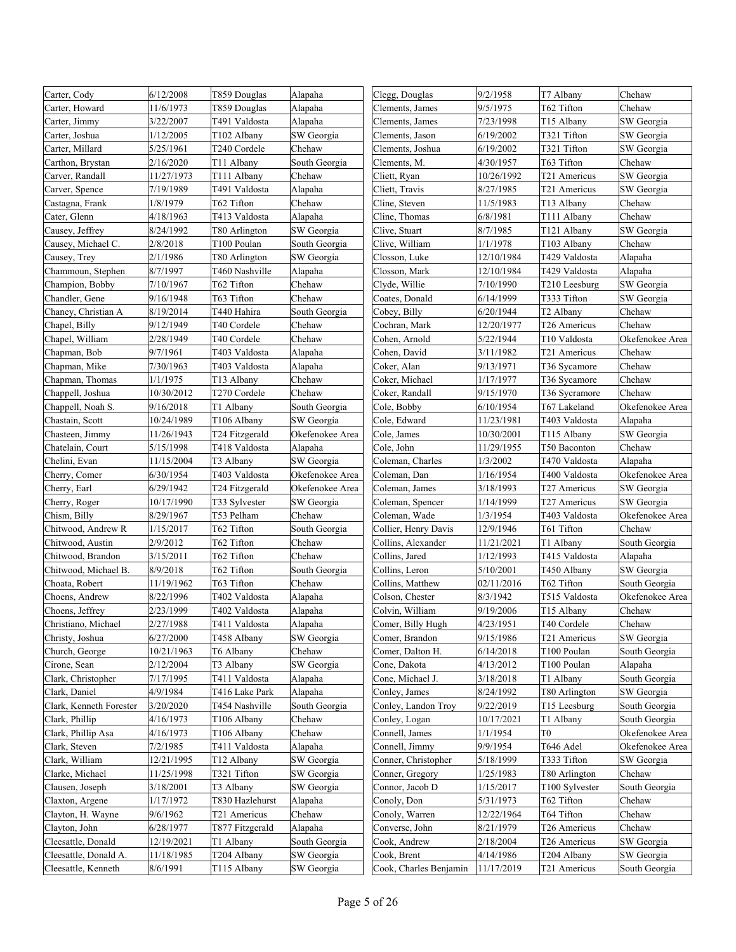| Carter, Cody            | 6/12/2008  | T859 Douglas    | Alapaha         | Clegg, Douglas         | 9/2/1958   | T7 Albany      | Chehaw          |
|-------------------------|------------|-----------------|-----------------|------------------------|------------|----------------|-----------------|
| Carter, Howard          | 11/6/1973  | T859 Douglas    | Alapaha         | Clements, James        | 9/5/1975   | T62 Tifton     | Chehaw          |
| Carter, Jimmy           | 3/22/2007  | T491 Valdosta   | Alapaha         | Clements, James        | 7/23/1998  | T15 Albany     | SW Georgia      |
| Carter, Joshua          | 1/12/2005  | T102 Albany     | SW Georgia      | Clements, Jason        | 6/19/2002  | T321 Tifton    | SW Georgia      |
| Carter, Millard         | 5/25/1961  | T240 Cordele    | Chehaw          | Clements, Joshua       | 6/19/2002  | T321 Tifton    | SW Georgia      |
| Carthon, Brystan        | 2/16/2020  | T11 Albany      | South Georgia   | Clements, M.           | 4/30/1957  | T63 Tifton     | Chehaw          |
| Carver, Randall         | 11/27/1973 | T111 Albany     | Chehaw          | Cliett, Ryan           | 10/26/1992 | T21 Americus   | SW Georgia      |
| Carver, Spence          | 7/19/1989  | T491 Valdosta   | Alapaha         | Cliett, Travis         | 8/27/1985  | T21 Americus   | SW Georgia      |
| Castagna, Frank         | 1/8/1979   | T62 Tifton      | Chehaw          | Cline, Steven          | 11/5/1983  | T13 Albany     | Chehaw          |
| Cater, Glenn            | 4/18/1963  | T413 Valdosta   | Alapaha         | Cline, Thomas          | 6/8/1981   | T111 Albany    | Chehaw          |
| Causey, Jeffrey         | 8/24/1992  | T80 Arlington   | SW Georgia      | Clive, Stuart          | 8/7/1985   | T121 Albany    | SW Georgia      |
| Causey, Michael C.      | 2/8/2018   | T100 Poulan     | South Georgia   | Clive, William         | 1/1/1978   | T103 Albany    | Chehaw          |
| Causey, Trey            | 2/1/1986   | T80 Arlington   | SW Georgia      | Closson, Luke          | 12/10/1984 | T429 Valdosta  | Alapaha         |
| Chammoun, Stephen       | 8/7/1997   | T460 Nashville  | Alapaha         | Closson, Mark          | 12/10/1984 | T429 Valdosta  | Alapaha         |
| Champion, Bobby         | 7/10/1967  | T62 Tifton      | Chehaw          | Clyde, Willie          | 7/10/1990  | T210 Leesburg  | SW Georgia      |
| Chandler, Gene          | 9/16/1948  | T63 Tifton      | Chehaw          | Coates, Donald         | 6/14/1999  | T333 Tifton    | SW Georgia      |
| Chaney, Christian A     | 8/19/2014  | T440 Hahira     | South Georgia   | Cobey, Billy           | 6/20/1944  | T2 Albany      | Chehaw          |
| Chapel, Billy           | 9/12/1949  | T40 Cordele     | Chehaw          | Cochran, Mark          | 12/20/1977 | T26 Americus   | Chehaw          |
| Chapel, William         | 2/28/1949  | T40 Cordele     | Chehaw          | Cohen, Arnold          | 5/22/1944  | T10 Valdosta   | Okefenokee Area |
| Chapman, Bob            | 9/7/1961   | T403 Valdosta   | Alapaha         | Cohen, David           | 3/11/1982  | T21 Americus   | Chehaw          |
| Chapman, Mike           | 7/30/1963  | T403 Valdosta   | Alapaha         | Coker, Alan            | 9/13/1971  | T36 Sycamore   | Chehaw          |
| Chapman, Thomas         | 1/1/1975   | T13 Albany      | Chehaw          | Coker, Michael         | 1/17/1977  | T36 Sycamore   | Chehaw          |
| Chappell, Joshua        | 10/30/2012 | T270 Cordele    | Chehaw          | Coker, Randall         | 9/15/1970  | T36 Sycramore  | Chehaw          |
| Chappell, Noah S.       | 9/16/2018  | T1 Albany       | South Georgia   | Cole, Bobby            | 6/10/1954  | T67 Lakeland   | Okefenokee Area |
| Chastain, Scott         | 10/24/1989 | T106 Albany     | SW Georgia      | Cole, Edward           | 11/23/1981 | T403 Valdosta  | Alapaha         |
| Chasteen, Jimmy         | 11/26/1943 | T24 Fitzgerald  | Okefenokee Area | Cole, James            | 10/30/2001 | T115 Albany    | SW Georgia      |
| Chatelain, Court        | 5/15/1998  | T418 Valdosta   | Alapaha         | Cole, John             | 11/29/1955 | T50 Baconton   | Chehaw          |
| Chelini, Evan           | 11/15/2004 | T3 Albany       | SW Georgia      | Coleman, Charles       | 1/3/2002   | T470 Valdosta  | Alapaha         |
| Cherry, Comer           | 6/30/1954  | T403 Valdosta   | Okefenokee Area | Coleman, Dan           | 1/16/1954  | T400 Valdosta  | Okefenokee Area |
| Cherry, Earl            | 6/29/1942  | T24 Fitzgerald  | Okefenokee Area | Coleman, James         | 3/18/1993  | T27 Americus   | SW Georgia      |
| Cherry, Roger           | 10/17/1990 | T33 Sylvester   | SW Georgia      | Coleman, Spencer       | 1/14/1999  | T27 Americus   | SW Georgia      |
| Chism, Billy            | 8/29/1967  | T53 Pelham      | Chehaw          | Coleman, Wade          | 1/3/1954   | T403 Valdosta  | Okefenokee Area |
| Chitwood, Andrew R      | 1/15/2017  | T62 Tifton      | South Georgia   | Collier, Henry Davis   | 12/9/1946  | T61 Tifton     | Chehaw          |
| Chitwood, Austin        | 2/9/2012   | T62 Tifton      | Chehaw          | Collins, Alexander     | 11/21/2021 | T1 Albany      | South Georgia   |
| Chitwood, Brandon       | 3/15/2011  | T62 Tifton      | Chehaw          | Collins, Jared         | 1/12/1993  | T415 Valdosta  | Alapaha         |
| Chitwood, Michael B.    | 8/9/2018   | T62 Tifton      | South Georgia   | Collins, Leron         | 5/10/2001  | T450 Albany    | SW Georgia      |
| Choata, Robert          | 11/19/1962 | T63 Tifton      | Chehaw          | Collins, Matthew       | 02/11/2016 | T62 Tifton     | South Georgia   |
| Choens, Andrew          | 8/22/1996  | T402 Valdosta   | Alapaha         | Colson, Chester        | 8/3/1942   | T515 Valdosta  | Okefenokee Area |
| Choens, Jeffrey         | 2/23/1999  | T402 Valdosta   | Alapaha         | Colvin, William        | 9/19/2006  | T15 Albany     | Chehaw          |
| Christiano, Michael     | 2/27/1988  | T411 Valdosta   | Alapaha         | Comer, Billy Hugh      | 4/23/1951  | T40 Cordele    | Chehaw          |
| Christy, Joshua         | 6/27/2000  | T458 Albany     | SW Georgia      | Comer, Brandon         | 9/15/1986  | T21 Americus   | SW Georgia      |
| Church, George          | 10/21/1963 | T6 Albany       | Chehaw          | Comer, Dalton H.       | 6/14/2018  | T100 Poulan    | South Georgia   |
| Cirone, Sean            | 2/12/2004  | T3 Albany       | SW Georgia      | Cone, Dakota           | 4/13/2012  | T100 Poulan    | Alapaha         |
| Clark, Christopher      | 7/17/1995  | T411 Valdosta   | Alapaha         | Cone, Michael J.       | 3/18/2018  | T1 Albany      | South Georgia   |
| Clark, Daniel           | 4/9/1984   | T416 Lake Park  | Alapaha         | Conley, James          | 8/24/1992  | T80 Arlington  | SW Georgia      |
| Clark, Kenneth Forester | 3/20/2020  | T454 Nashville  | South Georgia   | Conley, Landon Troy    | 9/22/2019  | T15 Leesburg   | South Georgia   |
| Clark, Phillip          | 4/16/1973  | T106 Albany     | Chehaw          | Conley, Logan          | 10/17/2021 | T1 Albany      | South Georgia   |
| Clark, Phillip Asa      | 4/16/1973  | T106 Albany     | Chehaw          | Connell, James         | 1/1/1954   | T0             | Okefenokee Area |
| Clark, Steven           | 7/2/1985   | T411 Valdosta   | Alapaha         | Connell, Jimmy         | 9/9/1954   | T646 Adel      | Okefenokee Area |
| Clark, William          | 12/21/1995 | T12 Albany      | SW Georgia      | Conner, Christopher    | 5/18/1999  | T333 Tifton    | SW Georgia      |
| Clarke, Michael         | 11/25/1998 | T321 Tifton     | SW Georgia      | Conner, Gregory        | 1/25/1983  | T80 Arlington  | Chehaw          |
| Clausen, Joseph         | 3/18/2001  | T3 Albany       | SW Georgia      | Connor, Jacob D        | 1/15/2017  | T100 Sylvester | South Georgia   |
| Claxton, Argene         | 1/17/1972  | T830 Hazlehurst | Alapaha         | Conoly, Don            | 5/31/1973  | T62 Tifton     | Chehaw          |
| Clayton, H. Wayne       | 9/6/1962   | T21 Americus    | Chehaw          | Conoly, Warren         | 12/22/1964 | T64 Tifton     | Chehaw          |
| Clayton, John           | 6/28/1977  | T877 Fitzgerald | Alapaha         | Converse, John         | 8/21/1979  | T26 Americus   | Chehaw          |
| Cleesattle, Donald      | 12/19/2021 | T1 Albany       | South Georgia   | Cook, Andrew           | 2/18/2004  | T26 Americus   | SW Georgia      |
| Cleesattle, Donald A.   | 11/18/1985 | T204 Albany     | SW Georgia      | Cook, Brent            | 4/14/1986  | T204 Albany    | SW Georgia      |
| Cleesattle, Kenneth     | 8/6/1991   | T115 Albany     | SW Georgia      | Cook, Charles Benjamin | 11/17/2019 | T21 Americus   | South Georgia   |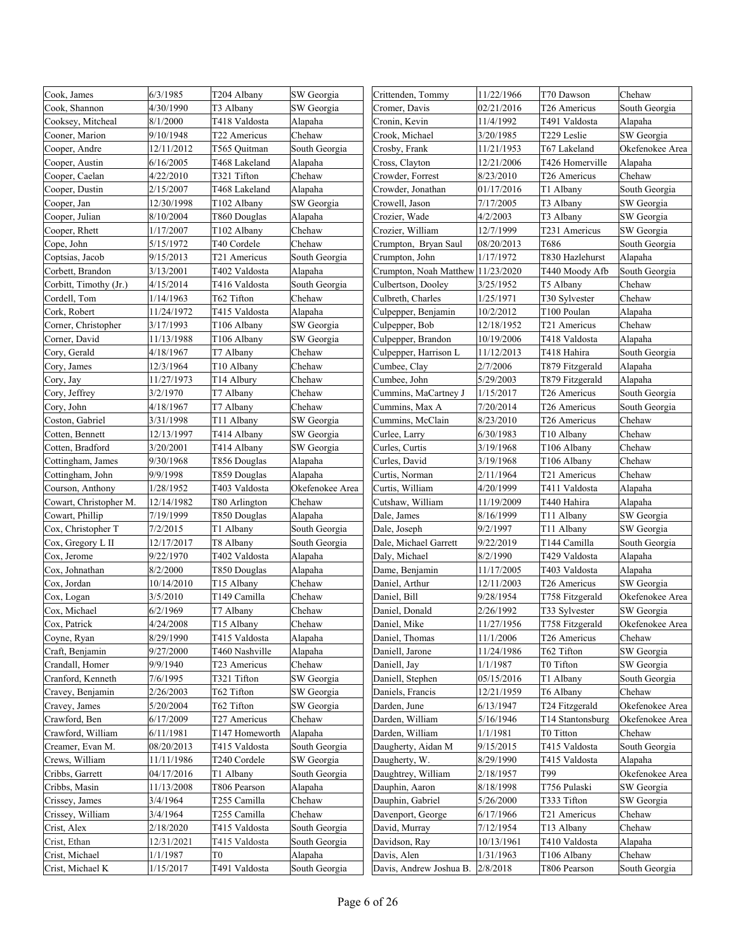| Cook, James            | 6/3/1985   | T204 Albany    | SW Georgia      | Crittenden, Tommy                 | 11/22/1966 | T70 Dawson       | Chehaw          |
|------------------------|------------|----------------|-----------------|-----------------------------------|------------|------------------|-----------------|
| Cook, Shannon          | 4/30/1990  | T3 Albany      | SW Georgia      | Cromer, Davis                     | 02/21/2016 | T26 Americus     | South Georgia   |
| Cooksey, Mitcheal      | 8/1/2000   | T418 Valdosta  | Alapaha         | Cronin, Kevin                     | 11/4/1992  | T491 Valdosta    | Alapaha         |
| Cooner, Marion         | 9/10/1948  | T22 Americus   | Chehaw          | Crook, Michael                    | 3/20/1985  | T229 Leslie      | SW Georgia      |
| Cooper, Andre          | 12/11/2012 | T565 Ouitman   | South Georgia   | Crosby, Frank                     | 11/21/1953 | T67 Lakeland     | Okefenokee Area |
| Cooper, Austin         | 6/16/2005  | T468 Lakeland  | Alapaha         | Cross, Clayton                    | 12/21/2006 | T426 Homerville  | Alapaha         |
| Cooper, Caelan         | 4/22/2010  | T321 Tifton    | Chehaw          | Crowder, Forrest                  | 8/23/2010  | T26 Americus     | Chehaw          |
| Cooper, Dustin         | 2/15/2007  | T468 Lakeland  | Alapaha         | Crowder, Jonathan                 | 01/17/2016 | T1 Albany        | South Georgia   |
| Cooper, Jan            | 12/30/1998 | T102 Albany    | SW Georgia      | Crowell, Jason                    | 7/17/2005  | T3 Albany        | SW Georgia      |
| Cooper, Julian         | 8/10/2004  | T860 Douglas   | Alapaha         | Crozier, Wade                     | 4/2/2003   | T3 Albany        | SW Georgia      |
| Cooper, Rhett          | 1/17/2007  | T102 Albany    | Chehaw          | Crozier, William                  | 12/7/1999  | T231 Americus    | SW Georgia      |
| Cope, John             | 5/15/1972  | T40 Cordele    | Chehaw          | Crumpton, Bryan Saul              | 08/20/2013 | T686             | South Georgia   |
| Coptsias, Jacob        | 9/15/2013  | T21 Americus   | South Georgia   | Crumpton, John                    | 1/17/1972  | T830 Hazlehurst  | Alapaha         |
| Corbett, Brandon       | 3/13/2001  | T402 Valdosta  | Alapaha         | Crumpton, Noah Matthew 11/23/2020 |            | T440 Moody Afb   | South Georgia   |
| Corbitt, Timothy (Jr.) | 4/15/2014  | T416 Valdosta  | South Georgia   | Culbertson, Dooley                | 3/25/1952  | T5 Albany        | Chehaw          |
| Cordell, Tom           | 1/14/1963  | T62 Tifton     | Chehaw          | Culbreth, Charles                 | 1/25/1971  | T30 Sylvester    | Chehaw          |
| Cork, Robert           | 11/24/1972 | T415 Valdosta  | Alapaha         | Culpepper, Benjamin               | 10/2/2012  | T100 Poulan      | Alapaha         |
| Corner, Christopher    | 3/17/1993  | T106 Albany    | SW Georgia      | Culpepper, Bob                    | 12/18/1952 | T21 Americus     | Chehaw          |
| Corner, David          | 11/13/1988 | T106 Albany    | SW Georgia      | Culpepper, Brandon                | 10/19/2006 | T418 Valdosta    | Alapaha         |
| Cory, Gerald           | 4/18/1967  | T7 Albany      | Chehaw          | Culpepper, Harrison L             | 11/12/2013 | T418 Hahira      | South Georgia   |
| Cory, James            | 12/3/1964  | T10 Albany     | Chehaw          | Cumbee, Clay                      | 2/7/2006   | T879 Fitzgerald  | Alapaha         |
| Cory, Jay              | 11/27/1973 | T14 Albury     | Chehaw          | Cumbee, John                      | 5/29/2003  | T879 Fitzgerald  | Alapaha         |
| Cory, Jeffrey          | 3/2/1970   | T7 Albany      | Chehaw          | Cummins, MaCartney J              | 1/15/2017  | T26 Americus     | South Georgia   |
| Cory, John             | 4/18/1967  | T7 Albany      | Chehaw          | Cummins. Max A                    | 7/20/2014  | T26 Americus     | South Georgia   |
| Coston, Gabriel        | 3/31/1998  | T11 Albany     | SW Georgia      | Cummins, McClain                  | 8/23/2010  | T26 Americus     | Chehaw          |
| Cotten, Bennett        | 12/13/1997 | T414 Albany    | SW Georgia      | Curlee, Larry                     | 6/30/1983  | T10 Albany       | Chehaw          |
| Cotten, Bradford       | 3/20/2001  | T414 Albany    | SW Georgia      | Curles, Curtis                    | 3/19/1968  | T106 Albany      | Chehaw          |
| Cottingham, James      | 9/30/1968  | T856 Douglas   | Alapaha         | Curles, David                     | 3/19/1968  | T106 Albany      | Chehaw          |
| Cottingham, John       | 9/9/1998   | T859 Douglas   | Alapaha         | Curtis, Norman                    | 2/11/1964  | T21 Americus     | Chehaw          |
| Courson, Anthony       | 1/28/1952  | T403 Valdosta  | Okefenokee Area | Curtis, William                   | 4/20/1999  | T411 Valdosta    | Alapaha         |
| Cowart, Christopher M. | 12/14/1982 | T80 Arlington  | Chehaw          | Cutshaw, William                  | 11/19/2009 | T440 Hahira      | Alapaha         |
| Cowart, Phillip        | 7/19/1999  | T850 Douglas   | Alapaha         | Dale, James                       | 8/16/1999  | T11 Albany       | SW Georgia      |
| Cox, Christopher T     | 7/2/2015   | T1 Albany      | South Georgia   | Dale, Joseph                      | 9/2/1997   | T11 Albany       | SW Georgia      |
| Cox, Gregory L II      | 12/17/2017 | T8 Albany      | South Georgia   | Dale, Michael Garrett             | 9/22/2019  | T144 Camilla     | South Georgia   |
| Cox, Jerome            | 9/22/1970  | T402 Valdosta  | Alapaha         | Daly, Michael                     | 8/2/1990   | T429 Valdosta    | Alapaha         |
| Cox, Johnathan         | 8/2/2000   | T850 Douglas   | Alapaha         | Dame, Benjamin                    | 11/17/2005 | T403 Valdosta    | Alapaha         |
| Cox, Jordan            | 10/14/2010 | T15 Albany     | Chehaw          | Daniel, Arthur                    | 12/11/2003 | T26 Americus     | SW Georgia      |
| Cox, Logan             | 3/5/2010   | T149 Camilla   | Chehaw          | Daniel, Bill                      | 9/28/1954  | T758 Fitzgerald  | Okefenokee Area |
| Cox, Michael           | 6/2/1969   | T7 Albany      | Chehaw          | Daniel, Donald                    | 2/26/1992  | T33 Sylvester    | SW Georgia      |
| Cox, Patrick           | 4/24/2008  | T15 Albany     | Chehaw          | Daniel, Mike                      | 11/27/1956 | T758 Fitzgerald  | Okefenokee Area |
| Coyne, Ryan            | 8/29/1990  | T415 Valdosta  | Alapaha         | Daniel, Thomas                    | 11/1/2006  | T26 Americus     | Chehaw          |
| Craft, Benjamin        | 9/27/2000  | T460 Nashville | Alapaha         | Daniell, Jarone                   | 11/24/1986 | T62 Tifton       | SW Georgia      |
| Crandall, Homer        | 9/9/1940   | T23 Americus   | Chehaw          | Daniell, Jay                      | 1/1/1987   | T0 Tifton        | SW Georgia      |
| Cranford, Kenneth      | 7/6/1995   | T321 Tifton    | SW Georgia      | Daniell, Stephen                  | 05/15/2016 | T1 Albany        | South Georgia   |
| Cravey, Benjamin       | 2/26/2003  | T62 Tifton     | SW Georgia      | Daniels, Francis                  | 12/21/1959 | T6 Albany        | Chehaw          |
| Cravey, James          | 5/20/2004  | T62 Tifton     | SW Georgia      | Darden, June                      | 6/13/1947  | T24 Fitzgerald   | Okefenokee Area |
| Crawford, Ben          | 6/17/2009  | T27 Americus   | Chehaw          | Darden, William                   | 5/16/1946  | T14 Stantonsburg | Okefenokee Area |
| Crawford, William      | 6/11/1981  | T147 Homeworth | Alapaha         | Darden, William                   | 1/1/1981   | T0 Titton        | Chehaw          |
| Creamer, Evan M.       | 08/20/2013 | T415 Valdosta  | South Georgia   | Daugherty, Aidan M                | 9/15/2015  | T415 Valdosta    | South Georgia   |
| Crews, William         | 11/11/1986 | T240 Cordele   | SW Georgia      | Daugherty, W.                     | 8/29/1990  | T415 Valdosta    | Alapaha         |
| Cribbs, Garrett        | 04/17/2016 | T1 Albany      | South Georgia   | Daughtrey, William                | 2/18/1957  | Т99              | Okefenokee Area |
| Cribbs, Masin          | 11/13/2008 | T806 Pearson   | Alapaha         | Dauphin, Aaron                    | 8/18/1998  | T756 Pulaski     | SW Georgia      |
| Crissey, James         | 3/4/1964   | T255 Camilla   | Chehaw          | Dauphin, Gabriel                  | 5/26/2000  | T333 Tifton      | SW Georgia      |
| Crissey, William       | 3/4/1964   | T255 Camilla   | Chehaw          | Davenport, George                 | 6/17/1966  | T21 Americus     | Chehaw          |
| Crist, Alex            | 2/18/2020  | T415 Valdosta  | South Georgia   | David, Murray                     | 7/12/1954  | T13 Albany       | Chehaw          |
| Crist, Ethan           | 12/31/2021 | T415 Valdosta  | South Georgia   | Davidson, Ray                     | 10/13/1961 | T410 Valdosta    | Alapaha         |
| Crist, Michael         | 1/1/1987   | T0             | Alapaha         | Davis, Alen                       | 1/31/1963  | T106 Albany      | Chehaw          |
| Crist, Michael K       | 1/15/2017  | T491 Valdosta  | South Georgia   | Davis, Andrew Joshua B.           | 2/8/2018   | T806 Pearson     | South Georgia   |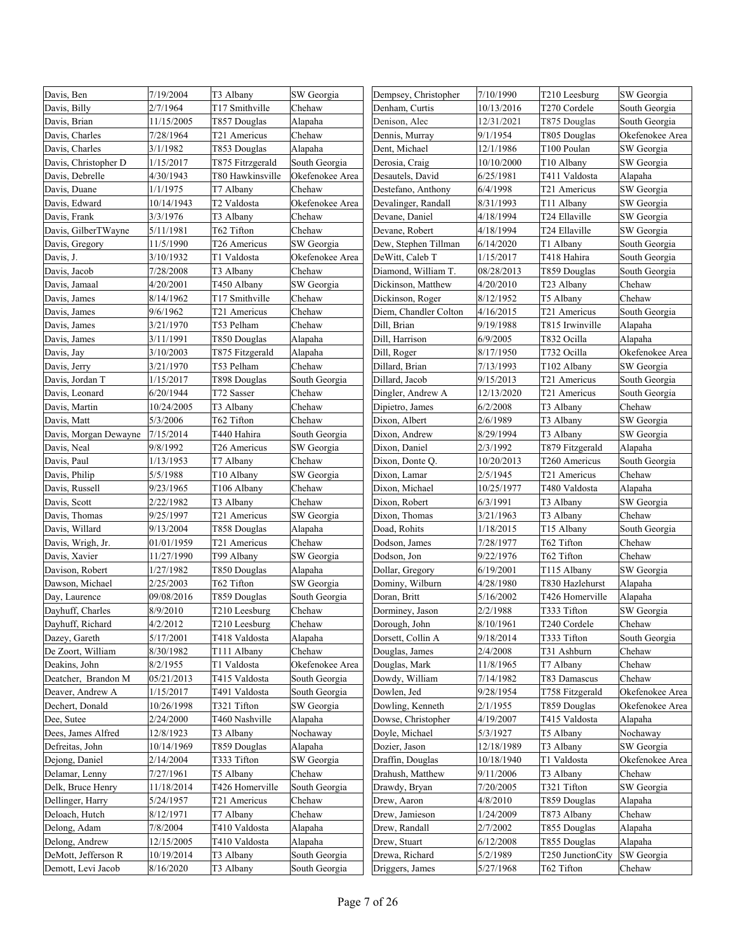| Davis, Ben            | 7/19/2004  | T3 Albany        | SW Georgia      | Dempsey, Christopher  | 7/10/1990  | T210 Leesburg     | SW Georgia      |
|-----------------------|------------|------------------|-----------------|-----------------------|------------|-------------------|-----------------|
| Davis, Billy          | 2/7/1964   | T17 Smithville   | Chehaw          | Denham, Curtis        | 10/13/2016 | T270 Cordele      | South Georgia   |
| Davis, Brian          | 11/15/2005 | T857 Douglas     | Alapaha         | Denison, Alec         | 12/31/2021 | T875 Douglas      | South Georgia   |
| Davis, Charles        | 7/28/1964  | T21 Americus     | Chehaw          | Dennis, Murray        | 9/1/1954   | T805 Douglas      | Okefenokee Area |
| Davis, Charles        | 3/1/1982   | T853 Douglas     | Alapaha         | Dent, Michael         | 12/1/1986  | T100 Poulan       | SW Georgia      |
| Davis, Christopher D  | 1/15/2017  | T875 Fitrzgerald | South Georgia   | Derosia, Craig        | 10/10/2000 | T10 Albany        | SW Georgia      |
| Davis, Debrelle       | 4/30/1943  | T80 Hawkinsville | Okefenokee Area | Desautels, David      | 6/25/1981  | T411 Valdosta     | Alapaha         |
| Davis, Duane          | 1/1/1975   | T7 Albany        | Chehaw          | Destefano, Anthony    | 6/4/1998   | T21 Americus      | SW Georgia      |
| Davis, Edward         | 10/14/1943 | T2 Valdosta      | Okefenokee Area | Devalinger, Randall   | 8/31/1993  | T11 Albany        | SW Georgia      |
| Davis, Frank          | 3/3/1976   | T3 Albany        | Chehaw          | Devane, Daniel        | 4/18/1994  | T24 Ellaville     | SW Georgia      |
| Davis, GilberTWayne   | 5/11/1981  | T62 Tifton       | Chehaw          | Devane, Robert        | 4/18/1994  | T24 Ellaville     | SW Georgia      |
| Davis, Gregory        | 11/5/1990  | T26 Americus     | SW Georgia      | Dew, Stephen Tillman  | 6/14/2020  | T1 Albany         | South Georgia   |
| Davis, J.             | 3/10/1932  | T1 Valdosta      | Okefenokee Area | DeWitt, Caleb T       | 1/15/2017  | T418 Hahira       | South Georgia   |
| Davis, Jacob          | 7/28/2008  | T3 Albany        | Chehaw          | Diamond, William T.   | 08/28/2013 | T859 Douglas      | South Georgia   |
| Davis, Jamaal         | 4/20/2001  | T450 Albany      | SW Georgia      | Dickinson, Matthew    | 4/20/2010  | T23 Albany        | Chehaw          |
| Davis, James          | 8/14/1962  | T17 Smithville   | Chehaw          | Dickinson, Roger      | 8/12/1952  | T5 Albany         | Chehaw          |
| Davis, James          | 9/6/1962   | T21 Americus     | Chehaw          | Diem, Chandler Colton | 4/16/2015  | T21 Americus      | South Georgia   |
| Davis, James          | 3/21/1970  | T53 Pelham       | Chehaw          | Dill, Brian           | 9/19/1988  | T815 Irwinville   | Alapaha         |
| Davis, James          | 3/11/1991  | T850 Douglas     | Alapaha         | Dill, Harrison        | 6/9/2005   | T832 Ocilla       | Alapaha         |
| Davis, Jay            | 3/10/2003  | T875 Fitzgerald  | Alapaha         | Dill, Roger           | 8/17/1950  | T732 Ocilla       | Okefenokee Area |
| Davis, Jerry          | 3/21/1970  | T53 Pelham       | Chehaw          | Dillard, Brian        | 7/13/1993  | T102 Albany       | SW Georgia      |
| Davis, Jordan T       | 1/15/2017  | T898 Douglas     | South Georgia   | Dillard, Jacob        | 9/15/2013  | T21 Americus      | South Georgia   |
| Davis, Leonard        | 6/20/1944  | T72 Sasser       | Chehaw          | Dingler, Andrew A     | 12/13/2020 | T21 Americus      | South Georgia   |
| Davis, Martin         | 10/24/2005 | T3 Albany        | Chehaw          | Dipietro, James       | 6/2/2008   | T3 Albany         | Chehaw          |
| Davis, Matt           | 5/3/2006   | T62 Tifton       | Chehaw          | Dixon, Albert         | 2/6/1989   | T3 Albany         | SW Georgia      |
| Davis, Morgan Dewayne | 7/15/2014  | T440 Hahira      | South Georgia   | Dixon, Andrew         | 8/29/1994  | T3 Albany         | SW Georgia      |
| Davis, Neal           | 9/8/1992   | T26 Americus     | SW Georgia      | Dixon, Daniel         | 2/3/1992   | T879 Fitzgerald   | Alapaha         |
| Davis, Paul           | 1/13/1953  | T7 Albany        | Chehaw          | Dixon, Donte Q.       | 10/20/2013 | T260 Americus     | South Georgia   |
| Davis, Philip         | 5/5/1988   | T10 Albany       | SW Georgia      | Dixon, Lamar          | 2/5/1945   | T21 Americus      | Chehaw          |
| Davis, Russell        | 9/23/1965  | T106 Albany      | Chehaw          | Dixon, Michael        | 10/25/1977 | T480 Valdosta     | Alapaha         |
| Davis, Scott          | 2/22/1982  | T3 Albany        | Chehaw          | Dixon, Robert         | 6/3/1991   | T3 Albany         | SW Georgia      |
| Davis, Thomas         | 9/25/1997  | T21 Americus     | SW Georgia      | Dixon, Thomas         | 3/21/1963  | T3 Albany         | Chehaw          |
| Davis, Willard        | 9/13/2004  | T858 Douglas     | Alapaha         | Doad, Rohits          | 1/18/2015  | T15 Albany        | South Georgia   |
| Davis, Wrigh, Jr.     | 01/01/1959 | T21 Americus     | Chehaw          | Dodson, James         | 7/28/1977  | T62 Tifton        | Chehaw          |
| Davis, Xavier         | 11/27/1990 | T99 Albany       | SW Georgia      | Dodson, Jon           | 9/22/1976  | T62 Tifton        | Chehaw          |
| Davison, Robert       | 1/27/1982  | T850 Douglas     | Alapaha         | Dollar, Gregory       | 6/19/2001  | T115 Albany       | SW Georgia      |
| Dawson, Michael       | 2/25/2003  | T62 Tifton       | SW Georgia      | Dominy, Wilburn       | 4/28/1980  | T830 Hazlehurst   | Alapaha         |
| Day, Laurence         | 09/08/2016 | T859 Douglas     | South Georgia   | Doran, Britt          | 5/16/2002  | T426 Homerville   | Alapaha         |
| Dayhuff, Charles      | 8/9/2010   | T210 Leesburg    | Chehaw          | Dorminey, Jason       | 2/2/1988   | T333 Tifton       | SW Georgia      |
| Dayhuff, Richard      | 4/2/2012   | T210 Leesburg    | Chehaw          | Dorough, John         | 8/10/1961  | T240 Cordele      | Chehaw          |
| Dazey, Gareth         | 5/17/2001  | T418 Valdosta    | Alapaha         | Dorsett, Collin A     | 9/18/2014  | T333 Tifton       | South Georgia   |
| De Zoort, William     | 8/30/1982  | T111 Albany      | Chehaw          | Douglas, James        | 2/4/2008   | T31 Ashburn       | Chehaw          |
| Deakins, John         | 8/2/1955   | T1 Valdosta      | Okefenokee Area | Douglas, Mark         | 11/8/1965  | T7 Albany         | Chehaw          |
| Deatcher, Brandon M   | 05/21/2013 | T415 Valdosta    | South Georgia   | Dowdy, William        | 7/14/1982  | T83 Damascus      | Chehaw          |
| Deaver, Andrew A      | 1/15/2017  | T491 Valdosta    | South Georgia   | Dowlen, Jed           | 9/28/1954  | T758 Fitzgerald   | Okefenokee Area |
| Dechert, Donald       | 10/26/1998 | T321 Tifton      | SW Georgia      | Dowling, Kenneth      | 2/1/1955   | T859 Douglas      | Okefenokee Area |
| Dee, Sutee            | 2/24/2000  | T460 Nashville   | Alapaha         | Dowse, Christopher    | 4/19/2007  | T415 Valdosta     | Alapaha         |
| Dees, James Alfred    | 12/8/1923  | T3 Albany        | Nochaway        | Doyle, Michael        | 5/3/1927   | T5 Albany         | Nochaway        |
| Defreitas, John       | 10/14/1969 | T859 Douglas     | Alapaha         | Dozier, Jason         | 12/18/1989 | T3 Albany         | SW Georgia      |
| Dejong, Daniel        | 2/14/2004  | T333 Tifton      | SW Georgia      | Draffin, Douglas      | 10/18/1940 | T1 Valdosta       | Okefenokee Area |
| Delamar, Lenny        | 7/27/1961  | T5 Albany        | Chehaw          | Drahush, Matthew      | 9/11/2006  | T3 Albany         | Chehaw          |
| Delk, Bruce Henry     | 11/18/2014 | T426 Homerville  | South Georgia   | Drawdy, Bryan         | 7/20/2005  | T321 Tifton       | SW Georgia      |
| Dellinger, Harry      | 5/24/1957  | T21 Americus     | Chehaw          | Drew, Aaron           | 4/8/2010   | T859 Douglas      | Alapaha         |
| Deloach, Hutch        | 8/12/1971  | T7 Albany        | Chehaw          | Drew, Jamieson        | 1/24/2009  | T873 Albany       | Chehaw          |
| Delong, Adam          | 7/8/2004   | T410 Valdosta    | Alapaha         | Drew, Randall         | 2/7/2002   | T855 Douglas      | Alapaha         |
| Delong, Andrew        | 12/15/2005 | T410 Valdosta    | Alapaha         | Drew, Stuart          | 6/12/2008  | T855 Douglas      | Alapaha         |
| DeMott, Jefferson R   | 10/19/2014 | T3 Albany        | South Georgia   | Drewa, Richard        | 5/2/1989   | T250 JunctionCity | SW Georgia      |
| Demott, Levi Jacob    | 8/16/2020  | T3 Albany        | South Georgia   | Driggers, James       | 5/27/1968  | T62 Tifton        | Chehaw          |
|                       |            |                  |                 |                       |            |                   |                 |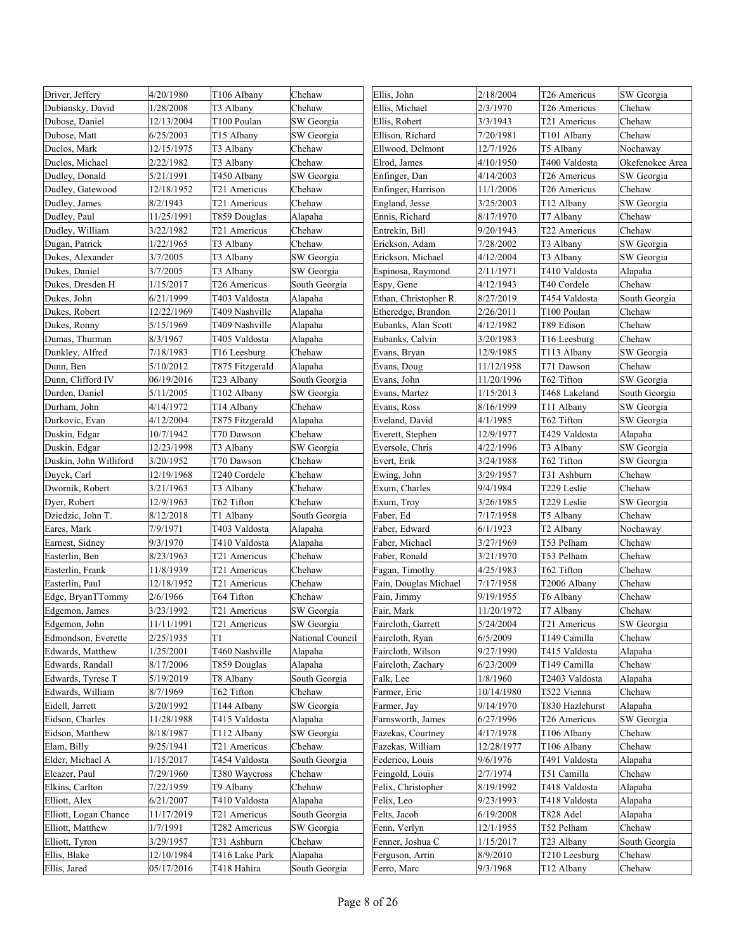| Driver, Jeffery        | 4/20/1980  | T106 Albany              | Chehaw           | Ellis, John           | 2/18/2004  | T26 Americus    | SW Georgia      |
|------------------------|------------|--------------------------|------------------|-----------------------|------------|-----------------|-----------------|
| Dubiansky, David       | 1/28/2008  | T3 Albany                | Chehaw           | Ellis, Michael        | 2/3/1970   | T26 Americus    | Chehaw          |
| Dubose, Daniel         | 12/13/2004 | T100 Poulan              | SW Georgia       | Ellis, Robert         | 3/3/1943   | T21 Americus    | Chehaw          |
| Dubose, Matt           | 6/25/2003  | T <sub>15</sub> Albany   | SW Georgia       | Ellison, Richard      | 7/20/1981  | T101 Albany     | Chehaw          |
| Duclos, Mark           | 12/15/1975 | T3 Albany                | Chehaw           | Ellwood, Delmont      | 12/7/1926  | T5 Albany       | Nochaway        |
| Duclos, Michael        | 2/22/1982  | T3 Albany                | Chehaw           | Elrod, James          | 4/10/1950  | T400 Valdosta   | Okefenokee Area |
| Dudley, Donald         | 5/21/1991  | T450 Albany              | SW Georgia       | Enfinger, Dan         | 4/14/2003  | T26 Americus    | SW Georgia      |
| Dudley, Gatewood       | 12/18/1952 | T21 Americus             | Chehaw           | Enfinger, Harrison    | 11/1/2006  | T26 Americus    | Chehaw          |
| Dudley, James          | 8/2/1943   | T21 Americus             | Chehaw           | England, Jesse        | 3/25/2003  | T12 Albany      | SW Georgia      |
| Dudley, Paul           | 11/25/1991 | T859 Douglas             | Alapaha          | Ennis, Richard        | 8/17/1970  | T7 Albany       | Chehaw          |
| Dudley, William        | 3/22/1982  | T21 Americus             | Chehaw           | Entrekin, Bill        | 9/20/1943  | T22 Americus    | Chehaw          |
| Dugan, Patrick         | 1/22/1965  | T3 Albany                | Chehaw           | Erickson, Adam        | 7/28/2002  | T3 Albany       | SW Georgia      |
| Dukes, Alexander       | 3/7/2005   | T3 Albany                | SW Georgia       | Erickson, Michael     | 4/12/2004  | T3 Albany       | SW Georgia      |
| Dukes, Daniel          | 3/7/2005   | T3 Albany                | SW Georgia       | Espinosa, Raymond     | 2/11/1971  | T410 Valdosta   | Alapaha         |
| Dukes, Dresden H       | 1/15/2017  | T26 Americus             | South Georgia    | Espy, Gene            | 4/12/1943  | T40 Cordele     | Chehaw          |
| Dukes, John            | 6/21/1999  | T403 Valdosta            | Alapaha          | Ethan, Christopher R. | 8/27/2019  | T454 Valdosta   | South Georgia   |
| Dukes, Robert          | 12/22/1969 | T409 Nashville           | Alapaha          | Etheredge, Brandon    | 2/26/2011  | T100 Poulan     | Chehaw          |
| Dukes, Ronny           | 5/15/1969  | T409 Nashville           | Alapaha          | Eubanks, Alan Scott   | 4/12/1982  | T89 Edison      | Chehaw          |
| Dumas, Thurman         | 8/3/1967   | T405 Valdosta            | Alapaha          | Eubanks, Calvin       | 3/20/1983  | T16 Leesburg    | Chehaw          |
| Dunkley, Alfred        | 7/18/1983  | T16 Leesburg             | Chehaw           | Evans, Bryan          | 12/9/1985  | T113 Albany     | SW Georgia      |
| Dunn, Ben              | 5/10/2012  | T875 Fitzgerald          | Alapaha          | Evans, Doug           | 11/12/1958 | T71 Dawson      | Chehaw          |
| Dunn, Clifford IV      | 06/19/2016 | T23 Albany               | South Georgia    | Evans, John           | 11/20/1996 | T62 Tifton      | SW Georgia      |
| Durden, Daniel         | 5/11/2005  | T102 Albany              | SW Georgia       | Evans, Martez         | 1/15/2013  | T468 Lakeland   | South Georgia   |
| Durham, John           | 4/14/1972  | T14 Albany               | Chehaw           | Evans, Ross           | 8/16/1999  | T11 Albany      | SW Georgia      |
| Durkovic, Evan         | 4/12/2004  | T875 Fitzgerald          | Alapaha          | Eveland, David        | 4/1/1985   | T62 Tifton      | SW Georgia      |
| Duskin, Edgar          | 10/7/1942  | T70 Dawson               | Chehaw           | Everett, Stephen      | 12/9/1977  | T429 Valdosta   | Alapaha         |
| Duskin, Edgar          | 12/23/1998 | T3 Albany                | SW Georgia       | Eversole, Chris       | 4/22/1996  | T3 Albany       | SW Georgia      |
| Duskin, John Williford | 3/20/1952  | T70 Dawson               | Chehaw           | Evert, Erik           | 3/24/1988  | T62 Tifton      | SW Georgia      |
| Duyck, Carl            | 12/19/1968 | T240 Cordele             | Chehaw           | Ewing, John           | 3/29/1957  | T31 Ashburn     | Chehaw          |
| Dwornik, Robert        | 3/21/1963  | T3 Albany                | Chehaw           | Exum, Charles         | 9/4/1984   | T229 Leslie     | Chehaw          |
| Dyer, Robert           | 12/9/1963  | T62 Tifton               | Chehaw           | Exum, Troy            | 3/26/1985  | T229 Leslie     | SW Georgia      |
| Dziedzic, John T.      | 8/12/2018  | T1 Albany                | South Georgia    | Faber, Ed             | 7/17/1958  | T5 Albany       | Chehaw          |
| Eares, Mark            | 7/9/1971   | T403 Valdosta            | Alapaha          | Faber, Edward         | 6/1/1923   | T2 Albany       | Nochaway        |
| Earnest, Sidney        | 9/3/1970   | T410 Valdosta            | Alapaha          | Faber, Michael        | 3/27/1969  | T53 Pelham      | Chehaw          |
| Easterlin, Ben         | 8/23/1963  | T21 Americus             | Chehaw           | Faber, Ronald         | 3/21/1970  | T53 Pelham      | Chehaw          |
| Easterlin, Frank       | 11/8/1939  | T21 Americus             | Chehaw           | Fagan, Timothy        | 4/25/1983  | T62 Tifton      | Chehaw          |
| Easterlin, Paul        | 12/18/1952 | T21 Americus             | Chehaw           | Fain, Douglas Michael | 7/17/1958  | T2006 Albany    | Chehaw          |
| Edge, BryanTTommy      | 2/6/1966   | T64 Tifton               | Chehaw           | Fain, Jimmy           | 9/19/1955  | T6 Albany       | Chehaw          |
| Edgemon, James         | 3/23/1992  | T21 Americus             | SW Georgia       | Fair, Mark            | 11/20/1972 | T7 Albany       | Chehaw          |
| Edgemon, John          | 11/11/1991 | T <sub>21</sub> Americus | SW Georgia       | Faircloth, Garrett    | 5/24/2004  | T21 Americus    | SW Georgia      |
| Edmondson, Everette    | 2/25/1935  | T1                       | National Council | Faircloth, Ryan       | 6/5/2009   | T149 Camilla    | Chehaw          |
| Edwards, Matthew       | 1/25/2001  | T460 Nashville           | Alapaha          | Faircloth, Wilson     | 9/27/1990  | T415 Valdosta   | Alapaha         |
| Edwards, Randall       | 8/17/2006  | T859 Douglas             | Alapaha          | Faircloth, Zachary    | 6/23/2009  | T149 Camilla    | Chehaw          |
| Edwards, Tyrese T      | 5/19/2019  | T8 Albany                | South Georgia    | Falk, Lee             | 1/8/1960   | T2403 Valdosta  | Alapaha         |
| Edwards, William       | 8/7/1969   | T62 Tifton               | Chehaw           | Farmer, Eric          | 10/14/1980 | T522 Vienna     | Chehaw          |
| Eidell, Jarrett        | 3/20/1992  | T144 Albany              | SW Georgia       | Farmer, Jay           | 9/14/1970  | T830 Hazlehurst | Alapaha         |
| Eidson, Charles        | 11/28/1988 | T415 Valdosta            | Alapaha          | Farnsworth, James     | 6/27/1996  | T26 Americus    | SW Georgia      |
| Eidson, Matthew        | 8/18/1987  | T112 Albany              | SW Georgia       | Fazekas, Courtney     | 4/17/1978  | T106 Albany     | Chehaw          |
| Elam, Billy            | 9/25/1941  | T21 Americus             | Chehaw           | Fazekas, William      | 12/28/1977 | T106 Albany     | Chehaw          |
| Elder, Michael A       | 1/15/2017  | T454 Valdosta            | South Georgia    | Federico, Louis       | 9/6/1976   | T491 Valdosta   | Alapaha         |
| Eleazer, Paul          | 7/29/1960  | T380 Waycross            | Chehaw           | Feingold, Louis       | 2/7/1974   | T51 Camilla     | Chehaw          |
| Elkins, Carlton        | 7/22/1959  | T9 Albany                | Chehaw           | Felix, Christopher    | 8/19/1992  | T418 Valdosta   | Alapaha         |
| Elliott, Alex          | 6/21/2007  | T410 Valdosta            | Alapaha          | Felix, Leo            | 9/23/1993  | T418 Valdosta   | Alapaha         |
| Elliott, Logan Chance  | 11/17/2019 | T21 Americus             | South Georgia    | Felts, Jacob          | 6/19/2008  | T828 Adel       | Alapaha         |
| Elliott, Matthew       | 1/7/1991   | T282 Americus            | SW Georgia       | Fenn, Verlyn          | 12/1/1955  | T52 Pelham      | Chehaw          |
| Elliott, Tyron         | 3/29/1957  | T31 Ashburn              | Chehaw           | Fenner, Joshua C      | 1/15/2017  | T23 Albany      | South Georgia   |
| Ellis, Blake           | 12/10/1984 | T416 Lake Park           | Alapaha          | Ferguson, Arrin       | 8/9/2010   | T210 Leesburg   | Chehaw          |
| Ellis, Jared           | 05/17/2016 | T418 Hahira              | South Georgia    | Ferro, Marc           | 9/3/1968   | T12 Albany      | Chehaw          |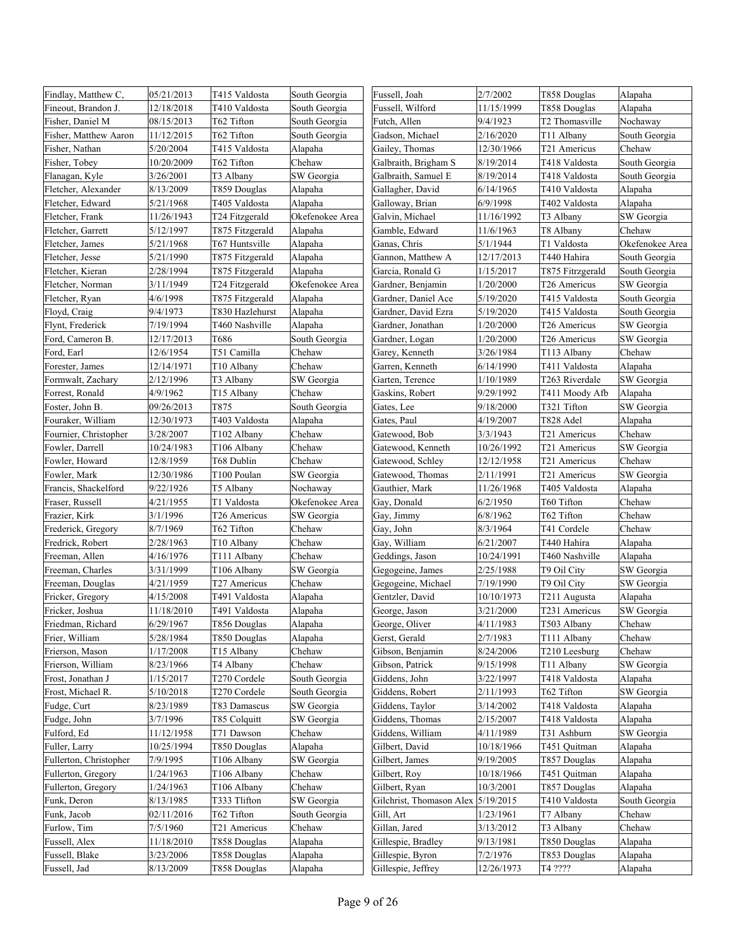| Findlay, Matthew C,    | 05/21/2013 | T415 Valdosta          | South Georgia   | Fussell, Joah            | 2/7/2002   | T858 Douglas     | Alapaha         |
|------------------------|------------|------------------------|-----------------|--------------------------|------------|------------------|-----------------|
| Fineout, Brandon J.    | 12/18/2018 | T410 Valdosta          | South Georgia   | Fussell, Wilford         | 11/15/1999 | T858 Douglas     | Alapaha         |
| Fisher, Daniel M       | 08/15/2013 | T62 Tifton             | South Georgia   | Futch, Allen             | 9/4/1923   | T2 Thomasville   | Nochaway        |
| Fisher, Matthew Aaron  | 11/12/2015 | T62 Tifton             | South Georgia   | Gadson, Michael          | 2/16/2020  | T11 Albany       | South Georgia   |
| Fisher, Nathan         | 5/20/2004  | T415 Valdosta          | Alapaha         | Gailey, Thomas           | 12/30/1966 | T21 Americus     | Chehaw          |
| Fisher, Tobey          | 10/20/2009 | T62 Tifton             | Chehaw          | Galbraith, Brigham S     | 8/19/2014  | T418 Valdosta    | South Georgia   |
| Flanagan, Kyle         | 3/26/2001  | T3 Albany              | SW Georgia      | Galbraith, Samuel E      | 8/19/2014  | T418 Valdosta    | South Georgia   |
| Fletcher, Alexander    | 8/13/2009  | T859 Douglas           | Alapaha         | Gallagher, David         | 6/14/1965  | T410 Valdosta    | Alapaha         |
| Fletcher, Edward       | 5/21/1968  | T405 Valdosta          | Alapaha         | Galloway, Brian          | 6/9/1998   | T402 Valdosta    | Alapaha         |
| Fletcher, Frank        | 11/26/1943 | T24 Fitzgerald         | Okefenokee Area | Galvin, Michael          | 11/16/1992 | T3 Albany        | SW Georgia      |
| Fletcher, Garrett      | 5/12/1997  | T875 Fitzgerald        | Alapaha         | Gamble, Edward           | 11/6/1963  | T8 Albany        | Chehaw          |
| Fletcher, James        | 5/21/1968  | T67 Huntsville         | Alapaha         | Ganas, Chris             | 5/1/1944   | T1 Valdosta      | Okefenokee Area |
| Fletcher, Jesse        | 5/21/1990  | T875 Fitzgerald        | Alapaha         | Gannon, Matthew A        | 12/17/2013 | T440 Hahira      | South Georgia   |
| Fletcher, Kieran       | 2/28/1994  | T875 Fitzgerald        | Alapaha         | Garcia, Ronald G         | 1/15/2017  | T875 Fitrzgerald | South Georgia   |
| Fletcher, Norman       | 3/11/1949  | T24 Fitzgerald         | Okefenokee Area | Gardner, Benjamin        | 1/20/2000  | T26 Americus     | SW Georgia      |
| Fletcher, Ryan         | 4/6/1998   | T875 Fitzgerald        | Alapaha         | Gardner, Daniel Ace      | 5/19/2020  | T415 Valdosta    | South Georgia   |
| Floyd, Craig           | 9/4/1973   | T830 Hazlehurst        | Alapaha         | Gardner, David Ezra      | 5/19/2020  | T415 Valdosta    | South Georgia   |
| Flynt, Frederick       | 7/19/1994  | T460 Nashville         | Alapaha         | Gardner, Jonathan        | 1/20/2000  | T26 Americus     | SW Georgia      |
| Ford, Cameron B.       | 12/17/2013 | T686                   | South Georgia   | Gardner, Logan           | 1/20/2000  | T26 Americus     | SW Georgia      |
| Ford, Earl             | 12/6/1954  | T51 Camilla            | Chehaw          | Garey, Kenneth           | 3/26/1984  | T113 Albany      | Chehaw          |
| Forester, James        | 12/14/1971 | T <sub>10</sub> Albany | Chehaw          | Garren, Kenneth          | 6/14/1990  | T411 Valdosta    | Alapaha         |
| Formwalt, Zachary      | 2/12/1996  | T3 Albany              | SW Georgia      | Garten, Terence          | 1/10/1989  | T263 Riverdale   | SW Georgia      |
| Forrest, Ronald        | 4/9/1962   | T15 Albany             | Chehaw          | Gaskins, Robert          | 9/29/1992  | T411 Moody Afb   | Alapaha         |
| Foster, John B.        | 09/26/2013 | T875                   | South Georgia   | Gates, Lee               | 9/18/2000  | T321 Tifton      | SW Georgia      |
| Fouraker, William      | 12/30/1973 | T403 Valdosta          | Alapaha         | Gates, Paul              | 4/19/2007  | T828 Adel        | Alapaha         |
| Fournier, Christopher  | 3/28/2007  | T102 Albany            | Chehaw          | Gatewood, Bob            | 3/3/1943   | T21 Americus     | Chehaw          |
| Fowler, Darrell        | 10/24/1983 | T106 Albany            | Chehaw          | Gatewood, Kenneth        | 10/26/1992 | T21 Americus     | SW Georgia      |
| Fowler, Howard         | 12/8/1959  | T68 Dublin             | Chehaw          | Gatewood, Schley         | 12/12/1958 | T21 Americus     | Chehaw          |
| Fowler, Mark           | 12/30/1986 | T100 Poulan            | SW Georgia      | Gatewood, Thomas         | 2/11/1991  | T21 Americus     | SW Georgia      |
| Francis, Shackelford   | 9/22/1926  | T5 Albany              | Nochaway        | Gauthier, Mark           | 11/26/1968 | T405 Valdosta    | Alapaha         |
| Fraser, Russell        | 4/21/1955  | T1 Valdosta            | Okefenokee Area | Gay, Donald              | 6/2/1950   | T60 Tifton       | Chehaw          |
| Frazier, Kirk          | 3/1/1996   | T26 Americus           | SW Georgia      | Gay, Jimmy               | 6/8/1962   | T62 Tifton       | Chehaw          |
| Frederick, Gregory     | 8/7/1969   | T62 Tifton             | Chehaw          | Gay, John                | 8/3/1964   | T41 Cordele      | Chehaw          |
| Fredrick, Robert       | 2/28/1963  | T <sub>10</sub> Albany | Chehaw          | Gay, William             | 6/21/2007  | T440 Hahira      | Alapaha         |
| Freeman, Allen         | 4/16/1976  | T111 Albany            | Chehaw          | Geddings, Jason          | 10/24/1991 | T460 Nashville   | Alapaha         |
| Freeman, Charles       | 3/31/1999  | T106 Albany            | SW Georgia      | Gegogeine, James         | 2/25/1988  | T9 Oil City      | SW Georgia      |
| Freeman, Douglas       | 4/21/1959  | T27 Americus           | Chehaw          | Gegogeine, Michael       | 7/19/1990  | T9 Oil City      | SW Georgia      |
| Fricker, Gregory       | 4/15/2008  | T491 Valdosta          | Alapaha         | Gentzler, David          | 10/10/1973 | T211 Augusta     | Alapaha         |
| Fricker, Joshua        | 11/18/2010 | T491 Valdosta          | Alapaha         | George, Jason            | 3/21/2000  | T231 Americus    | SW Georgia      |
| Friedman, Richard      | 6/29/1967  | T856 Douglas           | Alapaha         | George, Oliver           | 4/11/1983  | T503 Albany      | Chehaw          |
| Frier, William         | 5/28/1984  | T850 Douglas           | Alapaha         | Gerst, Gerald            | 2/7/1983   | T111 Albany      | Chehaw          |
| Frierson, Mason        | 1/17/2008  | T15 Albany             | Chehaw          | Gibson, Benjamin         | 8/24/2006  | T210 Leesburg    | Chehaw          |
| Frierson, William      | 8/23/1966  | T4 Albany              | Chehaw          | Gibson, Patrick          | 9/15/1998  | T11 Albany       | SW Georgia      |
| Frost, Jonathan J      | 1/15/2017  | T270 Cordele           | South Georgia   | Giddens, John            | 3/22/1997  | T418 Valdosta    | Alapaha         |
| Frost, Michael R.      | 5/10/2018  | T270 Cordele           | South Georgia   | Giddens, Robert          | 2/11/1993  | T62 Tifton       | SW Georgia      |
| Fudge, Curt            | 8/23/1989  | T83 Damascus           | SW Georgia      | Giddens, Taylor          | 3/14/2002  | T418 Valdosta    | Alapaha         |
| Fudge, John            | 3/7/1996   | T85 Colquitt           | SW Georgia      | Giddens, Thomas          | 2/15/2007  | T418 Valdosta    | Alapaha         |
| Fulford, Ed            | 11/12/1958 | T71 Dawson             | Chehaw          | Giddens, William         | 4/11/1989  | T31 Ashburn      | SW Georgia      |
| Fuller, Larry          | 10/25/1994 | T850 Douglas           | Alapaha         | Gilbert, David           | 10/18/1966 | T451 Quitman     | Alapaha         |
| Fullerton, Christopher | 7/9/1995   | T106 Albany            | SW Georgia      | Gilbert, James           | 9/19/2005  | T857 Douglas     | Alapaha         |
| Fullerton, Gregory     | 1/24/1963  | T106 Albany            | Chehaw          | Gilbert, Roy             | 10/18/1966 | T451 Quitman     | Alapaha         |
| Fullerton, Gregory     | 1/24/1963  | T106 Albany            | Chehaw          | Gilbert, Ryan            | 10/3/2001  | T857 Douglas     | Alapaha         |
| Funk, Deron            | 8/13/1985  | T333 Tlifton           | SW Georgia      | Gilchrist, Thomason Alex | 5/19/2015  | T410 Valdosta    | South Georgia   |
| Funk, Jacob            | 02/11/2016 | T62 Tifton             | South Georgia   | Gill, Art                | 1/23/1961  | T7 Albany        | Chehaw          |
| Furlow, Tim            | 7/5/1960   | T21 Americus           | Chehaw          | Gillan, Jared            | 3/13/2012  | T3 Albany        | Chehaw          |
| Fussell, Alex          | 11/18/2010 | T858 Douglas           | Alapaha         | Gillespie, Bradley       | 9/13/1981  | T850 Douglas     | Alapaha         |
| Fussell, Blake         | 3/23/2006  | T858 Douglas           | Alapaha         | Gillespie, Byron         | 7/2/1976   | T853 Douglas     | Alapaha         |
| Fussell, Jad           | 8/13/2009  | T858 Douglas           | Alapaha         | Gillespie, Jeffrey       | 12/26/1973 | T4 ????          | Alapaha         |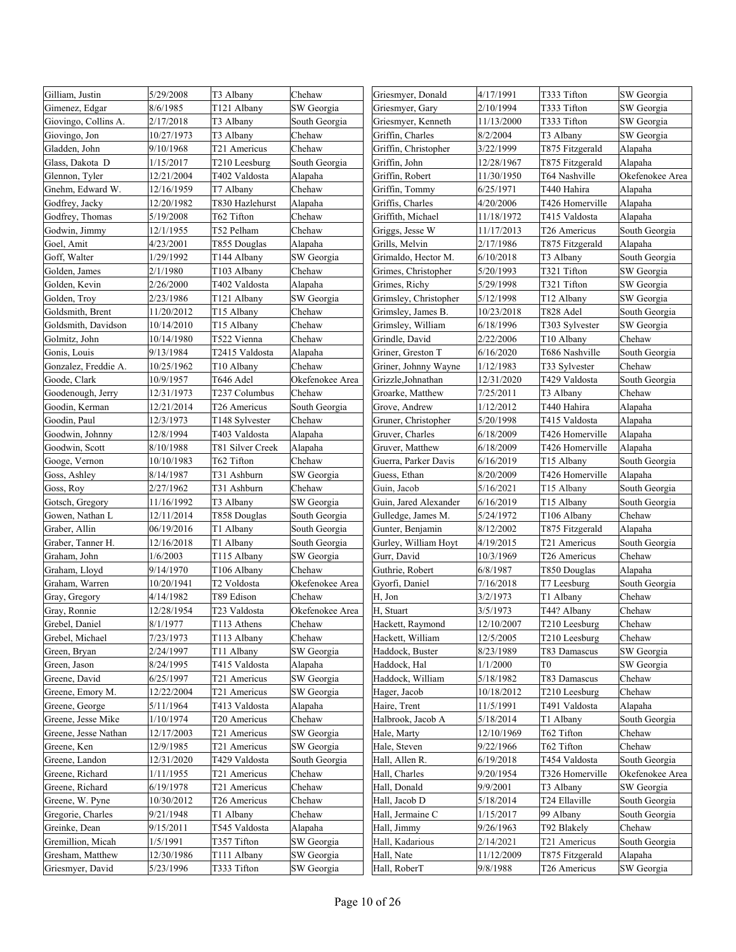| Gilliam, Justin      | 5/29/2008  | T3 Albany        | Chehaw          | Griesmyer, Donald     | 4/17/1991  | T333 Tifton     | SW Georgia      |
|----------------------|------------|------------------|-----------------|-----------------------|------------|-----------------|-----------------|
| Gimenez, Edgar       | 8/6/1985   | T121 Albany      | SW Georgia      | Griesmyer, Gary       | 2/10/1994  | T333 Tifton     | SW Georgia      |
| Giovingo, Collins A. | 2/17/2018  | T3 Albany        | South Georgia   | Griesmyer, Kenneth    | 11/13/2000 | T333 Tifton     | SW Georgia      |
| Giovingo, Jon        | 10/27/1973 | T3 Albany        | Chehaw          | Griffin, Charles      | 8/2/2004   | T3 Albany       | SW Georgia      |
| Gladden, John        | 9/10/1968  | T21 Americus     | Chehaw          | Griffin, Christopher  | 3/22/1999  | T875 Fitzgerald | Alapaha         |
| Glass, Dakota D      | 1/15/2017  | T210 Leesburg    | South Georgia   | Griffin, John         | 12/28/1967 | T875 Fitzgerald | Alapaha         |
| Glennon, Tyler       | 12/21/2004 | T402 Valdosta    | Alapaha         | Griffin, Robert       | 11/30/1950 | T64 Nashville   | Okefenokee Area |
| Gnehm, Edward W.     | 12/16/1959 | T7 Albany        | Chehaw          | Griffin, Tommy        | 6/25/1971  | T440 Hahira     | Alapaha         |
| Godfrey, Jacky       | 12/20/1982 | T830 Hazlehurst  | Alapaha         | Griffis, Charles      | 4/20/2006  | T426 Homerville | Alapaha         |
| Godfrey, Thomas      | 5/19/2008  | T62 Tifton       | Chehaw          | Griffith, Michael     | 11/18/1972 | T415 Valdosta   | Alapaha         |
| Godwin, Jimmy        | 12/1/1955  | T52 Pelham       | Chehaw          | Griggs, Jesse W       | 11/17/2013 | T26 Americus    | South Georgia   |
| Goel, Amit           | 4/23/2001  | T855 Douglas     | Alapaha         | Grills, Melvin        | 2/17/1986  | T875 Fitzgerald | Alapaha         |
| Goff, Walter         | 1/29/1992  | T144 Albany      | SW Georgia      | Grimaldo, Hector M.   | 6/10/2018  | T3 Albany       | South Georgia   |
| Golden, James        | 2/1/1980   | T103 Albany      | Chehaw          | Grimes, Christopher   | 5/20/1993  | T321 Tifton     | SW Georgia      |
| Golden, Kevin        | 2/26/2000  | T402 Valdosta    | Alapaha         | Grimes, Richy         | 5/29/1998  | T321 Tifton     | SW Georgia      |
| Golden, Troy         | 2/23/1986  | T121 Albany      | SW Georgia      | Grimsley, Christopher | 5/12/1998  | T12 Albany      | SW Georgia      |
| Goldsmith, Brent     | 11/20/2012 | T15 Albany       | Chehaw          | Grimsley, James B.    | 10/23/2018 | T828 Adel       | South Georgia   |
| Goldsmith, Davidson  | 10/14/2010 | T15 Albany       | Chehaw          | Grimsley, William     | 6/18/1996  | T303 Sylvester  | SW Georgia      |
| Golmitz, John        | 10/14/1980 | T522 Vienna      | Chehaw          | Grindle, David        | 2/22/2006  | T10 Albany      | Chehaw          |
| Gonis, Louis         | 9/13/1984  | T2415 Valdosta   | Alapaha         | Griner, Greston T     | 6/16/2020  | T686 Nashville  | South Georgia   |
| Gonzalez, Freddie A. | 10/25/1962 | T10 Albany       | Chehaw          | Griner, Johnny Wayne  | 1/12/1983  | T33 Sylvester   | Chehaw          |
| Goode, Clark         | 10/9/1957  | T646 Adel        | Okefenokee Area | Grizzle, Johnathan    | 12/31/2020 | T429 Valdosta   | South Georgia   |
| Goodenough, Jerry    | 12/31/1973 | T237 Columbus    | Chehaw          | Groarke, Matthew      | 7/25/2011  | T3 Albany       | Chehaw          |
| Goodin, Kerman       | 12/21/2014 | T26 Americus     | South Georgia   | Grove, Andrew         | 1/12/2012  | T440 Hahira     | Alapaha         |
| Goodin, Paul         | 12/3/1973  | T148 Sylvester   | Chehaw          | Gruner, Christopher   | 5/20/1998  | T415 Valdosta   | Alapaha         |
| Goodwin, Johnny      | 12/8/1994  | T403 Valdosta    | Alapaha         | Gruver, Charles       | 6/18/2009  | T426 Homerville | Alapaha         |
| Goodwin, Scott       | 8/10/1988  | T81 Silver Creek | Alapaha         | Gruver, Matthew       | 6/18/2009  | T426 Homerville | Alapaha         |
| Googe, Vernon        | 10/10/1983 | T62 Tifton       | Chehaw          | Guerra, Parker Davis  | 6/16/2019  | T15 Albany      | South Georgia   |
| Goss, Ashley         | 8/14/1987  | T31 Ashburn      | SW Georgia      | Guess, Ethan          | 8/20/2009  | T426 Homerville | Alapaha         |
| Goss, Roy            | 2/27/1962  | T31 Ashburn      | Chehaw          | Guin, Jacob           | 5/16/2021  | T15 Albany      | South Georgia   |
| Gotsch, Gregory      | 11/16/1992 | T3 Albany        | SW Georgia      | Guin, Jared Alexander | 6/16/2019  | T15 Albany      | South Georgia   |
| Gowen, Nathan L      | 12/11/2014 | T858 Douglas     | South Georgia   | Gulledge, James M.    | 5/24/1972  | T106 Albany     | Chehaw          |
| Graber, Allin        | 06/19/2016 | T1 Albany        | South Georgia   | Gunter, Benjamin      | 8/12/2002  | T875 Fitzgerald | Alapaha         |
| Graber, Tanner H.    | 12/16/2018 | T1 Albany        | South Georgia   | Gurley, William Hoyt  | 4/19/2015  | T21 Americus    | South Georgia   |
| Graham, John         | 1/6/2003   | T115 Albany      | SW Georgia      | Gurr, David           | 10/3/1969  | T26 Americus    | Chehaw          |
| Graham, Lloyd        | 9/14/1970  | T106 Albany      | Chehaw          | Guthrie, Robert       | 6/8/1987   | T850 Douglas    | Alapaha         |
| Graham, Warren       | 10/20/1941 | T2 Voldosta      | Okefenokee Area | Gyorfi, Daniel        | 7/16/2018  | T7 Leesburg     | South Georgia   |
| Gray, Gregory        | 4/14/1982  | T89 Edison       | Chehaw          | H, Jon                | 3/2/1973   | T1 Albany       | Chehaw          |
| Gray, Ronnie         | 12/28/1954 | T23 Valdosta     | Okefenokee Area | H, Stuart             | 3/5/1973   | T44? Albany     | Chehaw          |
| Grebel, Daniel       | 8/1/1977   | T113 Athens      | Chehaw          | Hackett, Raymond      | 12/10/2007 | T210 Leesburg   | Chehaw          |
| Grebel, Michael      | 7/23/1973  | T113 Albany      | Chehaw          | Hackett, William      | 12/5/2005  | T210 Leesburg   | Chehaw          |
| Green, Bryan         | 2/24/1997  | T11 Albany       | SW Georgia      | Haddock, Buster       | 8/23/1989  | T83 Damascus    | SW Georgia      |
| Green, Jason         | 8/24/1995  | T415 Valdosta    | Alapaha         | Haddock, Hal          | 1/1/2000   | T0              | SW Georgia      |
| Greene, David        | 6/25/1997  | T21 Americus     | SW Georgia      | Haddock, William      | 5/18/1982  | T83 Damascus    | Chehaw          |
| Greene, Emory M.     | 12/22/2004 | T21 Americus     | SW Georgia      | Hager, Jacob          | 10/18/2012 | T210 Leesburg   | Chehaw          |
| Greene, George       | 5/11/1964  | T413 Valdosta    | Alapaha         | Haire, Trent          | 11/5/1991  | T491 Valdosta   | Alapaha         |
| Greene, Jesse Mike   | 1/10/1974  | T20 Americus     | Chehaw          | Halbrook, Jacob A     | 5/18/2014  | T1 Albany       | South Georgia   |
| Greene, Jesse Nathan | 12/17/2003 | T21 Americus     | SW Georgia      | Hale, Marty           | 12/10/1969 | T62 Tifton      | Chehaw          |
| Greene, Ken          | 12/9/1985  | T21 Americus     | SW Georgia      | Hale, Steven          | 9/22/1966  | T62 Tifton      | Chehaw          |
| Greene, Landon       | 12/31/2020 | T429 Valdosta    | South Georgia   | Hall, Allen R.        | 6/19/2018  | T454 Valdosta   | South Georgia   |
| Greene, Richard      | 1/11/1955  | T21 Americus     | Chehaw          | Hall, Charles         | 9/20/1954  | T326 Homerville | Okefenokee Area |
| Greene, Richard      | 6/19/1978  | T21 Americus     | Chehaw          | Hall, Donald          | 9/9/2001   | T3 Albany       | SW Georgia      |
| Greene, W. Pyne      | 10/30/2012 | T26 Americus     | Chehaw          | Hall, Jacob D         | 5/18/2014  | T24 Ellaville   | South Georgia   |
| Gregorie, Charles    | 9/21/1948  | T1 Albany        | Chehaw          | Hall, Jermaine C      | 1/15/2017  | 99 Albany       | South Georgia   |
| Greinke, Dean        | 9/15/2011  | T545 Valdosta    | Alapaha         | Hall, Jimmy           | 9/26/1963  | T92 Blakely     | Chehaw          |
| Gremillion, Micah    | 1/5/1991   | T357 Tifton      | SW Georgia      | Hall, Kadarious       | 2/14/2021  | T21 Americus    | South Georgia   |
| Gresham, Matthew     | 12/30/1986 | T111 Albany      | SW Georgia      | Hall, Nate            | 11/12/2009 | T875 Fitzgerald | Alapaha         |
| Griesmyer, David     | 5/23/1996  | T333 Tifton      | SW Georgia      | Hall, RoberT          | 9/8/1988   | T26 Americus    | SW Georgia      |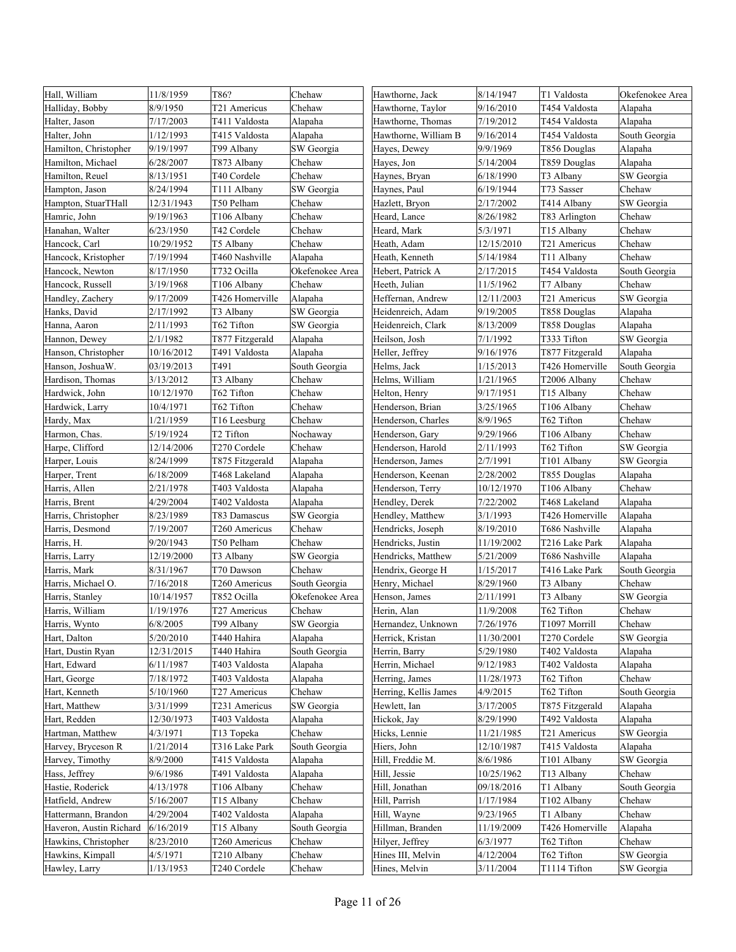| Hall, William           | 11/8/1959  | T86?            | Chehaw          | Hawthorne, Jack       | 8/14/1947  | T1 Valdosta     | Okefenokee Area |
|-------------------------|------------|-----------------|-----------------|-----------------------|------------|-----------------|-----------------|
| Halliday, Bobby         | 8/9/1950   | T21 Americus    | Chehaw          | Hawthorne, Taylor     | 9/16/2010  | T454 Valdosta   | Alapaha         |
| Halter, Jason           | 7/17/2003  | T411 Valdosta   | Alapaha         | Hawthorne, Thomas     | 7/19/2012  | T454 Valdosta   | Alapaha         |
| Halter, John            | 1/12/1993  | T415 Valdosta   | Alapaha         | Hawthorne, William B  | 9/16/2014  | T454 Valdosta   | South Georgia   |
| Hamilton, Christopher   | 9/19/1997  | T99 Albany      | SW Georgia      | Hayes, Dewey          | 9/9/1969   | T856 Douglas    | Alapaha         |
| Hamilton, Michael       | 6/28/2007  | T873 Albany     | Chehaw          | Hayes, Jon            | 5/14/2004  | T859 Douglas    | Alapaha         |
| Hamilton, Reuel         | 8/13/1951  | T40 Cordele     | Chehaw          | Haynes, Bryan         | 6/18/1990  | T3 Albany       | SW Georgia      |
| Hampton, Jason          | 8/24/1994  | T111 Albany     | SW Georgia      | Haynes, Paul          | 6/19/1944  | T73 Sasser      | Chehaw          |
| Hampton, StuarTHall     | 12/31/1943 | T50 Pelham      | Chehaw          | Hazlett, Bryon        | 2/17/2002  | T414 Albany     | SW Georgia      |
| Hamric, John            | 9/19/1963  | T106 Albany     | Chehaw          | Heard, Lance          | 8/26/1982  | T83 Arlington   | Chehaw          |
| Hanahan, Walter         | 6/23/1950  | T42 Cordele     | Chehaw          | Heard, Mark           | 5/3/1971   | T15 Albany      | Chehaw          |
| Hancock, Carl           | 10/29/1952 | T5 Albany       | Chehaw          | Heath, Adam           | 12/15/2010 | T21 Americus    | Chehaw          |
| Hancock, Kristopher     | 7/19/1994  | T460 Nashville  | Alapaha         | Heath, Kenneth        | 5/14/1984  | T11 Albany      | Chehaw          |
| Hancock, Newton         | 8/17/1950  | T732 Ocilla     | Okefenokee Area | Hebert, Patrick A     | 2/17/2015  | T454 Valdosta   | South Georgia   |
| Hancock, Russell        | 3/19/1968  | T106 Albany     | Chehaw          | Heeth, Julian         | 11/5/1962  | T7 Albany       | Chehaw          |
| Handley, Zachery        | 9/17/2009  | T426 Homerville | Alapaha         | Heffernan, Andrew     | 12/11/2003 | T21 Americus    | SW Georgia      |
| Hanks, David            | 2/17/1992  | T3 Albany       | SW Georgia      | Heidenreich, Adam     | 9/19/2005  | T858 Douglas    | Alapaha         |
| Hanna, Aaron            | 2/11/1993  | T62 Tifton      | SW Georgia      | Heidenreich, Clark    | 8/13/2009  | T858 Douglas    | Alapaha         |
| Hannon, Dewey           | 2/1/1982   | T877 Fitzgerald | Alapaha         | Heilson, Josh         | 7/1/1992   | T333 Tifton     | SW Georgia      |
| Hanson, Christopher     | 10/16/2012 | T491 Valdosta   | Alapaha         | Heller, Jeffrey       | 9/16/1976  | T877 Fitzgerald | Alapaha         |
| Hanson, JoshuaW.        | 03/19/2013 | T491            | South Georgia   | Helms, Jack           | 1/15/2013  | T426 Homerville | South Georgia   |
| Hardison, Thomas        | 3/13/2012  | T3 Albany       | Chehaw          | Helms, William        | 1/21/1965  | T2006 Albany    | Chehaw          |
| Hardwick, John          | 10/12/1970 | T62 Tifton      | Chehaw          | Helton, Henry         | 9/17/1951  | T15 Albany      | Chehaw          |
| Hardwick, Larry         | 10/4/1971  | T62 Tifton      | Chehaw          | Henderson, Brian      | 3/25/1965  | T106 Albany     | Chehaw          |
| Hardy, Max              | 1/21/1959  | T16 Leesburg    | Chehaw          | Henderson, Charles    | 8/9/1965   | T62 Tifton      | Chehaw          |
| Harmon, Chas.           | 5/19/1924  | T2 Tifton       | Nochaway        | Henderson, Gary       | 9/29/1966  | T106 Albany     | Chehaw          |
| Harpe, Clifford         | 12/14/2006 | T270 Cordele    | Chehaw          | Henderson, Harold     | 2/11/1993  | T62 Tifton      | SW Georgia      |
| Harper, Louis           | 8/24/1999  | T875 Fitzgerald | Alapaha         | Henderson, James      | 2/7/1991   | T101 Albany     | SW Georgia      |
| Harper, Trent           | 6/18/2009  | T468 Lakeland   | Alapaha         | Henderson, Keenan     | 2/28/2002  | T855 Douglas    | Alapaha         |
| Harris, Allen           | 2/21/1978  | T403 Valdosta   | Alapaha         | Henderson, Terry      | 10/12/1970 | T106 Albany     | Chehaw          |
| Harris, Brent           | 4/29/2004  | T402 Valdosta   | Alapaha         | Hendley, Derek        | 7/22/2002  | T468 Lakeland   | Alapaha         |
| Harris, Christopher     | 8/23/1989  | T83 Damascus    | SW Georgia      | Hendley, Matthew      | 3/1/1993   | T426 Homerville | Alapaha         |
| Harris, Desmond         | 7/19/2007  | T260 Americus   | Chehaw          | Hendricks, Joseph     | 8/19/2010  | T686 Nashville  | Alapaha         |
| Harris, H.              | 9/20/1943  | T50 Pelham      | Chehaw          | Hendricks, Justin     | 11/19/2002 | T216 Lake Park  | Alapaha         |
| Harris, Larry           | 12/19/2000 | T3 Albany       | SW Georgia      | Hendricks, Matthew    | 5/21/2009  | T686 Nashville  | Alapaha         |
| Harris, Mark            | 8/31/1967  | T70 Dawson      | Chehaw          | Hendrix, George H     | 1/15/2017  | T416 Lake Park  | South Georgia   |
| Harris, Michael O.      | 7/16/2018  | T260 Americus   | South Georgia   | Henry, Michael        | 8/29/1960  | T3 Albany       | Chehaw          |
| Harris, Stanley         | 10/14/1957 | T852 Ocilla     | Okefenokee Area | Henson, James         | 2/11/1991  | T3 Albany       | SW Georgia      |
| Harris, William         | 1/19/1976  | T27 Americus    | Chehaw          | Herin, Alan           | 11/9/2008  | T62 Tifton      | Chehaw          |
| Harris, Wynto           | 6/8/2005   | T99 Albany      | SW Georgia      | Hernandez, Unknown    | 7/26/1976  | T1097 Morrill   | Chehaw          |
| Hart, Dalton            | 5/20/2010  | T440 Hahira     | Alapaha         | Herrick, Kristan      | 11/30/2001 | T270 Cordele    | SW Georgia      |
| Hart, Dustin Ryan       | 12/31/2015 | T440 Hahira     | South Georgia   | Herrin, Barry         | 5/29/1980  | T402 Valdosta   | Alapaha         |
| Hart, Edward            | 6/11/1987  | T403 Valdosta   | Alapaha         | Herrin, Michael       | 9/12/1983  | T402 Valdosta   | Alapaha         |
| Hart, George            | 7/18/1972  | T403 Valdosta   | Alapaha         | Herring, James        | 11/28/1973 | T62 Tifton      | Chehaw          |
| Hart, Kenneth           | 5/10/1960  | T27 Americus    | Chehaw          | Herring, Kellis James | 4/9/2015   | T62 Tifton      | South Georgia   |
| Hart, Matthew           | 3/31/1999  | T231 Americus   | SW Georgia      | Hewlett, Ian          | 3/17/2005  | T875 Fitzgerald | Alapaha         |
| Hart, Redden            | 12/30/1973 | T403 Valdosta   | Alapaha         | Hickok, Jay           | 8/29/1990  | T492 Valdosta   | Alapaha         |
| Hartman, Matthew        | 4/3/1971   | T13 Topeka      | Chehaw          | Hicks, Lennie         | 11/21/1985 | T21 Americus    | SW Georgia      |
| Harvey, Bryceson R      | 1/21/2014  | T316 Lake Park  | South Georgia   | Hiers, John           | 12/10/1987 | T415 Valdosta   | Alapaha         |
| Harvey, Timothy         | 8/9/2000   | T415 Valdosta   | Alapaha         | Hill, Freddie M.      | 8/6/1986   | T101 Albany     | SW Georgia      |
| Hass, Jeffrey           | 9/6/1986   | T491 Valdosta   | Alapaha         | Hill, Jessie          | 10/25/1962 | T13 Albany      | Chehaw          |
| Hastie, Roderick        | 4/13/1978  | T106 Albany     | Chehaw          | Hill, Jonathan        | 09/18/2016 | T1 Albany       | South Georgia   |
| Hatfield, Andrew        | 5/16/2007  | T15 Albany      | Chehaw          | Hill, Parrish         | 1/17/1984  | T102 Albany     | Chehaw          |
| Hattermann, Brandon     | 4/29/2004  | T402 Valdosta   | Alapaha         | Hill, Wayne           | 9/23/1965  | T1 Albany       | Chehaw          |
| Haveron, Austin Richard | 6/16/2019  | T15 Albany      | South Georgia   | Hillman, Branden      | 11/19/2009 | T426 Homerville | Alapaha         |
| Hawkins, Christopher    | 8/23/2010  | T260 Americus   | Chehaw          | Hilyer, Jeffrey       | 6/3/1977   | T62 Tifton      | Chehaw          |
| Hawkins, Kimpall        | 4/5/1971   | T210 Albany     | Chehaw          | Hines III, Melvin     | 4/12/2004  | T62 Tifton      | SW Georgia      |
| Hawley, Larry           | 1/13/1953  | T240 Cordele    | Chehaw          | Hines, Melvin         | 3/11/2004  | T1114 Tifton    | SW Georgia      |
|                         |            |                 |                 |                       |            |                 |                 |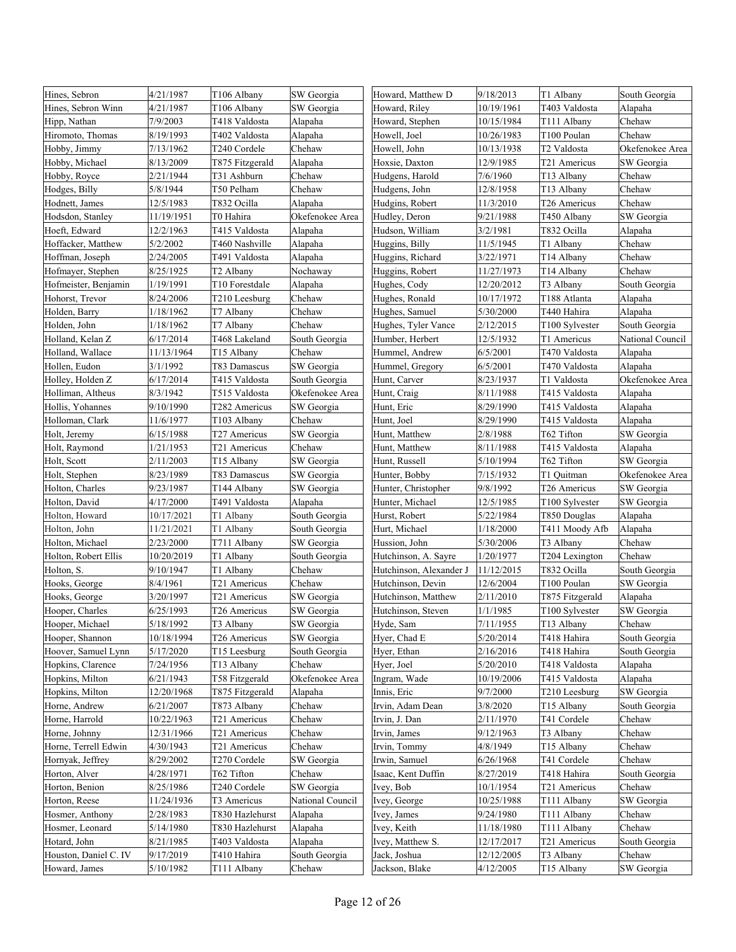| Hines, Sebron         | 4/21/1987  | T106 Albany           | SW Georgia       | Howard, Matthew D       | 9/18/2013  | T1 Albany       | South Georgia    |
|-----------------------|------------|-----------------------|------------------|-------------------------|------------|-----------------|------------------|
| Hines, Sebron Winn    | 4/21/1987  | T106 Albany           | SW Georgia       | Howard, Riley           | 10/19/1961 | T403 Valdosta   | Alapaha          |
| Hipp, Nathan          | 7/9/2003   | T418 Valdosta         | Alapaha          | Howard, Stephen         | 10/15/1984 | T111 Albany     | Chehaw           |
| Hiromoto, Thomas      | 8/19/1993  | T402 Valdosta         | Alapaha          | Howell, Joel            | 10/26/1983 | T100 Poulan     | Chehaw           |
| Hobby, Jimmy          | 7/13/1962  | T240 Cordele          | Chehaw           | Howell, John            | 10/13/1938 | T2 Valdosta     | Okefenokee Area  |
| Hobby, Michael        | 8/13/2009  | T875 Fitzgerald       | Alapaha          | Hoxsie, Daxton          | 12/9/1985  | T21 Americus    | SW Georgia       |
| Hobby, Royce          | 2/21/1944  | T31 Ashburn           | Chehaw           | Hudgens, Harold         | 7/6/1960   | T13 Albany      | Chehaw           |
| Hodges, Billy         | 5/8/1944   | T50 Pelham            | Chehaw           | Hudgens, John           | 12/8/1958  | T13 Albany      | Chehaw           |
| Hodnett, James        | 12/5/1983  | T832 Ocilla           | Alapaha          | Hudgins, Robert         | 11/3/2010  | T26 Americus    | Chehaw           |
| Hodsdon, Stanley      | 11/19/1951 | T0 Hahira             | Okefenokee Area  | Hudley, Deron           | 9/21/1988  | T450 Albany     | SW Georgia       |
| Hoeft, Edward         | 12/2/1963  | T415 Valdosta         | Alapaha          | Hudson, William         | 3/2/1981   | T832 Ocilla     | Alapaha          |
| Hoffacker, Matthew    | 5/2/2002   | T460 Nashville        | Alapaha          | Huggins, Billy          | 11/5/1945  | T1 Albany       | Chehaw           |
| Hoffman, Joseph       | 2/24/2005  | T491 Valdosta         | Alapaha          | Huggins, Richard        | 3/22/1971  | T14 Albany      | Chehaw           |
| Hofmayer, Stephen     | 8/25/1925  | T <sub>2</sub> Albany | Nochaway         | Huggins, Robert         | 11/27/1973 | T14 Albany      | Chehaw           |
| Hofmeister, Benjamin  | 1/19/1991  | T10 Forestdale        | Alapaha          | Hughes, Cody            | 12/20/2012 | T3 Albany       | South Georgia    |
| Hohorst, Trevor       | 8/24/2006  | T210 Leesburg         | Chehaw           | Hughes, Ronald          | 10/17/1972 | T188 Atlanta    | Alapaha          |
| Holden, Barry         | 1/18/1962  | T7 Albany             | Chehaw           | Hughes, Samuel          | 5/30/2000  | T440 Hahira     | Alapaha          |
| Holden, John          | 1/18/1962  | T7 Albany             | Chehaw           | Hughes, Tyler Vance     | 2/12/2015  | T100 Sylvester  | South Georgia    |
| Holland, Kelan Z      | 6/17/2014  | T468 Lakeland         | South Georgia    | Humber, Herbert         | 12/5/1932  | T1 Americus     | National Council |
| Holland, Wallace      | 11/13/1964 | T15 Albany            | Chehaw           | Hummel, Andrew          | 6/5/2001   | T470 Valdosta   | Alapaha          |
| Hollen, Eudon         | 3/1/1992   | T83 Damascus          | SW Georgia       | Hummel, Gregory         | 6/5/2001   | T470 Valdosta   | Alapaha          |
| Holley, Holden Z      | 6/17/2014  | T415 Valdosta         | South Georgia    | Hunt, Carver            | 8/23/1937  | T1 Valdosta     | Okefenokee Area  |
| Holliman, Altheus     | 8/3/1942   | T515 Valdosta         | Okefenokee Area  | Hunt, Craig             | 8/11/1988  | T415 Valdosta   | Alapaha          |
| Hollis, Yohannes      | 9/10/1990  | T282 Americus         | SW Georgia       | Hunt, Eric              | 8/29/1990  | T415 Valdosta   | Alapaha          |
| Holloman, Clark       | 11/6/1977  | T103 Albany           | Chehaw           | Hunt, Joel              | 8/29/1990  | T415 Valdosta   | Alapaha          |
| Holt, Jeremy          | 6/15/1988  | T27 Americus          | SW Georgia       | Hunt, Matthew           | 2/8/1988   | T62 Tifton      | SW Georgia       |
| Holt, Raymond         | 1/21/1953  | T21 Americus          | Chehaw           | Hunt, Matthew           | 8/11/1988  | T415 Valdosta   | Alapaha          |
| Holt, Scott           | 2/11/2003  | T15 Albany            | SW Georgia       | Hunt, Russell           | 5/10/1994  | T62 Tifton      | SW Georgia       |
| Holt, Stephen         | 8/23/1989  | T83 Damascus          | SW Georgia       | Hunter, Bobby           | 7/15/1932  | T1 Quitman      | Okefenokee Area  |
| Holton, Charles       | 9/23/1987  | T144 Albany           | SW Georgia       | Hunter, Christopher     | 9/8/1992   | T26 Americus    | SW Georgia       |
| Holton, David         | 4/17/2000  | T491 Valdosta         | Alapaha          | Hunter, Michael         | 12/5/1985  | T100 Sylvester  | SW Georgia       |
| Holton, Howard        | 10/17/2021 | T1 Albany             | South Georgia    | Hurst, Robert           | 5/22/1984  | T850 Douglas    | Alapaha          |
| Holton, John          | 11/21/2021 | T1 Albany             | South Georgia    | Hurt, Michael           | 1/18/2000  | T411 Moody Afb  | Alapaha          |
| Holton, Michael       | 2/23/2000  | T711 Albany           | SW Georgia       | Hussion, John           | 5/30/2006  | T3 Albany       | Chehaw           |
| Holton, Robert Ellis  | 10/20/2019 | T1 Albany             | South Georgia    | Hutchinson, A. Sayre    | 1/20/1977  | T204 Lexington  | Chehaw           |
| Holton, S.            | 9/10/1947  | T1 Albany             | Chehaw           | Hutchinson, Alexander J | 11/12/2015 | T832 Ocilla     | South Georgia    |
| Hooks, George         | 8/4/1961   | T21 Americus          | Chehaw           | Hutchinson, Devin       | 12/6/2004  | T100 Poulan     | SW Georgia       |
| Hooks, George         | 3/20/1997  | T21 Americus          | SW Georgia       | Hutchinson, Matthew     | 2/11/2010  | T875 Fitzgerald | Alapaha          |
| Hooper, Charles       | 6/25/1993  | T26 Americus          | SW Georgia       | Hutchinson, Steven      | 1/1/1985   | T100 Sylvester  | SW Georgia       |
| Hooper, Michael       | 5/18/1992  | T3 Albany             | SW Georgia       | Hyde, Sam               | 7/11/1955  | T13 Albany      | Chehaw           |
| Hooper, Shannon       | 10/18/1994 | T26 Americus          | SW Georgia       | Hyer, Chad E            | 5/20/2014  | T418 Hahira     | South Georgia    |
| Hoover, Samuel Lynn   | 5/17/2020  | T15 Leesburg          | South Georgia    | Hyer, Ethan             | 2/16/2016  | T418 Hahira     | South Georgia    |
| Hopkins, Clarence     | 7/24/1956  | T13 Albany            | Chehaw           | Hyer, Joel              | 5/20/2010  | T418 Valdosta   | Alapaha          |
| Hopkins, Milton       | 6/21/1943  | T58 Fitzgerald        | Okefenokee Area  | Ingram, Wade            | 10/19/2006 | T415 Valdosta   | Alapaha          |
| Hopkins, Milton       | 12/20/1968 | T875 Fitzgerald       | Alapaha          | Innis, Eric             | 9/7/2000   | T210 Leesburg   | SW Georgia       |
| Horne, Andrew         | 6/21/2007  | T873 Albany           | Chehaw           | Irvin, Adam Dean        | 3/8/2020   | T15 Albany      | South Georgia    |
| Horne, Harrold        | 10/22/1963 | T21 Americus          | Chehaw           | Irvin, J. Dan           | 2/11/1970  | T41 Cordele     | Chehaw           |
| Horne, Johnny         | 12/31/1966 | T21 Americus          | Chehaw           | Irvin, James            | 9/12/1963  | T3 Albany       | Chehaw           |
| Horne, Terrell Edwin  | 4/30/1943  | T21 Americus          | Chehaw           | Irvin, Tommy            | 4/8/1949   | T15 Albany      | Chehaw           |
| Hornyak, Jeffrey      | 8/29/2002  | T270 Cordele          | SW Georgia       | Irwin, Samuel           | 6/26/1968  | T41 Cordele     | Chehaw           |
| Horton, Alver         | 4/28/1971  | T62 Tifton            | Chehaw           | Isaac, Kent Duffin      | 8/27/2019  | T418 Hahira     | South Georgia    |
| Horton, Benion        | 8/25/1986  | T240 Cordele          | SW Georgia       | Ivey, Bob               | 10/1/1954  | T21 Americus    | Chehaw           |
| Horton, Reese         | 11/24/1936 | T3 Americus           | National Council | Ivey, George            | 10/25/1988 | T111 Albany     | SW Georgia       |
| Hosmer, Anthony       | 2/28/1983  | T830 Hazlehurst       | Alapaha          | Ivey, James             | 9/24/1980  | T111 Albany     | Chehaw           |
| Hosmer, Leonard       | 5/14/1980  | T830 Hazlehurst       | Alapaha          | Ivey, Keith             | 11/18/1980 | T111 Albany     | Chehaw           |
| Hotard, John          | 8/21/1985  | T403 Valdosta         | Alapaha          | Ivey, Matthew S.        | 12/17/2017 | T21 Americus    | South Georgia    |
| Houston, Daniel C. IV | 9/17/2019  | T410 Hahira           | South Georgia    | Jack, Joshua            | 12/12/2005 | T3 Albany       | Chehaw           |
| Howard, James         | 5/10/1982  | T111 Albany           | Chehaw           | Jackson, Blake          | 4/12/2005  | T15 Albany      | SW Georgia       |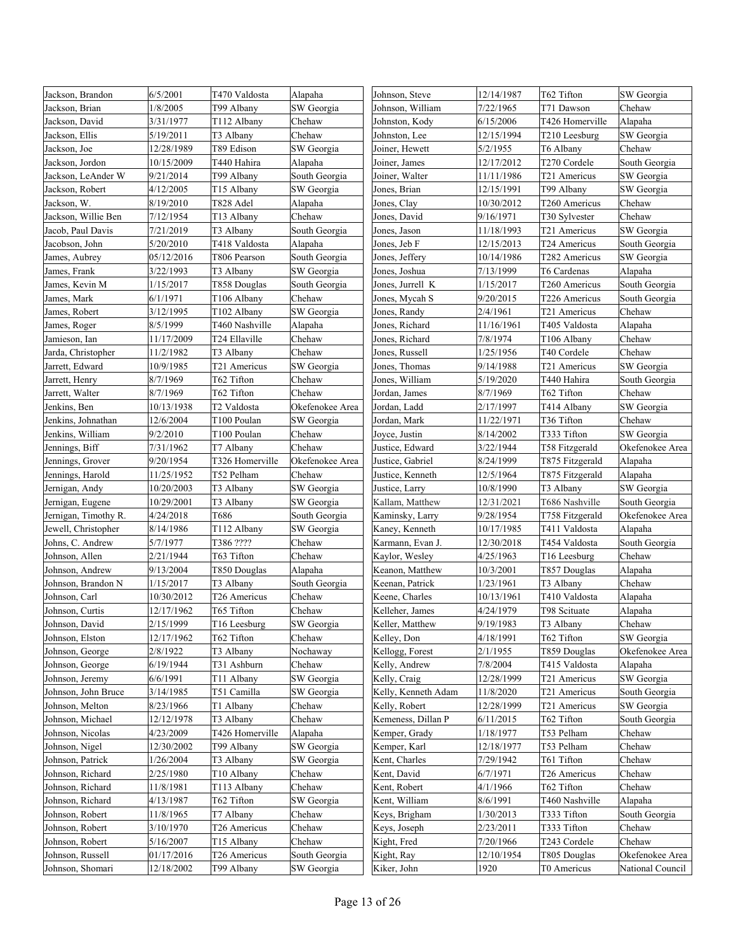| Jackson, Brandon     | 6/5/2001   | T470 Valdosta   | Alapaha         | Johnson, Steve      | 12/14/1987 | T62 Tifton      | SW Georgia       |
|----------------------|------------|-----------------|-----------------|---------------------|------------|-----------------|------------------|
| Jackson, Brian       | 1/8/2005   | T99 Albany      | SW Georgia      | Johnson, William    | 7/22/1965  | T71 Dawson      | Chehaw           |
| Jackson, David       | 3/31/1977  | T112 Albany     | Chehaw          | Johnston, Kody      | 6/15/2006  | T426 Homerville | Alapaha          |
| Jackson, Ellis       | 5/19/2011  | T3 Albany       | Chehaw          | Johnston, Lee       | 12/15/1994 | T210 Leesburg   | SW Georgia       |
| Jackson, Joe         | 12/28/1989 | T89 Edison      | SW Georgia      | Joiner, Hewett      | 5/2/1955   | T6 Albany       | Chehaw           |
| Jackson, Jordon      | 10/15/2009 | T440 Hahira     | Alapaha         | Joiner, James       | 12/17/2012 | T270 Cordele    | South Georgia    |
| Jackson, LeAnder W   | 9/21/2014  | T99 Albany      | South Georgia   | Joiner, Walter      | 11/11/1986 | T21 Americus    | SW Georgia       |
| Jackson, Robert      | 4/12/2005  | T15 Albany      | SW Georgia      | Jones, Brian        | 12/15/1991 | T99 Albany      | SW Georgia       |
| Jackson, W.          | 8/19/2010  | T828 Adel       | Alapaha         | Jones, Clay         | 10/30/2012 | T260 Americus   | Chehaw           |
| Jackson, Willie Ben  | 7/12/1954  | T13 Albany      | Chehaw          | Jones, David        | 9/16/1971  | T30 Sylvester   | Chehaw           |
| Jacob, Paul Davis    | 7/21/2019  | T3 Albany       | South Georgia   | Jones, Jason        | 11/18/1993 | T21 Americus    | SW Georgia       |
| Jacobson, John       | 5/20/2010  | T418 Valdosta   | Alapaha         | Jones, Jeb F        | 12/15/2013 | T24 Americus    | South Georgia    |
| James, Aubrey        | 05/12/2016 | T806 Pearson    | South Georgia   | Jones, Jeffery      | 10/14/1986 | T282 Americus   | SW Georgia       |
| James, Frank         | 3/22/1993  | T3 Albany       | SW Georgia      | Jones, Joshua       | 7/13/1999  | T6 Cardenas     | Alapaha          |
| James, Kevin M       | 1/15/2017  | T858 Douglas    | South Georgia   | Jones, Jurrell K    | 1/15/2017  | T260 Americus   | South Georgia    |
| James, Mark          | 6/1/1971   | T106 Albany     | Chehaw          | Jones, Mycah S      | 9/20/2015  | T226 Americus   | South Georgia    |
| James, Robert        | 3/12/1995  | T102 Albany     | SW Georgia      | Jones, Randy        | 2/4/1961   | T21 Americus    | Chehaw           |
| James, Roger         | 8/5/1999   | T460 Nashville  | Alapaha         | Jones, Richard      | 11/16/1961 | T405 Valdosta   | Alapaha          |
| Jamieson, Ian        | 11/17/2009 | T24 Ellaville   | Chehaw          | Jones, Richard      | 7/8/1974   | T106 Albany     | Chehaw           |
| Jarda, Christopher   | 11/2/1982  | T3 Albany       | Chehaw          | Jones, Russell      | 1/25/1956  | T40 Cordele     | Chehaw           |
| Jarrett, Edward      | 10/9/1985  | T21 Americus    | SW Georgia      | Jones, Thomas       | 9/14/1988  | T21 Americus    | SW Georgia       |
| Jarrett, Henry       | 8/7/1969   | T62 Tifton      | Chehaw          | Jones, William      | 5/19/2020  | T440 Hahira     | South Georgia    |
| Jarrett, Walter      | 8/7/1969   | T62 Tifton      | Chehaw          | Jordan, James       | 8/7/1969   | T62 Tifton      | Chehaw           |
| Jenkins, Ben         | 10/13/1938 | T2 Valdosta     | Okefenokee Area | Jordan, Ladd        | 2/17/1997  | T414 Albany     | SW Georgia       |
| Jenkins, Johnathan   | 12/6/2004  | T100 Poulan     | SW Georgia      | Jordan, Mark        | 11/22/1971 | T36 Tifton      | Chehaw           |
| Jenkins, William     | 9/2/2010   | T100 Poulan     | Chehaw          | Joyce, Justin       | 8/14/2002  | T333 Tifton     | SW Georgia       |
| Jennings, Biff       | 7/31/1962  | T7 Albany       | Chehaw          | Justice, Edward     | 3/22/1944  | T58 Fitzgerald  | Okefenokee Area  |
| Jennings, Grover     | 9/20/1954  | T326 Homerville | Okefenokee Area | Justice, Gabriel    | 8/24/1999  | T875 Fitzgerald | Alapaha          |
| Jennings, Harold     | 11/25/1952 | T52 Pelham      | Chehaw          | Justice, Kenneth    | 12/5/1964  | T875 Fitzgerald | Alapaha          |
| Jernigan, Andy       | 10/20/2003 | T3 Albany       | SW Georgia      | Justice, Larry      | 10/8/1990  | T3 Albany       | SW Georgia       |
| Jernigan, Eugene     | 10/29/2001 | T3 Albany       | SW Georgia      | Kallam, Matthew     | 12/31/2021 | T686 Nashville  | South Georgia    |
| Jernigan, Timothy R. | 4/24/2018  | T686            | South Georgia   | Kaminsky, Larry     | 9/28/1954  | T758 Fitzgerald | Okefenokee Area  |
| Jewell, Christopher  | 8/14/1986  | T112 Albany     | SW Georgia      | Kaney, Kenneth      | 10/17/1985 | T411 Valdosta   | Alapaha          |
| Johns, C. Andrew     | 5/7/1977   | T386 ????       | Chehaw          | Karmann, Evan J.    | 12/30/2018 | T454 Valdosta   | South Georgia    |
| Johnson, Allen       | 2/21/1944  | T63 Tifton      | Chehaw          | Kaylor, Wesley      | 4/25/1963  | T16 Leesburg    | Chehaw           |
| Johnson, Andrew      | 9/13/2004  | T850 Douglas    | Alapaha         | Keanon, Matthew     | 10/3/2001  | T857 Douglas    | Alapaha          |
| Johnson, Brandon N   | 1/15/2017  | T3 Albany       | South Georgia   | Keenan, Patrick     | 1/23/1961  | T3 Albany       | Chehaw           |
| Johnson, Carl        | 10/30/2012 | T26 Americus    | Chehaw          | Keene, Charles      | 10/13/1961 | T410 Valdosta   | Alapaha          |
| Johnson, Curtis      | 12/17/1962 | T65 Tifton      | Chehaw          | Kelleher, James     | 4/24/1979  | T98 Scituate    | Alapaha          |
| Johnson, David       | 2/15/1999  | T16 Leesburg    | SW Georgia      | Keller, Matthew     | 9/19/1983  | T3 Albany       | Chehaw           |
| Johnson, Elston      | 12/17/1962 | T62 Tifton      | Chehaw          | Kelley, Don         | 4/18/1991  | T62 Tifton      | SW Georgia       |
| Johnson, George      | 2/8/1922   | T3 Albany       | Nochaway        | Kellogg, Forest     | 2/1/1955   | T859 Douglas    | Okefenokee Area  |
| Johnson, George      | 6/19/1944  | T31 Ashburn     | Chehaw          | Kelly, Andrew       | 7/8/2004   | T415 Valdosta   | Alapaha          |
| Johnson, Jeremy      | 6/6/1991   | T11 Albany      | SW Georgia      | Kelly, Craig        | 12/28/1999 | T21 Americus    | SW Georgia       |
| Johnson, John Bruce  | 3/14/1985  | T51 Camilla     | SW Georgia      | Kelly, Kenneth Adam | 11/8/2020  | T21 Americus    | South Georgia    |
| Johnson, Melton      | 8/23/1966  | T1 Albany       | Chehaw          | Kelly, Robert       | 12/28/1999 | T21 Americus    | SW Georgia       |
| Johnson, Michael     | 12/12/1978 | T3 Albany       | Chehaw          | Kemeness, Dillan P  | 6/11/2015  | T62 Tifton      | South Georgia    |
| Johnson, Nicolas     | 4/23/2009  | T426 Homerville | Alapaha         | Kemper, Grady       | 1/18/1977  | T53 Pelham      | Chehaw           |
| Johnson, Nigel       | 12/30/2002 | T99 Albany      | SW Georgia      | Kemper, Karl        | 12/18/1977 | T53 Pelham      | Chehaw           |
| Johnson, Patrick     | 1/26/2004  | T3 Albany       | SW Georgia      | Kent, Charles       | 7/29/1942  | T61 Tifton      | Chehaw           |
| Johnson, Richard     | 2/25/1980  | T10 Albany      | Chehaw          | Kent, David         | 6/7/1971   | T26 Americus    | Chehaw           |
| Johnson, Richard     | 11/8/1981  | T113 Albany     | Chehaw          | Kent, Robert        | 4/1/1966   | T62 Tifton      | Chehaw           |
| Johnson, Richard     | 4/13/1987  | T62 Tifton      | SW Georgia      | Kent, William       | 8/6/1991   | T460 Nashville  | Alapaha          |
| Johnson, Robert      | 11/8/1965  | T7 Albany       | Chehaw          | Keys, Brigham       | 1/30/2013  | T333 Tifton     | South Georgia    |
| Johnson, Robert      | 3/10/1970  | T26 Americus    | Chehaw          | Keys, Joseph        | 2/23/2011  | T333 Tifton     | Chehaw           |
| Johnson, Robert      | 5/16/2007  | T15 Albany      | Chehaw          | Kight, Fred         | 7/20/1966  | T243 Cordele    | Chehaw           |
| Johnson, Russell     | 01/17/2016 | T26 Americus    | South Georgia   | Kight, Ray          | 12/10/1954 | T805 Douglas    | Okefenokee Area  |
| Johnson, Shomari     | 12/18/2002 | T99 Albany      | SW Georgia      | Kiker, John         | 1920       | T0 Americus     | National Council |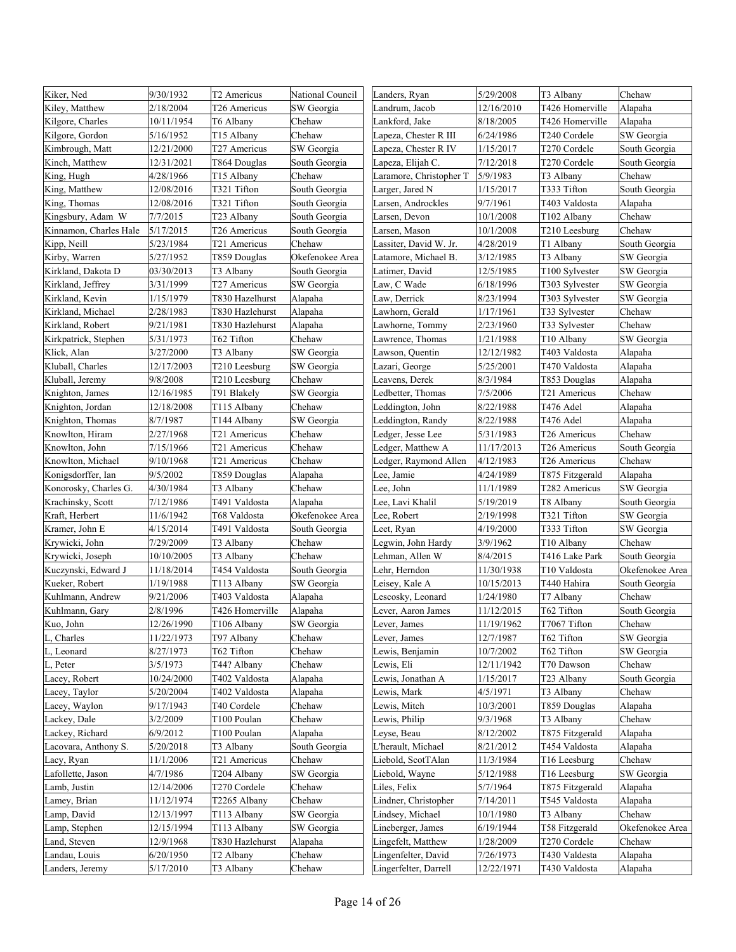| 2/18/2004<br>12/16/2010<br>T426 Homerville<br>Kiley, Matthew<br>T26 Americus<br>SW Georgia<br>Landrum, Jacob        | Alapaha         |
|---------------------------------------------------------------------------------------------------------------------|-----------------|
| Kilgore, Charles<br>10/11/1954<br>T6 Albany<br>Chehaw<br>Lankford, Jake<br>8/18/2005<br>T426 Homerville             | Alapaha         |
| Kilgore, Gordon<br>5/16/1952<br>T15 Albany<br>Chehaw<br>Lapeza, Chester R III<br>6/24/1986<br>T240 Cordele          | SW Georgia      |
| SW Georgia<br>1/15/2017<br>T270 Cordele<br>Kimbrough, Matt<br>12/21/2000<br>T27 Americus<br>Lapeza, Chester R IV    | South Georgia   |
| 7/12/2018<br>T270 Cordele<br>Kinch, Matthew<br>12/31/2021<br>T864 Douglas<br>South Georgia<br>Lapeza, Elijah C.     | South Georgia   |
| 4/28/1966<br>T15 Albany<br>Chehaw<br>Laramore, Christopher T<br>5/9/1983<br>T3 Albany<br>King, Hugh                 | Chehaw          |
| King, Matthew<br>12/08/2016<br>T321 Tifton<br>South Georgia<br>Larger, Jared N<br>1/15/2017<br>T333 Tifton          | South Georgia   |
| 12/08/2016<br>T321 Tifton<br>9/7/1961<br>T403 Valdosta<br>King, Thomas<br>South Georgia<br>Larsen, Androckles       | Alapaha         |
| Kingsbury, Adam W<br>7/7/2015<br>10/1/2008<br>T23 Albany<br>South Georgia<br>Larsen, Devon<br>T102 Albany           | Chehaw          |
| Kinnamon, Charles Hale<br>5/17/2015<br>10/1/2008<br>T210 Leesburg<br>T26 Americus<br>South Georgia<br>Larsen, Mason | Chehaw          |
| 5/23/1984<br>T21 Americus<br>Chehaw<br>Lassiter, David W. Jr.<br>4/28/2019<br>T1 Albany<br>Kipp, Neill              | South Georgia   |
| Kirby, Warren<br>5/27/1952<br>T859 Douglas<br>3/12/1985<br>T3 Albany<br>Okefenokee Area<br>Latamore, Michael B.     | SW Georgia      |
| Kirkland, Dakota D<br>03/30/2013<br>T3 Albany<br>South Georgia<br>12/5/1985<br>Latimer, David<br>T100 Sylvester     | SW Georgia      |
| 3/31/1999<br>6/18/1996<br>Kirkland, Jeffrey<br>T27 Americus<br>SW Georgia<br>Law, C Wade<br>T303 Sylvester          | SW Georgia      |
| Kirkland, Kevin<br>T830 Hazelhurst<br>Law, Derrick<br>8/23/1994<br>1/15/1979<br>Alapaha<br>T303 Sylvester           | SW Georgia      |
| Kirkland, Michael<br>2/28/1983<br>T830 Hazlehurst<br>Lawhorn, Gerald<br>1/17/1961<br>T33 Sylvester<br>Alapaha       | Chehaw          |
| Kirkland, Robert<br>9/21/1981<br>T830 Hazlehurst<br>Alapaha<br>Lawhorne, Tommy<br>2/23/1960<br>T33 Sylvester        | Chehaw          |
| Kirkpatrick, Stephen<br>5/31/1973<br>T62 Tifton<br>Chehaw<br>Lawrence, Thomas<br>1/21/1988<br>T10 Albany            | SW Georgia      |
| Klick, Alan<br>3/27/2000<br>T3 Albany<br>SW Georgia<br>12/12/1982<br>T403 Valdosta<br>Lawson, Quentin               | Alapaha         |
| 5/25/2001<br>Kluball, Charles<br>12/17/2003<br>T210 Leesburg<br>SW Georgia<br>T470 Valdosta<br>Lazari, George       | Alapaha         |
| 9/8/2008<br>Leavens, Derek<br>8/3/1984<br>Kluball, Jeremy<br>T210 Leesburg<br>Chehaw<br>T853 Douglas                | Alapaha         |
| 7/5/2006<br>12/16/1985<br>T91 Blakely<br>SW Georgia<br>Ledbetter, Thomas<br>T21 Americus<br>Knighton, James         | Chehaw          |
| Knighton, Jordan<br>12/18/2008<br>T115 Albany<br>Chehaw<br>Leddington, John<br>8/22/1988<br>T476 Adel               | Alapaha         |
| Knighton, Thomas<br>8/7/1987<br>SW Georgia<br>Leddington, Randy<br>8/22/1988<br>T476 Adel<br>T144 Albany            | Alapaha         |
| Knowlton, Hiram<br>2/27/1968<br>Ledger, Jesse Lee<br>5/31/1983<br>T21 Americus<br>Chehaw<br>T26 Americus            | Chehaw          |
| 7/15/1966<br>Ledger, Matthew A<br>11/17/2013<br>Knowlton, John<br>T21 Americus<br>Chehaw<br>T26 Americus            | South Georgia   |
| Knowlton, Michael<br>9/10/1968<br>Chehaw<br>Ledger, Raymond Allen<br>4/12/1983<br>T26 Americus<br>T21 Americus      | Chehaw          |
| Konigsdorffer, Ian<br>9/5/2002<br>T859 Douglas<br>Alapaha<br>Lee, Jamie<br>4/24/1989<br>T875 Fitzgerald             | Alapaha         |
| Konorosky, Charles G.<br>4/30/1984<br>T3 Albany<br>Chehaw<br>Lee, John<br>11/1/1989<br>T282 Americus                | SW Georgia      |
| 7/12/1986<br>T491 Valdosta<br>Lee, Lavi Khalil<br>5/19/2019<br>Krachinsky, Scott<br>Alapaha<br>T8 Albany            | South Georgia   |
| 2/19/1998<br>T321 Tifton<br>Kraft, Herbert<br>11/6/1942<br>T68 Valdosta<br>Okefenokee Area<br>Lee, Robert           | SW Georgia      |
| Kramer, John E<br>4/15/2014<br>T491 Valdosta<br>South Georgia<br>Leet, Ryan<br>4/19/2000<br>T333 Tifton             | SW Georgia      |
| Krywicki, John<br>7/29/2009<br>T3 Albany<br>Chehaw<br>Legwin, John Hardy<br>3/9/1962<br>T10 Albany                  | Chehaw          |
| Lehman, Allen W<br>8/4/2015<br>Krywicki, Joseph<br>10/10/2005<br>T3 Albany<br>Chehaw<br>T416 Lake Park              | South Georgia   |
| Kuczynski, Edward J<br>11/18/2014<br>T454 Valdosta<br>South Georgia<br>11/30/1938<br>T10 Valdosta<br>Lehr, Herndon  | Okefenokee Area |
| Kueker, Robert<br>1/19/1988<br>T113 Albany<br>SW Georgia<br>Leisey, Kale A<br>10/15/2013<br>T440 Hahira             | South Georgia   |
| 9/21/2006<br>1/24/1980<br>T7 Albany<br>Kuhlmann, Andrew<br>T403 Valdosta<br>Alapaha<br>Lescosky, Leonard            | Chehaw          |
| Kuhlmann, Gary<br>2/8/1996<br>T426 Homerville<br>11/12/2015<br>T62 Tifton<br>Alapaha<br>Lever, Aaron James          | South Georgia   |
| SW Georgia<br>Kuo, John<br>12/26/1990<br>11/19/1962<br>T7067 Tifton<br>T106 Albany<br>Lever, James                  | Chehaw          |
| 12/7/1987<br>11/22/1973<br>T97 Albany<br>T62 Tifton<br>Charles<br>Chehaw<br>Lever, James                            | SW Georgia      |
| 8/27/1973<br>10/7/2002<br>T62 Tifton<br>, Leonard<br>T62 Tifton<br>Chehaw<br>Lewis, Benjamin                        | SW Georgia      |
| 3/5/1973<br>T44? Albany<br>Chehaw<br>Lewis, Eli<br>12/11/1942<br>T70 Dawson<br>L, Peter                             | Chehaw          |
| 10/24/2000<br>T402 Valdosta<br>Lewis, Jonathan A<br>1/15/2017<br>T23 Albany<br>Lacey, Robert<br>Alapaha             | South Georgia   |
| Lacey, Taylor<br>5/20/2004<br>T402 Valdosta<br>Alapaha<br>Lewis, Mark<br>4/5/1971<br>T3 Albany                      | Chehaw          |
| 9/17/1943<br>Chehaw<br>Lewis, Mitch<br>10/3/2001<br>T859 Douglas<br>Lacey, Waylon<br>T40 Cordele                    | Alapaha         |
| 3/2/2009<br>9/3/1968<br>Lackey, Dale<br>T100 Poulan<br>Chehaw<br>Lewis, Philip<br>T3 Albany                         | Chehaw          |
| 6/9/2012<br>8/12/2002<br>Lackey, Richard<br>T100 Poulan<br>Leyse, Beau<br>T875 Fitzgerald<br>Alapaha                | Alapaha         |
| 5/20/2018<br>8/21/2012<br>Lacovara, Anthony S.<br>T3 Albany<br>South Georgia<br>L'herault, Michael<br>T454 Valdosta | Alapaha         |
| 11/1/2006<br>Liebold, ScotTAlan<br>11/3/1984<br>Lacy, Ryan<br>T21 Americus<br>Chehaw<br>T16 Leesburg                | Chehaw          |
| 4/7/1986<br>5/12/1988<br>Lafollette, Jason<br>T204 Albany<br>SW Georgia<br>Liebold, Wayne<br>T16 Leesburg           | SW Georgia      |
| Lamb, Justin<br>12/14/2006<br>T270 Cordele<br>Liles, Felix<br>5/7/1964<br>T875 Fitzgerald<br>Chehaw                 | Alapaha         |
| 11/12/1974<br>T2265 Albany<br>Lindner, Christopher<br>7/14/2011<br>Lamey, Brian<br>Chehaw<br>T545 Valdosta          | Alapaha         |
| Lamp, David<br>12/13/1997<br>T113 Albany<br>SW Georgia<br>Lindsey, Michael<br>10/1/1980<br>T3 Albany                | Chehaw          |
| 12/15/1994<br>6/19/1944<br>Lamp, Stephen<br>T113 Albany<br>SW Georgia<br>Lineberger, James<br>T58 Fitzgerald        | Okefenokee Area |
| 1/28/2009<br>12/9/1968<br>T830 Hazlehurst<br>Lingefelt, Matthew<br>T270 Cordele<br>Land, Steven<br>Alapaha          | Chehaw          |
| 6/20/1950<br>7/26/1973<br>Landau, Louis<br>Chehaw<br>Lingenfelter, David<br>T430 Valdesta<br>T2 Albany              | Alapaha         |
| 12/22/1971<br>5/17/2010<br>T3 Albany<br>Chehaw<br>Lingerfelter, Darrell<br>T430 Valdosta<br>Landers, Jeremy         | Alapaha         |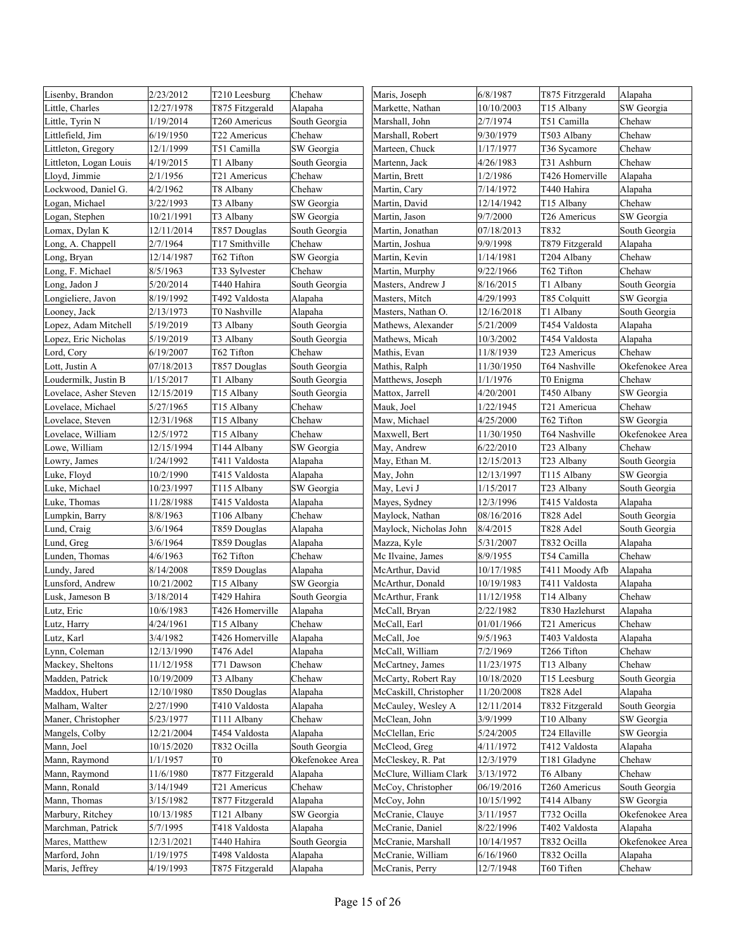| Lisenby, Brandon       | 2/23/2012  | T210 Leesburg   | Chehaw          | Maris, Joseph          | 6/8/1987   | T875 Fitrzgerald | Alapaha         |
|------------------------|------------|-----------------|-----------------|------------------------|------------|------------------|-----------------|
| Little, Charles        | 12/27/1978 | T875 Fitzgerald | Alapaha         | Markette, Nathan       | 10/10/2003 | T15 Albany       | SW Georgia      |
| Little, Tyrin N        | 1/19/2014  | T260 Americus   | South Georgia   | Marshall, John         | 2/7/1974   | T51 Camilla      | Chehaw          |
| Littlefield, Jim       | 6/19/1950  | T22 Americus    | Chehaw          | Marshall, Robert       | 9/30/1979  | T503 Albany      | Chehaw          |
| Littleton, Gregory     | 12/1/1999  | T51 Camilla     | SW Georgia      | Marteen, Chuck         | 1/17/1977  | T36 Sycamore     | Chehaw          |
| Littleton, Logan Louis | 4/19/2015  | T1 Albany       | South Georgia   | Martenn, Jack          | 4/26/1983  | T31 Ashburn      | Chehaw          |
| Lloyd, Jimmie          | 2/1/1956   | T21 Americus    | Chehaw          | Martin, Brett          | 1/2/1986   | T426 Homerville  | Alapaha         |
| Lockwood, Daniel G.    | 4/2/1962   | T8 Albany       | Chehaw          | Martin, Cary           | 7/14/1972  | T440 Hahira      | Alapaha         |
| Logan, Michael         | 3/22/1993  | T3 Albany       | SW Georgia      | Martin, David          | 12/14/1942 | T15 Albany       | Chehaw          |
| Logan, Stephen         | 10/21/1991 | T3 Albany       | SW Georgia      | Martin, Jason          | 9/7/2000   | T26 Americus     | SW Georgia      |
| Lomax, Dylan K         | 12/11/2014 | T857 Douglas    | South Georgia   | Martin, Jonathan       | 07/18/2013 | T832             | South Georgia   |
| Long, A. Chappell      | 2/7/1964   | T17 Smithville  | Chehaw          | Martin, Joshua         | 9/9/1998   | T879 Fitzgerald  | Alapaha         |
| Long, Bryan            | 12/14/1987 | T62 Tifton      | SW Georgia      | Martin, Kevin          | 1/14/1981  | T204 Albany      | Chehaw          |
| Long, F. Michael       | 8/5/1963   | T33 Sylvester   | Chehaw          | Martin, Murphy         | 9/22/1966  | T62 Tifton       | Chehaw          |
| Long, Jadon J          | 5/20/2014  | T440 Hahira     | South Georgia   | Masters, Andrew J      | 8/16/2015  | T1 Albany        | South Georgia   |
| Longieliere, Javon     | 8/19/1992  | T492 Valdosta   | Alapaha         | Masters, Mitch         | 4/29/1993  | T85 Colquitt     | SW Georgia      |
| Looney, Jack           | 2/13/1973  | T0 Nashville    | Alapaha         | Masters, Nathan O.     | 12/16/2018 | T1 Albany        | South Georgia   |
| Lopez, Adam Mitchell   | 5/19/2019  | T3 Albany       | South Georgia   | Mathews, Alexander     | 5/21/2009  | T454 Valdosta    | Alapaha         |
| Lopez, Eric Nicholas   | 5/19/2019  | T3 Albany       | South Georgia   | Mathews, Micah         | 10/3/2002  | T454 Valdosta    | Alapaha         |
| Lord, Cory             | 6/19/2007  | T62 Tifton      | Chehaw          | Mathis, Evan           | 11/8/1939  | T23 Americus     | Chehaw          |
| Lott, Justin A         | 07/18/2013 | T857 Douglas    | South Georgia   | Mathis, Ralph          | 11/30/1950 | T64 Nashville    | Okefenokee Area |
| Loudermilk, Justin B   | 1/15/2017  | T1 Albany       | South Georgia   | Matthews, Joseph       | 1/1/1976   | T0 Enigma        | Chehaw          |
| Lovelace, Asher Steven | 12/15/2019 | T15 Albany      | South Georgia   | Mattox, Jarrell        | 4/20/2001  | T450 Albany      | SW Georgia      |
| Lovelace, Michael      | 5/27/1965  | T15 Albany      | Chehaw          | Mauk, Joel             | 1/22/1945  | T21 Americua     | Chehaw          |
| Lovelace, Steven       | 12/31/1968 | T15 Albany      | Chehaw          | Maw. Michael           | 4/25/2000  | T62 Tifton       | SW Georgia      |
| Lovelace, William      | 12/5/1972  | T15 Albany      | Chehaw          | Maxwell, Bert          | 11/30/1950 | T64 Nashville    | Okefenokee Area |
| Lowe, William          | 12/15/1994 | T144 Albany     | SW Georgia      | May, Andrew            | 6/22/2010  | T23 Albany       | Chehaw          |
| Lowry, James           | 1/24/1992  | T411 Valdosta   | Alapaha         | May, Ethan M.          | 12/15/2013 | T23 Albany       | South Georgia   |
| Luke, Floyd            | 10/2/1990  | T415 Valdosta   | Alapaha         | May, John              | 12/13/1997 | T115 Albany      | SW Georgia      |
| Luke, Michael          | 10/23/1997 | T115 Albany     | SW Georgia      | May, Levi J            | 1/15/2017  | T23 Albany       | South Georgia   |
| Luke, Thomas           | 11/28/1988 | T415 Valdosta   | Alapaha         | Mayes, Sydney          | 12/3/1996  | T415 Valdosta    | Alapaha         |
| Lumpkin, Barry         | 8/8/1963   | T106 Albany     | Chehaw          | Maylock, Nathan        | 08/16/2016 | T828 Adel        | South Georgia   |
| Lund, Craig            | 3/6/1964   | T859 Douglas    | Alapaha         | Maylock, Nicholas John | 8/4/2015   | T828 Adel        | South Georgia   |
| Lund, Greg             | 3/6/1964   | T859 Douglas    | Alapaha         | Mazza, Kyle            | 5/31/2007  | T832 Ocilla      | Alapaha         |
| Lunden, Thomas         | 4/6/1963   | T62 Tifton      | Chehaw          | Mc Ilvaine, James      | 8/9/1955   | T54 Camilla      | Chehaw          |
| Lundy, Jared           | 8/14/2008  | T859 Douglas    | Alapaha         | McArthur, David        | 10/17/1985 | T411 Moody Afb   | Alapaha         |
| Lunsford, Andrew       | 10/21/2002 | T15 Albany      | SW Georgia      | McArthur, Donald       | 10/19/1983 | T411 Valdosta    | Alapaha         |
| Lusk, Jameson B        | 3/18/2014  | T429 Hahira     | South Georgia   | McArthur, Frank        | 11/12/1958 | T14 Albany       | Chehaw          |
| Lutz, Eric             | 10/6/1983  | T426 Homerville | Alapaha         | McCall, Bryan          | 2/22/1982  | T830 Hazlehurst  | Alapaha         |
| Lutz, Harry            | 4/24/1961  | T15 Albany      | Chehaw          | McCall, Earl           | 01/01/1966 | T21 Americus     | Chehaw          |
| Lutz, Karl             | 3/4/1982   | T426 Homerville | Alapaha         | McCall, Joe            | 9/5/1963   | T403 Valdosta    | Alapaha         |
| Lynn, Coleman          | 12/13/1990 | T476 Adel       | Alapaha         | McCall, William        | 7/2/1969   | T266 Tifton      | Chehaw          |
| Mackey, Sheltons       | 11/12/1958 | T71 Dawson      | Chehaw          | McCartney, James       | 11/23/1975 | T13 Albany       | Chehaw          |
| Madden, Patrick        | 10/19/2009 | T3 Albany       | Chehaw          | McCarty, Robert Ray    | 10/18/2020 | T15 Leesburg     | South Georgia   |
| Maddox, Hubert         | 12/10/1980 | T850 Douglas    | Alapaha         | McCaskill, Christopher | 11/20/2008 | T828 Adel        | Alapaha         |
| Malham, Walter         | 2/27/1990  | T410 Valdosta   | Alapaha         | McCauley, Wesley A     | 12/11/2014 | T832 Fitzgerald  | South Georgia   |
| Maner, Christopher     | 5/23/1977  | T111 Albany     | Chehaw          | McClean, John          | 3/9/1999   | T10 Albany       | SW Georgia      |
| Mangels, Colby         | 12/21/2004 | T454 Valdosta   | Alapaha         | McClellan, Eric        | 5/24/2005  | T24 Ellaville    | SW Georgia      |
| Mann, Joel             | 10/15/2020 | T832 Ocilla     | South Georgia   | McCleod, Greg          | 4/11/1972  | T412 Valdosta    | Alapaha         |
| Mann, Raymond          | 1/1/1957   | T0              | Okefenokee Area | McCleskey, R. Pat      | 12/3/1979  | T181 Gladyne     | Chehaw          |
| Mann, Raymond          | 11/6/1980  | T877 Fitzgerald | Alapaha         | McClure, William Clark | 3/13/1972  | T6 Albany        | Chehaw          |
| Mann, Ronald           | 3/14/1949  | T21 Americus    | Chehaw          | McCoy, Christopher     | 06/19/2016 | T260 Americus    | South Georgia   |
| Mann, Thomas           | 3/15/1982  | T877 Fitzgerald | Alapaha         | McCoy, John            | 10/15/1992 | T414 Albany      | SW Georgia      |
| Marbury, Ritchey       | 10/13/1985 | T121 Albany     | SW Georgia      | McCranie, Clauye       | 3/11/1957  | T732 Ocilla      | Okefenokee Area |
| Marchman, Patrick      | 5/7/1995   | T418 Valdosta   | Alapaha         | McCranie, Daniel       | 8/22/1996  | T402 Valdosta    | Alapaha         |
| Mares, Matthew         | 12/31/2021 | T440 Hahira     | South Georgia   | McCranie, Marshall     | 10/14/1957 | T832 Ocilla      | Okefenokee Area |
| Marford, John          | 1/19/1975  | T498 Valdosta   | Alapaha         | McCranie, William      | 6/16/1960  | T832 Ocilla      | Alapaha         |
| Maris, Jeffrey         | 4/19/1993  | T875 Fitzgerald | Alapaha         | McCranis, Perry        | 12/7/1948  | T60 Tiften       | Chehaw          |
|                        |            |                 |                 |                        |            |                  |                 |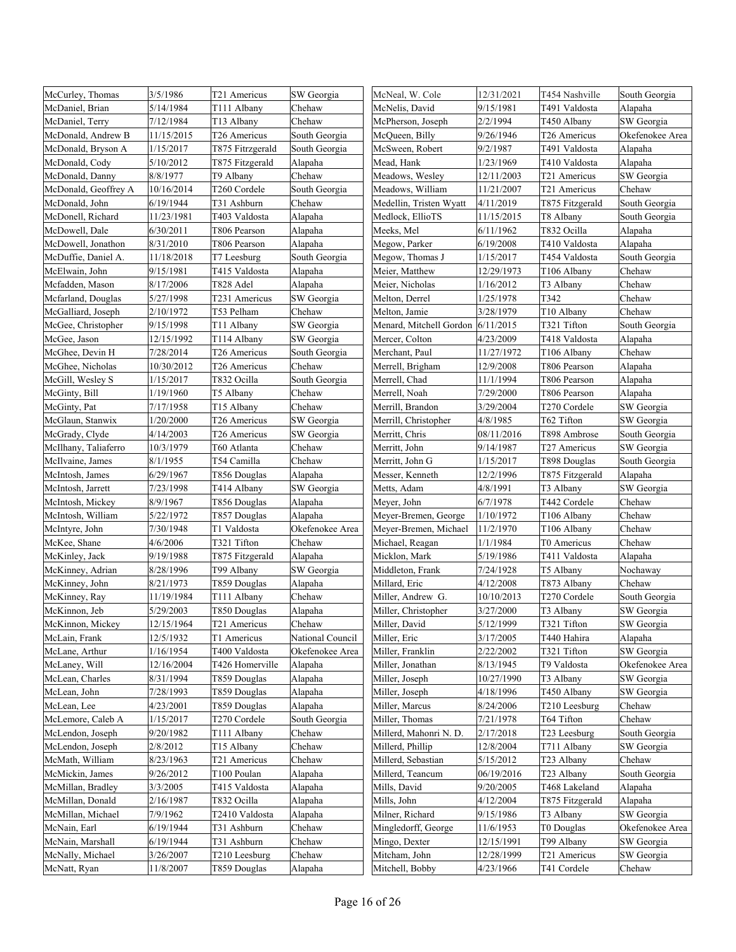| McCurley, Thomas     | 3/5/1986   | T21 Americus     | SW Georgia       | McNeal, W. Cole                   | 12/31/2021 | T454 Nashville  | South Georgia   |
|----------------------|------------|------------------|------------------|-----------------------------------|------------|-----------------|-----------------|
| McDaniel, Brian      | 5/14/1984  | T111 Albany      | Chehaw           | McNelis, David                    | 9/15/1981  | T491 Valdosta   | Alapaha         |
| McDaniel, Terry      | 7/12/1984  | T13 Albany       | Chehaw           | McPherson, Joseph                 | 2/2/1994   | T450 Albany     | SW Georgia      |
| McDonald, Andrew B   | 11/15/2015 | T26 Americus     | South Georgia    | McQueen, Billy                    | 9/26/1946  | T26 Americus    | Okefenokee Area |
| McDonald, Bryson A   | 1/15/2017  | T875 Fitrzgerald | South Georgia    | McSween, Robert                   | 9/2/1987   | T491 Valdosta   | Alapaha         |
| McDonald, Cody       | 5/10/2012  | T875 Fitzgerald  | Alapaha          | Mead, Hank                        | 1/23/1969  | T410 Valdosta   | Alapaha         |
| McDonald, Danny      | 8/8/1977   | T9 Albany        | Chehaw           | Meadows, Wesley                   | 12/11/2003 | T21 Americus    | SW Georgia      |
| McDonald, Geoffrey A | 10/16/2014 | T260 Cordele     | South Georgia    | Meadows, William                  | 11/21/2007 | T21 Americus    | Chehaw          |
| McDonald, John       | 6/19/1944  | T31 Ashburn      | Chehaw           | Medellin, Tristen Wyatt           | 4/11/2019  | T875 Fitzgerald | South Georgia   |
| McDonell, Richard    | 11/23/1981 | T403 Valdosta    | Alapaha          | Medlock, EllioTS                  | 11/15/2015 | T8 Albany       | South Georgia   |
| McDowell, Dale       | 6/30/2011  | T806 Pearson     | Alapaha          | Meeks, Mel                        | 6/11/1962  | T832 Ocilla     | Alapaha         |
| McDowell, Jonathon   | 8/31/2010  | T806 Pearson     | Alapaha          | Megow, Parker                     | 6/19/2008  | T410 Valdosta   | Alapaha         |
| McDuffie, Daniel A.  | 11/18/2018 | T7 Leesburg      | South Georgia    | Megow, Thomas J                   | 1/15/2017  | T454 Valdosta   | South Georgia   |
| McElwain, John       | 9/15/1981  | T415 Valdosta    | Alapaha          | Meier, Matthew                    | 12/29/1973 | T106 Albany     | Chehaw          |
| Mcfadden, Mason      | 8/17/2006  | T828 Adel        | Alapaha          | Meier, Nicholas                   | 1/16/2012  | T3 Albany       | Chehaw          |
| Mcfarland, Douglas   | 5/27/1998  | T231 Americus    | SW Georgia       | Melton, Derrel                    | 1/25/1978  | T342            | Chehaw          |
| McGalliard, Joseph   | 2/10/1972  | T53 Pelham       | Chehaw           | Melton, Jamie                     | 3/28/1979  | T10 Albany      | Chehaw          |
| McGee, Christopher   | 9/15/1998  | T11 Albany       | SW Georgia       | Menard, Mitchell Gordon 6/11/2015 |            | T321 Tifton     | South Georgia   |
| McGee, Jason         | 12/15/1992 | T114 Albany      | SW Georgia       | Mercer, Colton                    | 4/23/2009  | T418 Valdosta   | Alapaha         |
| McGhee, Devin H      | 7/28/2014  | T26 Americus     | South Georgia    | Merchant, Paul                    | 11/27/1972 | T106 Albany     | Chehaw          |
| McGhee, Nicholas     | 10/30/2012 | T26 Americus     | Chehaw           | Merrell, Brigham                  | 12/9/2008  | T806 Pearson    | Alapaha         |
| McGill, Wesley S     | 1/15/2017  | T832 Ocilla      | South Georgia    | Merrell, Chad                     | 11/1/1994  | T806 Pearson    | Alapaha         |
| McGinty, Bill        | 1/19/1960  | T5 Albany        | Chehaw           | Merrell, Noah                     | 7/29/2000  | T806 Pearson    | Alapaha         |
| McGinty, Pat         | 7/17/1958  | T15 Albany       | Chehaw           | Merrill, Brandon                  | 3/29/2004  | T270 Cordele    | SW Georgia      |
| McGlaun, Stanwix     | 1/20/2000  | T26 Americus     | SW Georgia       | Merrill, Christopher              | 4/8/1985   | T62 Tifton      | SW Georgia      |
| McGrady, Clyde       | 4/14/2003  | T26 Americus     | SW Georgia       | Merritt, Chris                    | 08/11/2016 | T898 Ambrose    | South Georgia   |
| McIlhany, Taliaferro | 10/3/1979  | T60 Atlanta      | Chehaw           | Merritt, John                     | 9/14/1987  | T27 Americus    | SW Georgia      |
| McIlvaine, James     | 8/1/1955   | T54 Camilla      | Chehaw           | Merritt, John G                   | 1/15/2017  | T898 Douglas    | South Georgia   |
| McIntosh, James      | 6/29/1967  | T856 Douglas     | Alapaha          | Messer, Kenneth                   | 12/2/1996  | T875 Fitzgerald | Alapaha         |
| McIntosh, Jarrett    | 7/23/1998  | T414 Albany      | SW Georgia       | Metts, Adam                       | 4/8/1991   | T3 Albany       | SW Georgia      |
| McIntosh, Mickey     | 8/9/1967   | T856 Douglas     | Alapaha          | Meyer, John                       | 6/7/1978   | T442 Cordele    | Chehaw          |
| McIntosh, William    | 5/22/1972  | T857 Douglas     | Alapaha          | Meyer-Bremen, George              | 1/10/1972  | T106 Albany     | Chehaw          |
| McIntyre, John       | 7/30/1948  | T1 Valdosta      | Okefenokee Area  | Meyer-Bremen, Michael             | 11/2/1970  | T106 Albany     | Chehaw          |
| McKee, Shane         | 4/6/2006   | T321 Tifton      | Chehaw           | Michael, Reagan                   | 1/1/1984   | T0 Americus     | Chehaw          |
| McKinley, Jack       | 9/19/1988  | T875 Fitzgerald  | Alapaha          | Micklon, Mark                     | 5/19/1986  | T411 Valdosta   | Alapaha         |
| McKinney, Adrian     | 8/28/1996  | T99 Albany       | SW Georgia       | Middleton, Frank                  | 7/24/1928  | T5 Albany       | Nochaway        |
| McKinney, John       | 8/21/1973  | T859 Douglas     | Alapaha          | Millard, Eric                     | 4/12/2008  | T873 Albany     | Chehaw          |
| McKinney, Ray        | 11/19/1984 | T111 Albany      | Chehaw           | Miller, Andrew G.                 | 10/10/2013 | T270 Cordele    | South Georgia   |
| McKinnon, Jeb        | 5/29/2003  | T850 Douglas     | Alapaha          | Miller, Christopher               | 3/27/2000  | T3 Albany       | SW Georgia      |
| McKinnon, Mickey     | 12/15/1964 | T21 Americus     | Chehaw           | Miller, David                     | 5/12/1999  | T321 Tifton     | SW Georgia      |
| McLain, Frank        | 12/5/1932  | T1 Americus      | National Council | Miller, Eric                      | 3/17/2005  | T440 Hahira     | Alapaha         |
| McLane, Arthur       | 1/16/1954  | T400 Valdosta    | Okefenokee Area  | Miller, Franklin                  | 2/22/2002  | T321 Tifton     | SW Georgia      |
| McLaney, Will        | 12/16/2004 | T426 Homerville  | Alapaha          | Miller, Jonathan                  | 8/13/1945  | T9 Valdosta     | Okefenokee Area |
| McLean, Charles      | 8/31/1994  | T859 Douglas     | Alapaha          | Miller, Joseph                    | 10/27/1990 | T3 Albany       | SW Georgia      |
| McLean, John         | 7/28/1993  | T859 Douglas     | Alapaha          | Miller, Joseph                    | 4/18/1996  | T450 Albany     | SW Georgia      |
| McLean, Lee          | 4/23/2001  | T859 Douglas     | Alapaha          | Miller, Marcus                    | 8/24/2006  | T210 Leesburg   | Chehaw          |
| McLemore, Caleb A    | 1/15/2017  | T270 Cordele     | South Georgia    | Miller, Thomas                    | 7/21/1978  | T64 Tifton      | Chehaw          |
| McLendon, Joseph     | 9/20/1982  | T111 Albany      | Chehaw           | Millerd, Mahonri N. D.            | 2/17/2018  | T23 Leesburg    | South Georgia   |
| McLendon, Joseph     | 2/8/2012   | T15 Albany       | Chehaw           | Millerd, Phillip                  | 12/8/2004  | T711 Albany     | SW Georgia      |
| McMath, William      | 8/23/1963  | T21 Americus     | Chehaw           | Millerd, Sebastian                | 5/15/2012  | T23 Albany      | Chehaw          |
| McMickin, James      | 9/26/2012  | T100 Poulan      | Alapaha          | Millerd, Teancum                  | 06/19/2016 | T23 Albany      | South Georgia   |
| McMillan, Bradley    | 3/3/2005   | T415 Valdosta    | Alapaha          | Mills, David                      | 9/20/2005  | T468 Lakeland   | Alapaha         |
| McMillan, Donald     | 2/16/1987  | T832 Ocilla      | Alapaha          | Mills, John                       | 4/12/2004  | T875 Fitzgerald | Alapaha         |
| McMillan, Michael    | 7/9/1962   | T2410 Valdosta   | Alapaha          | Milner, Richard                   | 9/15/1986  | T3 Albany       | SW Georgia      |
| McNain, Earl         | 6/19/1944  | T31 Ashburn      | Chehaw           | Mingledorff, George               | 11/6/1953  | T0 Douglas      | Okefenokee Area |
| McNain, Marshall     | 6/19/1944  | T31 Ashburn      | Chehaw           | Mingo, Dexter                     | 12/15/1991 | T99 Albany      | SW Georgia      |
| McNally, Michael     | 3/26/2007  | T210 Leesburg    | Chehaw           | Mitcham, John                     | 12/28/1999 | T21 Americus    | SW Georgia      |
| McNatt, Ryan         | 11/8/2007  | T859 Douglas     | Alapaha          | Mitchell, Bobby                   | 4/23/1966  | T41 Cordele     | Chehaw          |
|                      |            |                  |                  |                                   |            |                 |                 |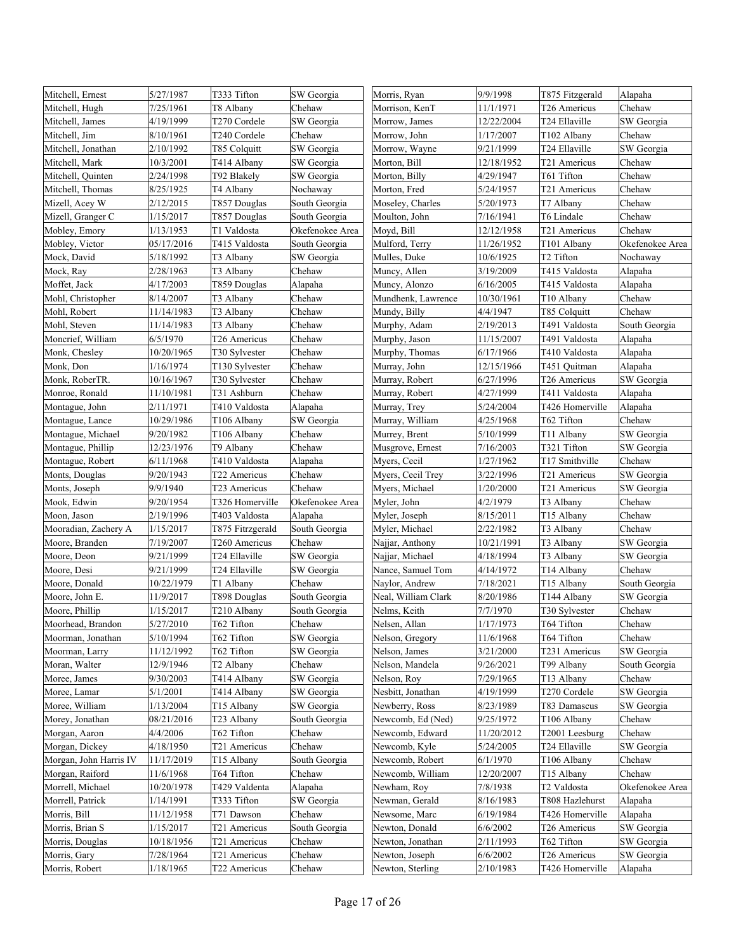| Mitchell, Ernest       | 5/27/1987  | T333 Tifton              | SW Georgia      | Morris, Ryan        | 9/9/1998   | T875 Fitzgerald | Alapaha         |
|------------------------|------------|--------------------------|-----------------|---------------------|------------|-----------------|-----------------|
| Mitchell, Hugh         | 7/25/1961  | T8 Albany                | Chehaw          | Morrison, KenT      | 11/1/1971  | T26 Americus    | Chehaw          |
| Mitchell, James        | 4/19/1999  | T <sub>270</sub> Cordele | SW Georgia      | Morrow, James       | 12/22/2004 | T24 Ellaville   | SW Georgia      |
| Mitchell, Jim          | 8/10/1961  | T240 Cordele             | Chehaw          | Morrow, John        | 1/17/2007  | T102 Albany     | Chehaw          |
| Mitchell, Jonathan     | 2/10/1992  | T85 Colquitt             | SW Georgia      | Morrow, Wayne       | 9/21/1999  | T24 Ellaville   | SW Georgia      |
| Mitchell, Mark         | 10/3/2001  | T414 Albany              | SW Georgia      | Morton, Bill        | 12/18/1952 | T21 Americus    | Chehaw          |
| Mitchell, Quinten      | 2/24/1998  | T92 Blakely              | SW Georgia      | Morton, Billy       | 4/29/1947  | T61 Tifton      | Chehaw          |
| Mitchell, Thomas       | 8/25/1925  | T4 Albany                | Nochaway        | Morton, Fred        | 5/24/1957  | T21 Americus    | Chehaw          |
| Mizell, Acey W         | 2/12/2015  | T857 Douglas             | South Georgia   | Moseley, Charles    | 5/20/1973  | T7 Albany       | Chehaw          |
| Mizell, Granger C      | 1/15/2017  | T857 Douglas             | South Georgia   | Moulton, John       | 7/16/1941  | T6 Lindale      | Chehaw          |
| Mobley, Emory          | 1/13/1953  | T1 Valdosta              | Okefenokee Area | Moyd, Bill          | 12/12/1958 | T21 Americus    | Chehaw          |
| Mobley, Victor         | 05/17/2016 | T415 Valdosta            | South Georgia   | Mulford, Terry      | 11/26/1952 | T101 Albany     | Okefenokee Area |
| Mock, David            | 5/18/1992  | T3 Albany                | SW Georgia      | Mulles, Duke        | 10/6/1925  | T2 Tifton       | Nochaway        |
| Mock, Ray              | 2/28/1963  | T3 Albany                | Chehaw          | Muncy, Allen        | 3/19/2009  | T415 Valdosta   | Alapaha         |
| Moffet, Jack           | 4/17/2003  | T859 Douglas             | Alapaha         | Muncy, Alonzo       | 6/16/2005  | T415 Valdosta   | Alapaha         |
| Mohl, Christopher      | 8/14/2007  | T3 Albany                | Chehaw          | Mundhenk, Lawrence  | 10/30/1961 | T10 Albany      | Chehaw          |
| Mohl, Robert           | 11/14/1983 | T3 Albany                | Chehaw          | Mundy, Billy        | 4/4/1947   | T85 Colquitt    | Chehaw          |
| Mohl, Steven           | 11/14/1983 | T3 Albany                | Chehaw          | Murphy, Adam        | 2/19/2013  | T491 Valdosta   | South Georgia   |
| Moncrief, William      | 6/5/1970   | T26 Americus             | Chehaw          | Murphy, Jason       | 11/15/2007 | T491 Valdosta   | Alapaha         |
| Monk, Chesley          | 10/20/1965 | T30 Sylvester            | Chehaw          | Murphy, Thomas      | 6/17/1966  | T410 Valdosta   | Alapaha         |
| Monk, Don              | 1/16/1974  | T130 Sylvester           | Chehaw          | Murray, John        | 12/15/1966 | T451 Quitman    | Alapaha         |
| Monk, RoberTR.         | 10/16/1967 | T30 Sylvester            | Chehaw          | Murray, Robert      | 6/27/1996  | T26 Americus    | SW Georgia      |
| Monroe, Ronald         | 11/10/1981 | T31 Ashburn              | Chehaw          | Murray, Robert      | 4/27/1999  | T411 Valdosta   | Alapaha         |
| Montague, John         | 2/11/1971  | T410 Valdosta            | Alapaha         | Murray, Trey        | 5/24/2004  | T426 Homerville | Alapaha         |
| Montague, Lance        | 10/29/1986 | T106 Albany              | SW Georgia      | Murray, William     | 4/25/1968  | T62 Tifton      | Chehaw          |
| Montague, Michael      | 9/20/1982  | T106 Albany              | Chehaw          | Murrey, Brent       | 5/10/1999  | T11 Albany      | SW Georgia      |
| Montague, Phillip      | 12/23/1976 | T9 Albany                | Chehaw          | Musgrove, Ernest    | 7/16/2003  | T321 Tifton     | SW Georgia      |
| Montague, Robert       | 6/11/1968  | T410 Valdosta            | Alapaha         | Myers, Cecil        | 1/27/1962  | T17 Smithville  | Chehaw          |
| Monts, Douglas         | 9/20/1943  | T22 Americus             | Chehaw          | Myers, Cecil Trey   | 3/22/1996  | T21 Americus    | SW Georgia      |
| Monts, Joseph          | 9/9/1940   | T23 Americus             | Chehaw          | Myers, Michael      | 1/20/2000  | T21 Americus    | SW Georgia      |
| Mook, Edwin            | 9/20/1954  | T326 Homerville          | Okefenokee Area | Myler, John         | 4/2/1979   | T3 Albany       | Chehaw          |
| Moon, Jason            | 2/19/1996  | T403 Valdosta            | Alapaha         | Myler, Joseph       | 8/15/2011  | T15 Albany      | Chehaw          |
| Mooradian, Zachery A   | 1/15/2017  | T875 Fitrzgerald         | South Georgia   | Myler, Michael      | 2/22/1982  | T3 Albany       | Chehaw          |
| Moore, Branden         | 7/19/2007  | T260 Americus            | Chehaw          | Najjar, Anthony     | 10/21/1991 | T3 Albany       | SW Georgia      |
| Moore, Deon            | 9/21/1999  | T24 Ellaville            | SW Georgia      | Najjar, Michael     | 4/18/1994  | T3 Albany       | SW Georgia      |
| Moore, Desi            | 9/21/1999  | T24 Ellaville            | SW Georgia      | Nance, Samuel Tom   | 4/14/1972  | T14 Albany      | Chehaw          |
| Moore, Donald          | 10/22/1979 | T1 Albany                | Chehaw          | Naylor, Andrew      | 7/18/2021  | T15 Albany      | South Georgia   |
| Moore, John E.         | 11/9/2017  | T898 Douglas             | South Georgia   | Neal, William Clark | 8/20/1986  | T144 Albany     | SW Georgia      |
| Moore, Phillip         | 1/15/2017  | T210 Albany              | South Georgia   | Nelms, Keith        | 7/7/1970   | T30 Sylvester   | Chehaw          |
| Moorhead, Brandon      | 5/27/2010  | T62 Tifton               | Chehaw          | Nelsen, Allan       | 1/17/1973  | T64 Tifton      | Chehaw          |
| Moorman, Jonathan      | 5/10/1994  | T62 Tifton               | SW Georgia      | Nelson, Gregory     | 11/6/1968  | T64 Tifton      | Chehaw          |
| Moorman, Larry         | 11/12/1992 | T62 Tifton               | SW Georgia      | Nelson, James       | 3/21/2000  | T231 Americus   | SW Georgia      |
| Moran, Walter          | 12/9/1946  | T2 Albany                | Chehaw          | Nelson, Mandela     | 9/26/2021  | T99 Albany      | South Georgia   |
| Moree, James           | 9/30/2003  | T414 Albany              | SW Georgia      | Nelson, Roy         | 7/29/1965  | T13 Albany      | Chehaw          |
| Moree, Lamar           | 5/1/2001   | T414 Albany              | SW Georgia      | Nesbitt, Jonathan   | 4/19/1999  | T270 Cordele    | SW Georgia      |
| Moree, William         | 1/13/2004  | T15 Albany               | SW Georgia      | Newberry, Ross      | 8/23/1989  | T83 Damascus    | SW Georgia      |
| Morey, Jonathan        | 08/21/2016 | T23 Albany               | South Georgia   | Newcomb, Ed (Ned)   | 9/25/1972  | T106 Albany     | Chehaw          |
| Morgan, Aaron          | 4/4/2006   | T62 Tifton               | Chehaw          | Newcomb, Edward     | 11/20/2012 | T2001 Leesburg  | Chehaw          |
| Morgan, Dickey         | 4/18/1950  | T21 Americus             | Chehaw          | Newcomb, Kyle       | 5/24/2005  | T24 Ellaville   | SW Georgia      |
| Morgan, John Harris IV | 11/17/2019 | T15 Albany               | South Georgia   | Newcomb, Robert     | 6/1/1970   | T106 Albany     | Chehaw          |
| Morgan, Raiford        | 11/6/1968  | T64 Tifton               | Chehaw          | Newcomb, William    | 12/20/2007 | T15 Albany      | Chehaw          |
| Morrell, Michael       | 10/20/1978 | T429 Valdenta            | Alapaha         | Newham, Roy         | 7/8/1938   | T2 Valdosta     | Okefenokee Area |
| Morrell, Patrick       | 1/14/1991  | T333 Tifton              | SW Georgia      | Newman, Gerald      | 8/16/1983  | T808 Hazlehurst | Alapaha         |
| Morris, Bill           | 11/12/1958 | T71 Dawson               | Chehaw          | Newsome, Marc       | 6/19/1984  | T426 Homerville | Alapaha         |
| Morris, Brian S        | 1/15/2017  | T21 Americus             | South Georgia   | Newton, Donald      | 6/6/2002   | T26 Americus    | SW Georgia      |
| Morris, Douglas        | 10/18/1956 | T21 Americus             | Chehaw          | Newton, Jonathan    | 2/11/1993  | T62 Tifton      | SW Georgia      |
| Morris, Gary           | 7/28/1964  | T21 Americus             | Chehaw          | Newton, Joseph      | 6/6/2002   | T26 Americus    | SW Georgia      |
| Morris, Robert         | 1/18/1965  | T22 Americus             | Chehaw          | Newton, Sterling    | 2/10/1983  | T426 Homerville | Alapaha         |
|                        |            |                          |                 |                     |            |                 |                 |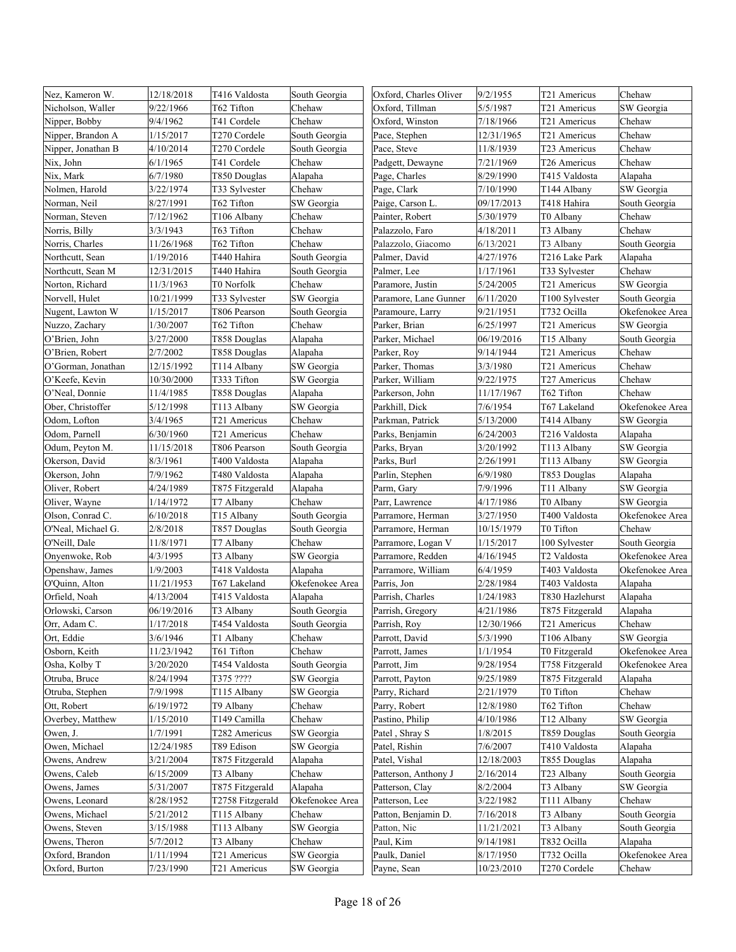| Nez, Kameron W.    | 12/18/2018 | T416 Valdosta    | South Georgia   | Oxford, Charles Oliver | 9/2/1955   | T21 Americus    | Chehaw          |
|--------------------|------------|------------------|-----------------|------------------------|------------|-----------------|-----------------|
| Nicholson, Waller  | 9/22/1966  | T62 Tifton       | Chehaw          | Oxford, Tillman        | 5/5/1987   | T21 Americus    | SW Georgia      |
| Nipper, Bobby      | 9/4/1962   | T41 Cordele      | Chehaw          | Oxford, Winston        | 7/18/1966  | T21 Americus    | Chehaw          |
| Nipper, Brandon A  | 1/15/2017  | T270 Cordele     | South Georgia   | Pace, Stephen          | 12/31/1965 | T21 Americus    | Chehaw          |
| Nipper, Jonathan B | 4/10/2014  | T270 Cordele     | South Georgia   | Pace, Steve            | 11/8/1939  | T23 Americus    | Chehaw          |
| Nix, John          | 6/1/1965   | T41 Cordele      | Chehaw          | Padgett, Dewayne       | 7/21/1969  | T26 Americus    | Chehaw          |
| Nix, Mark          | 6/7/1980   | T850 Douglas     | Alapaha         | Page, Charles          | 8/29/1990  | T415 Valdosta   | Alapaha         |
| Nolmen, Harold     | 3/22/1974  | T33 Sylvester    | Chehaw          | Page, Clark            | 7/10/1990  | T144 Albany     | SW Georgia      |
| Norman, Neil       | 8/27/1991  | T62 Tifton       | SW Georgia      | Paige, Carson L.       | 09/17/2013 | T418 Hahira     | South Georgia   |
| Norman, Steven     | 7/12/1962  | T106 Albany      | Chehaw          | Painter, Robert        | 5/30/1979  | T0 Albany       | Chehaw          |
| Norris, Billy      | 3/3/1943   | T63 Tifton       | Chehaw          | Palazzolo, Faro        | 4/18/2011  | T3 Albany       | Chehaw          |
| Norris, Charles    | 11/26/1968 | T62 Tifton       | Chehaw          | Palazzolo, Giacomo     | 6/13/2021  | T3 Albany       | South Georgia   |
| Northcutt, Sean    | 1/19/2016  | T440 Hahira      | South Georgia   | Palmer, David          | 4/27/1976  | T216 Lake Park  | Alapaha         |
| Northcutt, Sean M  | 12/31/2015 | T440 Hahira      | South Georgia   | Palmer, Lee            | 1/17/1961  | T33 Sylvester   | Chehaw          |
| Norton, Richard    | 11/3/1963  | T0 Norfolk       | Chehaw          | Paramore, Justin       | 5/24/2005  | T21 Americus    | SW Georgia      |
| Norvell, Hulet     | 10/21/1999 | T33 Sylvester    | SW Georgia      | Paramore, Lane Gunner  | 6/11/2020  | T100 Sylvester  | South Georgia   |
| Nugent, Lawton W   | 1/15/2017  | T806 Pearson     | South Georgia   | Paramoure, Larry       | 9/21/1951  | T732 Ocilla     | Okefenokee Area |
| Nuzzo, Zachary     | 1/30/2007  | T62 Tifton       | Chehaw          | Parker, Brian          | 6/25/1997  | T21 Americus    | SW Georgia      |
| O'Brien, John      | 3/27/2000  | T858 Douglas     | Alapaha         | Parker, Michael        | 06/19/2016 | T15 Albany      | South Georgia   |
| O'Brien. Robert    | 2/7/2002   | T858 Douglas     | Alapaha         | Parker, Roy            | 9/14/1944  | T21 Americus    | Chehaw          |
| O'Gorman, Jonathan | 12/15/1992 | T114 Albany      | SW Georgia      | Parker, Thomas         | 3/3/1980   | T21 Americus    | Chehaw          |
| O'Keefe, Kevin     | 10/30/2000 | T333 Tifton      | SW Georgia      | Parker, William        | 9/22/1975  | T27 Americus    | Chehaw          |
| O'Neal, Donnie     | 11/4/1985  | T858 Douglas     | Alapaha         | Parkerson, John        | 11/17/1967 | T62 Tifton      | Chehaw          |
| Ober, Christoffer  | 5/12/1998  | T113 Albany      | SW Georgia      | Parkhill, Dick         | 7/6/1954   | T67 Lakeland    | Okefenokee Area |
| Odom, Lofton       | 3/4/1965   | T21 Americus     | Chehaw          | Parkman, Patrick       | 5/13/2000  | T414 Albany     | SW Georgia      |
| Odom, Parnell      | 6/30/1960  | T21 Americus     | Chehaw          | Parks, Benjamin        | 6/24/2003  | T216 Valdosta   | Alapaha         |
| Odum, Peyton M.    | 11/15/2018 | T806 Pearson     | South Georgia   | Parks, Bryan           | 3/20/1992  | T113 Albany     | SW Georgia      |
| Okerson, David     | 8/3/1961   | T400 Valdosta    | Alapaha         | Parks, Burl            | 2/26/1991  | T113 Albany     | SW Georgia      |
| Okerson, John      | 7/9/1962   | T480 Valdosta    | Alapaha         | Parlin, Stephen        | 6/9/1980   | T853 Douglas    | Alapaha         |
| Oliver, Robert     | 4/24/1989  | T875 Fitzgerald  | Alapaha         | Parm, Gary             | 7/9/1996   | T11 Albany      | SW Georgia      |
| Oliver, Wayne      | 1/14/1972  | T7 Albany        | Chehaw          | Parr, Lawrence         | 4/17/1986  | T0 Albany       | SW Georgia      |
| Olson, Conrad C.   | 6/10/2018  | T15 Albany       | South Georgia   | Parramore, Herman      | 3/27/1950  | T400 Valdosta   | Okefenokee Area |
| O'Neal, Michael G. | 2/8/2018   | T857 Douglas     | South Georgia   | Parramore, Herman      | 10/15/1979 | T0 Tifton       | Chehaw          |
| O'Neill, Dale      | 11/8/1971  | T7 Albany        | Chehaw          | Parramore, Logan V     | 1/15/2017  | 100 Sylvester   | South Georgia   |
| Onyenwoke, Rob     | 4/3/1995   | T3 Albany        | SW Georgia      | Parramore, Redden      | 4/16/1945  | T2 Valdosta     | Okefenokee Area |
| Openshaw, James    | 1/9/2003   | T418 Valdosta    | Alapaha         | Parramore, William     | 6/4/1959   | T403 Valdosta   | Okefenokee Area |
| O'Quinn, Alton     | 11/21/1953 | T67 Lakeland     | Okefenokee Area | Parris, Jon            | 2/28/1984  | T403 Valdosta   | Alapaha         |
| Orfield, Noah      | 4/13/2004  | T415 Valdosta    | Alapaha         | Parrish, Charles       | 1/24/1983  | T830 Hazlehurst | Alapaha         |
| Orlowski, Carson   | 06/19/2016 | T3 Albany        | South Georgia   | Parrish, Gregory       | 4/21/1986  | T875 Fitzgerald | Alapaha         |
| Orr, Adam C.       | 1/17/2018  | T454 Valdosta    | South Georgia   | Parrish, Roy           | 12/30/1966 | T21 Americus    | Chehaw          |
| Ort, Eddie         | 3/6/1946   | T1 Albany        | Chehaw          | Parrott, David         | 5/3/1990   | T106 Albany     | SW Georgia      |
| Osborn, Keith      | 11/23/1942 | T61 Tifton       | Chehaw          | Parrott, James         | 1/1/1954   | T0 Fitzgerald   | Okefenokee Area |
| Osha, Kolby T      | 3/20/2020  | T454 Valdosta    | South Georgia   | Parrott, Jim           | 9/28/1954  | T758 Fitzgerald | Okefenokee Area |
| Otruba, Bruce      | 8/24/1994  | T375 ????        | SW Georgia      | Parrott, Payton        | 9/25/1989  | T875 Fitzgerald | Alapaha         |
| Otruba, Stephen    | 7/9/1998   | T115 Albany      | SW Georgia      | Parry, Richard         | 2/21/1979  | T0 Tifton       | Chehaw          |
| Ott, Robert        | 6/19/1972  | T9 Albany        | Chehaw          | Parry, Robert          | 12/8/1980  | T62 Tifton      | Chehaw          |
| Overbey, Matthew   | 1/15/2010  | T149 Camilla     | Chehaw          | Pastino, Philip        | 4/10/1986  | T12 Albany      | SW Georgia      |
| Owen, J.           | 1/7/1991   | T282 Americus    | SW Georgia      | Patel, Shray S         | 1/8/2015   | T859 Douglas    | South Georgia   |
| Owen, Michael      | 12/24/1985 | T89 Edison       | SW Georgia      | Patel, Rishin          | 7/6/2007   | T410 Valdosta   | Alapaha         |
| Owens, Andrew      | 3/21/2004  | T875 Fitzgerald  | Alapaha         | Patel, Vishal          | 12/18/2003 | T855 Douglas    | Alapaha         |
| Owens, Caleb       | 6/15/2009  | T3 Albany        | Chehaw          | Patterson, Anthony J   | 2/16/2014  | T23 Albany      | South Georgia   |
| Owens, James       | 5/31/2007  | T875 Fitzgerald  | Alapaha         | Patterson, Clay        | 8/2/2004   | T3 Albany       | SW Georgia      |
| Owens, Leonard     | 8/28/1952  | T2758 Fitzgerald | Okefenokee Area | Patterson, Lee         | 3/22/1982  | T111 Albany     | Chehaw          |
| Owens, Michael     | 5/21/2012  | T115 Albany      | Chehaw          | Patton, Benjamin D.    | 7/16/2018  | T3 Albany       | South Georgia   |
| Owens, Steven      | 3/15/1988  | T113 Albany      | SW Georgia      | Patton, Nic            | 11/21/2021 | T3 Albany       | South Georgia   |
| Owens, Theron      | 5/7/2012   | T3 Albany        | Chehaw          | Paul, Kim              | 9/14/1981  | T832 Ocilla     | Alapaha         |
| Oxford, Brandon    | 1/11/1994  | T21 Americus     | SW Georgia      | Paulk, Daniel          | 8/17/1950  | T732 Ocilla     | Okefenokee Area |
| Oxford, Burton     | 7/23/1990  | T21 Americus     | SW Georgia      | Payne, Sean            | 10/23/2010 | T270 Cordele    | Chehaw          |
|                    |            |                  |                 |                        |            |                 |                 |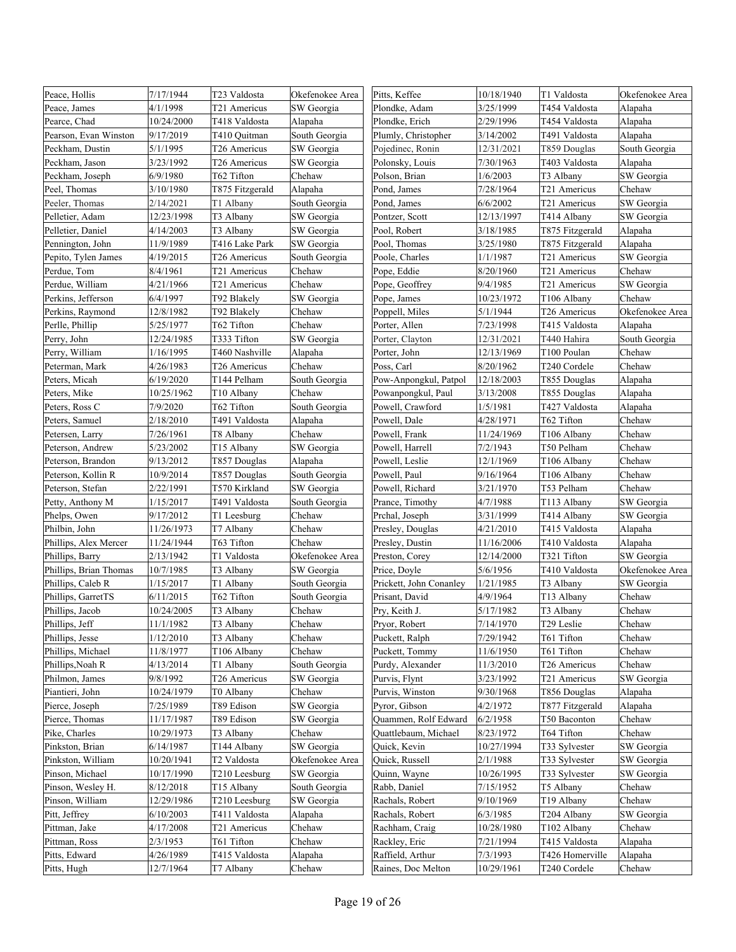| Peace, Hollis          | 7/17/1944  | T23 Valdosta    | Okefenokee Area | Pitts, Keffee           | 10/18/1940 | T1 Valdosta            | Okefenokee Area |
|------------------------|------------|-----------------|-----------------|-------------------------|------------|------------------------|-----------------|
| Peace, James           | 4/1/1998   | T21 Americus    | SW Georgia      | Plondke, Adam           | 3/25/1999  | T454 Valdosta          | Alapaha         |
| Pearce, Chad           | 10/24/2000 | T418 Valdosta   | Alapaha         | Plondke, Erich          | 2/29/1996  | T454 Valdosta          | Alapaha         |
| Pearson, Evan Winston  | 9/17/2019  | T410 Quitman    | South Georgia   | Plumly, Christopher     | 3/14/2002  | T491 Valdosta          | Alapaha         |
| Peckham, Dustin        | 5/1/1995   | T26 Americus    | SW Georgia      | Pojedinec, Ronin        | 12/31/2021 | T859 Douglas           | South Georgia   |
| Peckham, Jason         | 3/23/1992  | T26 Americus    | SW Georgia      | Polonsky, Louis         | 7/30/1963  | T403 Valdosta          | Alapaha         |
| Peckham, Joseph        | 6/9/1980   | T62 Tifton      | Chehaw          | Polson, Brian           | 1/6/2003   | T3 Albany              | SW Georgia      |
| Peel, Thomas           | 3/10/1980  | T875 Fitzgerald | Alapaha         | Pond, James             | 7/28/1964  | T21 Americus           | Chehaw          |
| Peeler, Thomas         | 2/14/2021  | T1 Albany       | South Georgia   | Pond, James             | 6/6/2002   | T21 Americus           | SW Georgia      |
| Pelletier, Adam        | 12/23/1998 | T3 Albany       | SW Georgia      | Pontzer, Scott          | 12/13/1997 | T414 Albany            | SW Georgia      |
| Pelletier, Daniel      | 4/14/2003  | T3 Albany       | SW Georgia      | Pool, Robert            | 3/18/1985  | T875 Fitzgerald        | Alapaha         |
| Pennington, John       | 11/9/1989  | T416 Lake Park  | SW Georgia      | Pool, Thomas            | 3/25/1980  | T875 Fitzgerald        | Alapaha         |
| Pepito, Tylen James    | 4/19/2015  | T26 Americus    | South Georgia   | Poole, Charles          | 1/1/1987   | T21 Americus           | SW Georgia      |
| Perdue, Tom            | 8/4/1961   | T21 Americus    | Chehaw          | Pope, Eddie             | 8/20/1960  | T21 Americus           | Chehaw          |
| Perdue, William        | 4/21/1966  | T21 Americus    | Chehaw          | Pope, Geoffrey          | 9/4/1985   | T21 Americus           | SW Georgia      |
| Perkins, Jefferson     | 6/4/1997   | T92 Blakely     | SW Georgia      | Pope, James             | 10/23/1972 | T106 Albany            | Chehaw          |
| Perkins, Raymond       | 12/8/1982  | T92 Blakely     | Chehaw          | Poppell, Miles          | 5/1/1944   | T26 Americus           | Okefenokee Area |
| Perlle, Phillip        | 5/25/1977  | T62 Tifton      | Chehaw          | Porter, Allen           | 7/23/1998  | T415 Valdosta          | Alapaha         |
| Perry, John            | 12/24/1985 | T333 Tifton     | SW Georgia      | Porter, Clayton         | 12/31/2021 | T440 Hahira            | South Georgia   |
| Perry, William         | 1/16/1995  | T460 Nashville  | Alapaha         | Porter, John            | 12/13/1969 | T100 Poulan            | Chehaw          |
| Peterman, Mark         | 4/26/1983  | T26 Americus    | Chehaw          | Poss, Carl              | 8/20/1962  | T240 Cordele           | Chehaw          |
| Peters, Micah          | 6/19/2020  | T144 Pelham     | South Georgia   | Pow-Anpongkul, Patpol   | 12/18/2003 | T855 Douglas           | Alapaha         |
| Peters, Mike           | 10/25/1962 | T10 Albany      | Chehaw          | Powanpongkul, Paul      | 3/13/2008  | T855 Douglas           | Alapaha         |
| Peters, Ross C         | 7/9/2020   | T62 Tifton      | South Georgia   | Powell, Crawford        | 1/5/1981   | T427 Valdosta          | Alapaha         |
| Peters, Samuel         | 2/18/2010  | T491 Valdosta   | Alapaha         | Powell, Dale            | 4/28/1971  | T62 Tifton             | Chehaw          |
| Petersen, Larry        | 7/26/1961  | T8 Albany       | Chehaw          | Powell, Frank           | 11/24/1969 | T106 Albany            | Chehaw          |
| Peterson, Andrew       | 5/23/2002  | T15 Albany      | SW Georgia      | Powell, Harrell         | 7/2/1943   | T50 Pelham             | Chehaw          |
| Peterson, Brandon      | 9/13/2012  | T857 Douglas    | Alapaha         | Powell, Leslie          | 12/1/1969  | T106 Albany            | Chehaw          |
| Peterson, Kollin R     | 10/9/2014  | T857 Douglas    | South Georgia   | Powell, Paul            | 9/16/1964  | T106 Albany            | Chehaw          |
| Peterson, Stefan       | 2/22/1991  | T570 Kirkland   | SW Georgia      | Powell, Richard         | 3/21/1970  | T53 Pelham             | Chehaw          |
| Petty, Anthony M       | 1/15/2017  | T491 Valdosta   | South Georgia   | Prance, Timothy         | 4/7/1988   | T113 Albany            | SW Georgia      |
| Phelps, Owen           | 9/17/2012  | T1 Leesburg     | Chehaw          | Prchal, Joseph          | 3/31/1999  | T414 Albany            | SW Georgia      |
| Philbin, John          | 11/26/1973 | T7 Albany       | Chehaw          | Presley, Douglas        | 4/21/2010  | T415 Valdosta          | Alapaha         |
| Phillips, Alex Mercer  | 11/24/1944 | T63 Tifton      | Chehaw          | Presley, Dustin         | 11/16/2006 | T410 Valdosta          | Alapaha         |
| Phillips, Barry        | 2/13/1942  | T1 Valdosta     | Okefenokee Area | Preston, Corey          | 12/14/2000 | T321 Tifton            | SW Georgia      |
| Phillips, Brian Thomas | 10/7/1985  | T3 Albany       | SW Georgia      | Price, Doyle            | 5/6/1956   | T410 Valdosta          | Okefenokee Area |
| Phillips, Caleb R      | 1/15/2017  | T1 Albany       | South Georgia   | Prickett, John Conanley | 1/21/1985  | T3 Albany              | SW Georgia      |
| Phillips, GarretTS     | 6/11/2015  | T62 Tifton      | South Georgia   | Prisant, David          | 4/9/1964   | T13 Albany             | Chehaw          |
| Phillips, Jacob        | 10/24/2005 | T3 Albany       | Chehaw          | Pry, Keith J.           | 5/17/1982  | T3 Albany              | Chehaw          |
| Phillips, Jeff         | 11/1/1982  | T3 Albany       | Chehaw          | Pryor, Robert           | 7/14/1970  | T <sub>29</sub> Leslie | Chehaw          |
| Phillips, Jesse        | 1/12/2010  | T3 Albany       | Chehaw          | Puckett, Ralph          | 7/29/1942  | T61 Tifton             | Chehaw          |
| Phillips, Michael      | 11/8/1977  | T106 Albany     | Chehaw          | Puckett, Tommy          | 11/6/1950  | T61 Tifton             | Chehaw          |
| Phillips, Noah R       | 4/13/2014  | T1 Albany       | South Georgia   | Purdy, Alexander        | 11/3/2010  | T26 Americus           | Chehaw          |
| Philmon, James         | 9/8/1992   | T26 Americus    | SW Georgia      | Purvis, Flynt           | 3/23/1992  | T21 Americus           | SW Georgia      |
| Piantieri, John        | 10/24/1979 | T0 Albany       | Chehaw          | Purvis, Winston         | 9/30/1968  | T856 Douglas           | Alapaha         |
| Pierce, Joseph         | 7/25/1989  | T89 Edison      | SW Georgia      | Pyror, Gibson           | 4/2/1972   | T877 Fitzgerald        | Alapaha         |
| Pierce, Thomas         | 11/17/1987 | T89 Edison      | SW Georgia      | Quammen, Rolf Edward    | 6/2/1958   | T50 Baconton           | Chehaw          |
| Pike, Charles          | 10/29/1973 | T3 Albany       | Chehaw          | Quattlebaum, Michael    | 8/23/1972  | T64 Tifton             | Chehaw          |
| Pinkston, Brian        | 6/14/1987  | T144 Albany     | SW Georgia      | Quick, Kevin            | 10/27/1994 | T33 Sylvester          | SW Georgia      |
| Pinkston, William      | 10/20/1941 | T2 Valdosta     | Okefenokee Area | Quick, Russell          | 2/1/1988   | T33 Sylvester          | SW Georgia      |
| Pinson, Michael        | 10/17/1990 | T210 Leesburg   | SW Georgia      | Quinn, Wayne            | 10/26/1995 | T33 Sylvester          | SW Georgia      |
| Pinson, Wesley H.      | 8/12/2018  | T15 Albany      | South Georgia   | Rabb, Daniel            | 7/15/1952  | T5 Albany              | Chehaw          |
| Pinson, William        | 12/29/1986 | T210 Leesburg   | SW Georgia      | Rachals, Robert         | 9/10/1969  | T19 Albany             | Chehaw          |
| Pitt, Jeffrey          | 6/10/2003  | T411 Valdosta   | Alapaha         | Rachals, Robert         | 6/3/1985   | T204 Albany            | SW Georgia      |
| Pittman, Jake          | 4/17/2008  | T21 Americus    | Chehaw          | Rachham, Craig          | 10/28/1980 | T102 Albany            | Chehaw          |
| Pittman, Ross          | 2/3/1953   | T61 Tifton      | Chehaw          | Rackley, Eric           | 7/21/1994  | T415 Valdosta          | Alapaha         |
| Pitts, Edward          | 4/26/1989  | T415 Valdosta   | Alapaha         | Raffield, Arthur        | 7/3/1993   | T426 Homerville        | Alapaha         |
| Pitts, Hugh            | 12/7/1964  | T7 Albany       | Chehaw          | Raines, Doc Melton      | 10/29/1961 | T240 Cordele           | Chehaw          |
|                        |            |                 |                 |                         |            |                        |                 |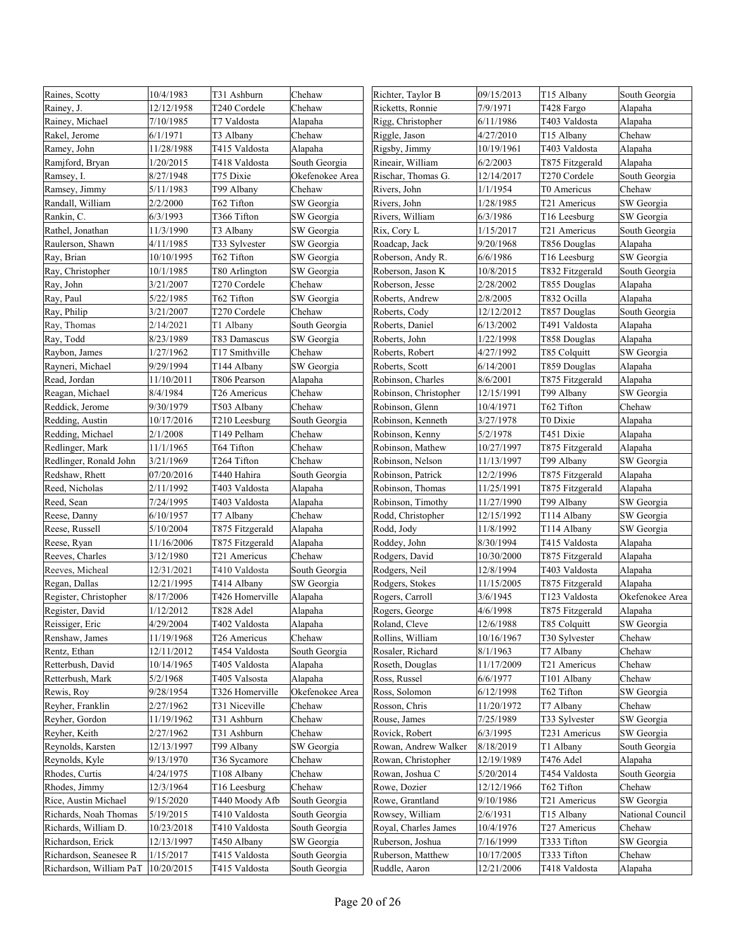| Raines, Scotty          | 10/4/1983  | T31 Ashburn     | Chehaw          | Richter, Taylor B     | 09/15/2013 | T15 Albany      | South Georgia    |
|-------------------------|------------|-----------------|-----------------|-----------------------|------------|-----------------|------------------|
| Rainey, J.              | 12/12/1958 | T240 Cordele    | Chehaw          | Ricketts, Ronnie      | 7/9/1971   | T428 Fargo      | Alapaha          |
| Rainey, Michael         | 7/10/1985  | T7 Valdosta     | Alapaha         | Rigg, Christopher     | 6/11/1986  | T403 Valdosta   | Alapaha          |
| Rakel, Jerome           | 6/1/1971   | T3 Albany       | Chehaw          | Riggle, Jason         | 4/27/2010  | T15 Albany      | Chehaw           |
| Ramey, John             | 11/28/1988 | T415 Valdosta   | Alapaha         | Rigsby, Jimmy         | 10/19/1961 | T403 Valdosta   | Alapaha          |
| Ramjford, Bryan         | 1/20/2015  | T418 Valdosta   | South Georgia   | Rineair, William      | 6/2/2003   | T875 Fitzgerald | Alapaha          |
| Ramsey, I.              | 8/27/1948  | T75 Dixie       | Okefenokee Area | Rischar, Thomas G.    | 12/14/2017 | T270 Cordele    | South Georgia    |
| Ramsey, Jimmy           | 5/11/1983  | T99 Albany      | Chehaw          | Rivers, John          | 1/1/1954   | T0 Americus     | Chehaw           |
| Randall, William        | 2/2/2000   | T62 Tifton      | SW Georgia      | Rivers, John          | 1/28/1985  | T21 Americus    | SW Georgia       |
| Rankin, C.              | 6/3/1993   | T366 Tifton     | SW Georgia      | Rivers, William       | 6/3/1986   | T16 Leesburg    | SW Georgia       |
| Rathel, Jonathan        | 11/3/1990  | T3 Albany       | SW Georgia      | Rix, Cory L           | 1/15/2017  | T21 Americus    | South Georgia    |
| Raulerson, Shawn        | 4/11/1985  | T33 Sylvester   | SW Georgia      | Roadcap, Jack         | 9/20/1968  | T856 Douglas    | Alapaha          |
| Ray, Brian              | 10/10/1995 | T62 Tifton      | SW Georgia      | Roberson, Andy R.     | 6/6/1986   | T16 Leesburg    | SW Georgia       |
| Ray, Christopher        | 10/1/1985  | T80 Arlington   | SW Georgia      | Roberson, Jason K     | 10/8/2015  | T832 Fitzgerald | South Georgia    |
| Ray, John               | 3/21/2007  | T270 Cordele    | Chehaw          | Roberson, Jesse       | 2/28/2002  | T855 Douglas    | Alapaha          |
| Ray, Paul               | 5/22/1985  | T62 Tifton      | SW Georgia      | Roberts, Andrew       | 2/8/2005   | T832 Ocilla     | Alapaha          |
| Ray, Philip             | 3/21/2007  | T270 Cordele    | Chehaw          | Roberts, Cody         | 12/12/2012 | T857 Douglas    | South Georgia    |
| Ray, Thomas             | 2/14/2021  | T1 Albany       | South Georgia   | Roberts, Daniel       | 6/13/2002  | T491 Valdosta   | Alapaha          |
| Ray, Todd               | 8/23/1989  | T83 Damascus    | SW Georgia      | Roberts, John         | 1/22/1998  | T858 Douglas    | Alapaha          |
| Raybon, James           | 1/27/1962  | T17 Smithville  | Chehaw          | Roberts, Robert       | 4/27/1992  | T85 Colquitt    | SW Georgia       |
| Rayneri, Michael        | 9/29/1994  | T144 Albany     | SW Georgia      | Roberts, Scott        | 6/14/2001  | T859 Douglas    | Alapaha          |
| Read, Jordan            | 11/10/2011 | T806 Pearson    | Alapaha         | Robinson, Charles     | 8/6/2001   | T875 Fitzgerald | Alapaha          |
| Reagan, Michael         | 8/4/1984   | T26 Americus    | Chehaw          | Robinson, Christopher | 12/15/1991 | T99 Albany      | SW Georgia       |
| Reddick, Jerome         | 9/30/1979  | T503 Albany     | Chehaw          | Robinson, Glenn       | 10/4/1971  | T62 Tifton      | Chehaw           |
| Redding, Austin         | 10/17/2016 | T210 Leesburg   | South Georgia   | Robinson, Kenneth     | 3/27/1978  | T0 Dixie        | Alapaha          |
| Redding, Michael        | 2/1/2008   | T149 Pelham     | Chehaw          | Robinson, Kenny       | 5/2/1978   | T451 Dixie      | Alapaha          |
| Redlinger, Mark         | 11/1/1965  | T64 Tifton      | Chehaw          | Robinson, Mathew      | 10/27/1997 | T875 Fitzgerald | Alapaha          |
| Redlinger, Ronald John  | 3/21/1969  | T264 Tifton     | Chehaw          | Robinson, Nelson      | 11/13/1997 | T99 Albany      | SW Georgia       |
| Redshaw, Rhett          | 07/20/2016 | T440 Hahira     | South Georgia   | Robinson, Patrick     | 12/2/1996  | T875 Fitzgerald | Alapaha          |
| Reed, Nicholas          | 2/11/1992  | T403 Valdosta   | Alapaha         | Robinson, Thomas      | 11/25/1991 | T875 Fitzgerald | Alapaha          |
| Reed, Sean              | 7/24/1995  | T403 Valdosta   | Alapaha         | Robinson, Timothy     | 11/27/1990 | T99 Albany      | SW Georgia       |
| Reese, Danny            | 6/10/1957  | T7 Albany       | Chehaw          | Rodd, Christopher     | 12/15/1992 | T114 Albany     | SW Georgia       |
| Reese, Russell          | 5/10/2004  | T875 Fitzgerald | Alapaha         | Rodd, Jody            | 11/8/1992  | T114 Albany     | SW Georgia       |
| Reese, Ryan             | 11/16/2006 | T875 Fitzgerald | Alapaha         | Roddey, John          | 8/30/1994  | T415 Valdosta   | Alapaha          |
| Reeves, Charles         | 3/12/1980  | T21 Americus    | Chehaw          | Rodgers, David        | 10/30/2000 | T875 Fitzgerald | Alapaha          |
| Reeves, Micheal         | 12/31/2021 | T410 Valdosta   | South Georgia   | Rodgers, Neil         | 12/8/1994  | T403 Valdosta   | Alapaha          |
| Regan, Dallas           | 12/21/1995 | T414 Albany     | SW Georgia      | Rodgers, Stokes       | 11/15/2005 | T875 Fitzgerald | Alapaha          |
| Register, Christopher   | 8/17/2006  | T426 Homerville | Alapaha         | Rogers, Carroll       | 3/6/1945   | T123 Valdosta   | Okefenokee Area  |
| Register, David         | 1/12/2012  | T828 Adel       | Alapaha         | Rogers, George        | 4/6/1998   | T875 Fitzgerald | Alapaha          |
| Reissiger, Eric         | 4/29/2004  | T402 Valdosta   | Alapaha         | Roland, Cleve         | 12/6/1988  | T85 Colquitt    | SW Georgia       |
| Renshaw, James          | 11/19/1968 | T26 Americus    | Chehaw          | Rollins, William      | 10/16/1967 | T30 Sylvester   | Chehaw           |
| Rentz, Ethan            | 12/11/2012 | T454 Valdosta   | South Georgia   | Rosaler, Richard      | 8/1/1963   | T7 Albany       | Chehaw           |
| Retterbush, David       | 10/14/1965 | T405 Valdosta   | Alapaha         | Roseth, Douglas       | 11/17/2009 | T21 Americus    | Chehaw           |
| Retterbush, Mark        | 5/2/1968   | T405 Valsosta   | Alapaha         | Ross, Russel          | 6/6/1977   | T101 Albany     | Chehaw           |
| Rewis, Roy              | 9/28/1954  | T326 Homerville | Okefenokee Area | Ross, Solomon         | 6/12/1998  | T62 Tifton      | SW Georgia       |
| Reyher, Franklin        | 2/27/1962  | T31 Niceville   | Chehaw          | Rosson, Chris         | 11/20/1972 | T7 Albany       | Chehaw           |
| Reyher, Gordon          | 11/19/1962 | T31 Ashburn     | Chehaw          | Rouse, James          | 7/25/1989  | T33 Sylvester   | SW Georgia       |
| Reyher, Keith           | 2/27/1962  | T31 Ashburn     | Chehaw          | Rovick, Robert        | 6/3/1995   | T231 Americus   | SW Georgia       |
| Reynolds, Karsten       | 12/13/1997 | T99 Albany      | SW Georgia      | Rowan, Andrew Walker  | 8/18/2019  | T1 Albany       | South Georgia    |
| Reynolds, Kyle          | 9/13/1970  | T36 Sycamore    | Chehaw          | Rowan, Christopher    | 12/19/1989 | T476 Adel       | Alapaha          |
| Rhodes, Curtis          | 4/24/1975  | T108 Albany     | Chehaw          | Rowan, Joshua C       | 5/20/2014  | T454 Valdosta   | South Georgia    |
| Rhodes, Jimmy           | 12/3/1964  | T16 Leesburg    | Chehaw          | Rowe, Dozier          | 12/12/1966 | T62 Tifton      | Chehaw           |
| Rice, Austin Michael    | 9/15/2020  | T440 Moody Afb  | South Georgia   | Rowe, Grantland       | 9/10/1986  | T21 Americus    | SW Georgia       |
| Richards, Noah Thomas   | 5/19/2015  | T410 Valdosta   | South Georgia   | Rowsey, William       | 2/6/1931   | T15 Albany      | National Council |
| Richards, William D.    | 10/23/2018 | T410 Valdosta   | South Georgia   | Royal, Charles James  | 10/4/1976  | T27 Americus    | Chehaw           |
| Richardson, Erick       | 12/13/1997 | T450 Albany     | SW Georgia      | Ruberson, Joshua      | 7/16/1999  | T333 Tifton     | SW Georgia       |
| Richardson, Seanesee R  | 1/15/2017  | T415 Valdosta   | South Georgia   | Ruberson, Matthew     | 10/17/2005 | T333 Tifton     | Chehaw           |
| Richardson, William PaT | 10/20/2015 | T415 Valdosta   | South Georgia   | Ruddle, Aaron         | 12/21/2006 | T418 Valdosta   | Alapaha          |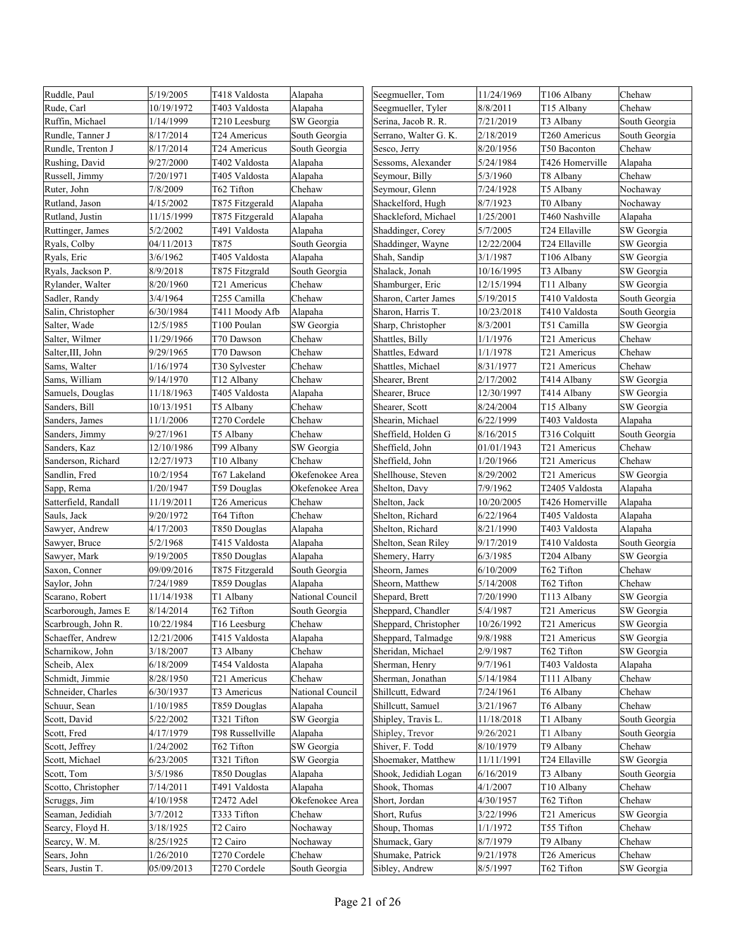| Ruddle, Paul         | 5/19/2005  | T418 Valdosta          | Alapaha          | Seegmueller, Tom      | 11/24/1969 | T106 Albany     | Chehaw        |
|----------------------|------------|------------------------|------------------|-----------------------|------------|-----------------|---------------|
| Rude, Carl           | 10/19/1972 | T403 Valdosta          | Alapaha          | Seegmueller, Tyler    | 8/8/2011   | T15 Albany      | Chehaw        |
| Ruffin, Michael      | 1/14/1999  | T210 Leesburg          | SW Georgia       | Serina, Jacob R. R.   | 7/21/2019  | T3 Albany       | South Georgia |
| Rundle, Tanner J     | 8/17/2014  | T24 Americus           | South Georgia    | Serrano, Walter G. K. | 2/18/2019  | T260 Americus   | South Georgia |
| Rundle, Trenton J    | 8/17/2014  | T24 Americus           | South Georgia    | Sesco, Jerry          | 8/20/1956  | T50 Baconton    | Chehaw        |
| Rushing, David       | 9/27/2000  | T402 Valdosta          | Alapaha          | Sessoms, Alexander    | 5/24/1984  | T426 Homerville | Alapaha       |
| Russell, Jimmy       | 7/20/1971  | T405 Valdosta          | Alapaha          | Seymour, Billy        | 5/3/1960   | T8 Albany       | Chehaw        |
| Ruter, John          | 7/8/2009   | T62 Tifton             | Chehaw           | Seymour, Glenn        | 7/24/1928  | T5 Albany       | Nochaway      |
| Rutland, Jason       | 4/15/2002  | T875 Fitzgerald        | Alapaha          | Shackelford, Hugh     | 8/7/1923   | T0 Albany       | Nochaway      |
| Rutland, Justin      | 11/15/1999 | T875 Fitzgerald        | Alapaha          | Shackleford, Michael  | 1/25/2001  | T460 Nashville  | Alapaha       |
| Ruttinger, James     | 5/2/2002   | T491 Valdosta          | Alapaha          | Shaddinger, Corey     | 5/7/2005   | T24 Ellaville   | SW Georgia    |
| Ryals, Colby         | 04/11/2013 | T875                   | South Georgia    | Shaddinger, Wayne     | 12/22/2004 | T24 Ellaville   | SW Georgia    |
| Ryals, Eric          | 3/6/1962   | T405 Valdosta          | Alapaha          | Shah, Sandip          | 3/1/1987   | T106 Albany     | SW Georgia    |
| Ryals, Jackson P.    | 8/9/2018   | T875 Fitzgrald         | South Georgia    | Shalack, Jonah        | 10/16/1995 | T3 Albany       | SW Georgia    |
| Rylander, Walter     | 8/20/1960  | T21 Americus           | Chehaw           | Shamburger, Eric      | 12/15/1994 | T11 Albany      | SW Georgia    |
| Sadler, Randy        | 3/4/1964   | T255 Camilla           | Chehaw           | Sharon, Carter James  | 5/19/2015  | T410 Valdosta   | South Georgia |
| Salin, Christopher   | 6/30/1984  | T411 Moody Afb         | Alapaha          | Sharon, Harris T.     | 10/23/2018 | T410 Valdosta   | South Georgia |
| Salter, Wade         | 12/5/1985  | T100 Poulan            | SW Georgia       | Sharp, Christopher    | 8/3/2001   | T51 Camilla     | SW Georgia    |
| Salter, Wilmer       | 11/29/1966 | T70 Dawson             | Chehaw           | Shattles, Billy       | 1/1/1976   | T21 Americus    | Chehaw        |
| Salter, III, John    | 9/29/1965  | T70 Dawson             | Chehaw           | Shattles, Edward      | 1/1/1978   | T21 Americus    | Chehaw        |
| Sams, Walter         | 1/16/1974  |                        |                  | Shattles, Michael     | 8/31/1977  |                 | Chehaw        |
|                      |            | T30 Sylvester          | Chehaw           |                       |            | T21 Americus    |               |
| Sams, William        | 9/14/1970  | T <sub>12</sub> Albany | Chehaw           | Shearer, Brent        | 2/17/2002  | T414 Albany     | SW Georgia    |
| Samuels, Douglas     | 11/18/1963 | T405 Valdosta          | Alapaha          | Shearer, Bruce        | 12/30/1997 | T414 Albany     | SW Georgia    |
| Sanders, Bill        | 10/13/1951 | T5 Albany              | Chehaw           | Shearer, Scott        | 8/24/2004  | T15 Albany      | SW Georgia    |
| Sanders, James       | 11/1/2006  | T270 Cordele           | Chehaw           | Shearin, Michael      | 6/22/1999  | T403 Valdosta   | Alapaha       |
| Sanders, Jimmy       | 9/27/1961  | T5 Albany              | Chehaw           | Sheffield, Holden G   | 8/16/2015  | T316 Colquitt   | South Georgia |
| Sanders, Kaz         | 12/10/1986 | T99 Albany             | SW Georgia       | Sheffield, John       | 01/01/1943 | T21 Americus    | Chehaw        |
| Sanderson, Richard   | 12/27/1973 | T10 Albany             | Chehaw           | Sheffield, John       | 1/20/1966  | T21 Americus    | Chehaw        |
| Sandlin, Fred        | 10/2/1954  | T67 Lakeland           | Okefenokee Area  | Shellhouse, Steven    | 8/29/2002  | T21 Americus    | SW Georgia    |
| Sapp, Rema           | 1/20/1947  | T59 Douglas            | Okefenokee Area  | Shelton, Davy         | 7/9/1962   | T2405 Valdosta  | Alapaha       |
| Satterfield, Randall | 11/19/2011 | T26 Americus           | Chehaw           | Shelton, Jack         | 10/20/2005 | T426 Homerville | Alapaha       |
| Sauls, Jack          | 9/20/1972  | T64 Tifton             | Chehaw           | Shelton, Richard      | 6/22/1964  | T405 Valdosta   | Alapaha       |
| Sawyer, Andrew       | 4/17/2003  | T850 Douglas           | Alapaha          | Shelton, Richard      | 8/21/1990  | T403 Valdosta   | Alapaha       |
| Sawyer, Bruce        | 5/2/1968   | T415 Valdosta          | Alapaha          | Shelton, Sean Riley   | 9/17/2019  | T410 Valdosta   | South Georgia |
| Sawyer, Mark         | 9/19/2005  | T850 Douglas           | Alapaha          | Shemery, Harry        | 6/3/1985   | T204 Albany     | SW Georgia    |
| Saxon, Conner        | 09/09/2016 | T875 Fitzgerald        | South Georgia    | Sheorn, James         | 6/10/2009  | T62 Tifton      | Chehaw        |
| Saylor, John         | 7/24/1989  | T859 Douglas           | Alapaha          | Sheorn, Matthew       | 5/14/2008  | T62 Tifton      | Chehaw        |
| Scarano, Robert      | 11/14/1938 | T1 Albany              | National Council | Shepard, Brett        | 7/20/1990  | T113 Albany     | SW Georgia    |
| Scarborough, James E | 8/14/2014  | T62 Tifton             | South Georgia    | Sheppard, Chandler    | 5/4/1987   | T21 Americus    | SW Georgia    |
| Scarbrough, John R.  | 10/22/1984 | T16 Leesburg           | Chehaw           | Sheppard, Christopher | 10/26/1992 | T21 Americus    | SW Georgia    |
| Schaeffer, Andrew    | 12/21/2006 | T415 Valdosta          | Alapaha          | Sheppard, Talmadge    | 9/8/1988   | T21 Americus    | SW Georgia    |
| Scharnikow, John     | 3/18/2007  | T3 Albany              | Chehaw           | Sheridan, Michael     | 2/9/1987   | T62 Tifton      | SW Georgia    |
| Scheib, Alex         | 6/18/2009  | T454 Valdosta          | Alapaha          | Sherman, Henry        | 9/7/1961   | T403 Valdosta   | Alapaha       |
| Schmidt, Jimmie      | 8/28/1950  | T21 Americus           | Chehaw           | Sherman, Jonathan     | 5/14/1984  | T111 Albany     | Chehaw        |
| Schneider, Charles   | 6/30/1937  | T3 Americus            | National Council | Shillcutt, Edward     | 7/24/1961  | T6 Albany       | Chehaw        |
| Schuur, Sean         | 1/10/1985  | T859 Douglas           | Alapaha          | Shillcutt, Samuel     | 3/21/1967  | T6 Albany       | Chehaw        |
| Scott, David         | 5/22/2002  | T321 Tifton            | SW Georgia       | Shipley, Travis L.    | 11/18/2018 | T1 Albany       | South Georgia |
| Scott, Fred          | 4/17/1979  | T98 Russellville       | Alapaha          | Shipley, Trevor       | 9/26/2021  | T1 Albany       | South Georgia |
| Scott, Jeffrey       | 1/24/2002  | T62 Tifton             | SW Georgia       | Shiver, F. Todd       | 8/10/1979  | T9 Albany       | Chehaw        |
| Scott, Michael       | 6/23/2005  | T321 Tifton            | SW Georgia       | Shoemaker, Matthew    | 11/11/1991 | T24 Ellaville   | SW Georgia    |
| Scott, Tom           | 3/5/1986   | T850 Douglas           | Alapaha          | Shook, Jedidiah Logan | 6/16/2019  | T3 Albany       | South Georgia |
| Scotto, Christopher  | 7/14/2011  | T491 Valdosta          | Alapaha          | Shook, Thomas         | 4/1/2007   | T10 Albany      | Chehaw        |
| Scruggs, Jim         | 4/10/1958  | T2472 Adel             | Okefenokee Area  | Short, Jordan         | 4/30/1957  | T62 Tifton      | Chehaw        |
| Seaman, Jedidiah     | 3/7/2012   | T333 Tifton            | Chehaw           | Short, Rufus          | 3/22/1996  | T21 Americus    | SW Georgia    |
| Searcy, Floyd H.     | 3/18/1925  | T <sub>2</sub> Cairo   | Nochaway         | Shoup, Thomas         | 1/1/1972   | T55 Tifton      | Chehaw        |
| Searcy, W. M.        | 8/25/1925  | T2 Cairo               | Nochaway         | Shumack, Gary         | 8/7/1979   | T9 Albany       | Chehaw        |
| Sears, John          | 1/26/2010  | T270 Cordele           | Chehaw           | Shumake, Patrick      | 9/21/1978  | T26 Americus    | Chehaw        |
|                      |            |                        |                  |                       |            |                 |               |
| Sears, Justin T.     | 05/09/2013 | T270 Cordele           | South Georgia    | Sibley, Andrew        | 8/5/1997   | T62 Tifton      | SW Georgia    |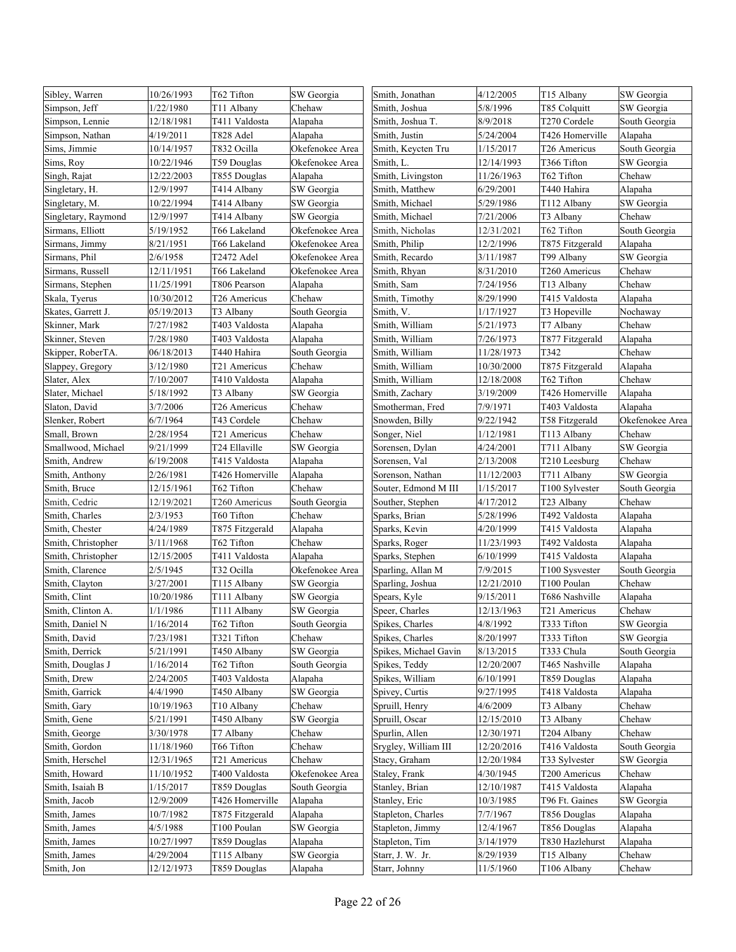| Sibley, Warren      | 10/26/1993 | T62 Tifton      | SW Georgia      | Smith, Jonathan       | 4/12/2005  | T15 Albany      | SW Georgia      |
|---------------------|------------|-----------------|-----------------|-----------------------|------------|-----------------|-----------------|
| Simpson, Jeff       | 1/22/1980  | T11 Albany      | Chehaw          | Smith, Joshua         | 5/8/1996   | T85 Colquitt    | SW Georgia      |
| Simpson, Lennie     | 12/18/1981 | T411 Valdosta   | Alapaha         | Smith, Joshua T.      | 8/9/2018   | T270 Cordele    | South Georgia   |
| Simpson, Nathan     | 4/19/2011  | T828 Adel       | Alapaha         | Smith, Justin         | 5/24/2004  | T426 Homerville | Alapaha         |
| Sims, Jimmie        | 10/14/1957 | T832 Ocilla     | Okefenokee Area | Smith, Keycten Tru    | 1/15/2017  | T26 Americus    | South Georgia   |
| Sims, Roy           | 10/22/1946 | T59 Douglas     | Okefenokee Area | Smith, L.             | 12/14/1993 | T366 Tifton     | SW Georgia      |
| Singh, Rajat        | 12/22/2003 | T855 Douglas    | Alapaha         | Smith, Livingston     | 11/26/1963 | T62 Tifton      | Chehaw          |
| Singletary, H.      | 12/9/1997  | T414 Albany     | SW Georgia      | Smith, Matthew        | 6/29/2001  | T440 Hahira     | Alapaha         |
| Singletary, M.      | 10/22/1994 | T414 Albany     | SW Georgia      | Smith, Michael        | 5/29/1986  | T112 Albany     | SW Georgia      |
| Singletary, Raymond | 12/9/1997  | T414 Albany     | SW Georgia      | Smith, Michael        | 7/21/2006  | T3 Albany       | Chehaw          |
| Sirmans, Elliott    | 5/19/1952  | T66 Lakeland    | Okefenokee Area | Smith, Nicholas       | 12/31/2021 | T62 Tifton      | South Georgia   |
| Sirmans, Jimmy      | 8/21/1951  | T66 Lakeland    | Okefenokee Area | Smith, Philip         | 12/2/1996  | T875 Fitzgerald | Alapaha         |
| Sirmans, Phil       | 2/6/1958   | T2472 Adel      | Okefenokee Area | Smith, Recardo        | 3/11/1987  | T99 Albany      | SW Georgia      |
| Sirmans, Russell    | 12/11/1951 | T66 Lakeland    | Okefenokee Area | Smith, Rhyan          | 8/31/2010  | T260 Americus   | Chehaw          |
| Sirmans, Stephen    | 11/25/1991 | T806 Pearson    | Alapaha         | Smith, Sam            | 7/24/1956  | T13 Albany      | Chehaw          |
| Skala, Tyerus       | 10/30/2012 | T26 Americus    | Chehaw          | Smith, Timothy        | 8/29/1990  | T415 Valdosta   | Alapaha         |
| Skates, Garrett J.  | 05/19/2013 | T3 Albany       | South Georgia   | Smith, V.             | 1/17/1927  | T3 Hopeville    | Nochaway        |
| Skinner, Mark       | 7/27/1982  | T403 Valdosta   | Alapaha         | Smith, William        | 5/21/1973  | T7 Albany       | Chehaw          |
| Skinner, Steven     | 7/28/1980  | T403 Valdosta   | Alapaha         | Smith, William        | 7/26/1973  | T877 Fitzgerald | Alapaha         |
| Skipper, RoberTA.   | 06/18/2013 | T440 Hahira     | South Georgia   | Smith, William        | 11/28/1973 | T342            | Chehaw          |
| Slappey, Gregory    | 3/12/1980  | T21 Americus    | Chehaw          | Smith, William        | 10/30/2000 | T875 Fitzgerald | Alapaha         |
| Slater, Alex        | 7/10/2007  | T410 Valdosta   | Alapaha         | Smith, William        | 12/18/2008 | T62 Tifton      | Chehaw          |
| Slater, Michael     | 5/18/1992  | T3 Albany       | SW Georgia      | Smith, Zachary        | 3/19/2009  | T426 Homerville | Alapaha         |
| Slaton, David       | 3/7/2006   | T26 Americus    | Chehaw          | Smotherman, Fred      | 7/9/1971   | T403 Valdosta   | Alapaha         |
| Slenker, Robert     | 6/7/1964   | T43 Cordele     | Chehaw          | Snowden, Billy        | 9/22/1942  | T58 Fitzgerald  | Okefenokee Area |
| Small, Brown        | 2/28/1954  | T21 Americus    | Chehaw          | Songer, Niel          | 1/12/1981  | T113 Albany     | Chehaw          |
| Smallwood, Michael  | 9/21/1999  | T24 Ellaville   | SW Georgia      | Sorensen, Dylan       | 4/24/2001  | T711 Albany     | SW Georgia      |
| Smith, Andrew       | 6/19/2008  | T415 Valdosta   | Alapaha         | Sorensen, Val         | 2/13/2008  | T210 Leesburg   | Chehaw          |
| Smith, Anthony      | 2/26/1981  | T426 Homerville | Alapaha         | Sorenson, Nathan      | 11/12/2003 | T711 Albany     | SW Georgia      |
| Smith, Bruce        | 12/15/1961 | T62 Tifton      | Chehaw          | Souter, Edmond M III  | 1/15/2017  | T100 Sylvester  | South Georgia   |
| Smith, Cedric       | 12/19/2021 | T260 Americus   | South Georgia   | Souther, Stephen      | 4/17/2012  | T23 Albany      | Chehaw          |
| Smith, Charles      | 2/3/1953   | T60 Tifton      | Chehaw          | Sparks, Brian         | 5/28/1996  | T492 Valdosta   | Alapaha         |
| Smith, Chester      | 4/24/1989  | T875 Fitzgerald | Alapaha         | Sparks, Kevin         | 4/20/1999  | T415 Valdosta   | Alapaha         |
| Smith, Christopher  | 3/11/1968  | T62 Tifton      | Chehaw          | Sparks, Roger         | 11/23/1993 | T492 Valdosta   | Alapaha         |
| Smith, Christopher  | 12/15/2005 | T411 Valdosta   | Alapaha         | Sparks, Stephen       | 6/10/1999  | T415 Valdosta   | Alapaha         |
| Smith, Clarence     | 2/5/1945   | T32 Ocilla      | Okefenokee Area | Sparling, Allan M     | 7/9/2015   | T100 Sysvester  | South Georgia   |
| Smith, Clayton      | 3/27/2001  | T115 Albany     | SW Georgia      | Sparling, Joshua      | 12/21/2010 | T100 Poulan     | Chehaw          |
| Smith, Clint        | 10/20/1986 | T111 Albany     | SW Georgia      | Spears, Kyle          | 9/15/2011  | T686 Nashville  | Alapaha         |
| Smith, Clinton A.   | 1/1/1986   | T111 Albany     | SW Georgia      | Speer, Charles        | 12/13/1963 | T21 Americus    | Chehaw          |
| Smith, Daniel N     | 1/16/2014  | T62 Tifton      | South Georgia   | Spikes, Charles       | 4/8/1992   | T333 Tifton     | SW Georgia      |
| Smith, David        | 7/23/1981  | T321 Tifton     | Chehaw          | Spikes, Charles       | 8/20/1997  | T333 Tifton     | SW Georgia      |
| Smith, Derrick      | 5/21/1991  | T450 Albany     | SW Georgia      | Spikes, Michael Gavin | 8/13/2015  | T333 Chula      | South Georgia   |
| Smith, Douglas J    | 1/16/2014  | T62 Tifton      | South Georgia   | Spikes, Teddy         | 12/20/2007 | T465 Nashville  | Alapaha         |
| Smith, Drew         | 2/24/2005  | T403 Valdosta   | Alapaha         | Spikes, William       | 6/10/1991  | T859 Douglas    | Alapaha         |
| Smith, Garrick      | 4/4/1990   | T450 Albany     | SW Georgia      | Spivey, Curtis        | 9/27/1995  | T418 Valdosta   | Alapaha         |
| Smith, Gary         | 10/19/1963 | T10 Albany      | Chehaw          | Spruill, Henry        | 4/6/2009   | T3 Albany       | Chehaw          |
| Smith, Gene         | 5/21/1991  | T450 Albany     | SW Georgia      | Spruill, Oscar        | 12/15/2010 | T3 Albany       | Chehaw          |
| Smith, George       | 3/30/1978  | T7 Albany       | Chehaw          | Spurlin, Allen        | 12/30/1971 | T204 Albany     | Chehaw          |
| Smith, Gordon       | 11/18/1960 | T66 Tifton      | Chehaw          | Srygley, William III  | 12/20/2016 | T416 Valdosta   | South Georgia   |
| Smith, Herschel     | 12/31/1965 | T21 Americus    | Chehaw          | Stacy, Graham         | 12/20/1984 | T33 Sylvester   | SW Georgia      |
| Smith, Howard       | 11/10/1952 | T400 Valdosta   | Okefenokee Area | Staley, Frank         | 4/30/1945  | T200 Americus   | Chehaw          |
| Smith, Isaiah B     | 1/15/2017  | T859 Douglas    | South Georgia   | Stanley, Brian        | 12/10/1987 | T415 Valdosta   | Alapaha         |
| Smith, Jacob        | 12/9/2009  | T426 Homerville | Alapaha         | Stanley, Eric         | 10/3/1985  | T96 Ft. Gaines  | SW Georgia      |
| Smith, James        | 10/7/1982  | T875 Fitzgerald | Alapaha         | Stapleton, Charles    | 7/7/1967   | T856 Douglas    | Alapaha         |
| Smith, James        | 4/5/1988   | T100 Poulan     | SW Georgia      | Stapleton, Jimmy      | 12/4/1967  | T856 Douglas    | Alapaha         |
| Smith, James        | 10/27/1997 | T859 Douglas    | Alapaha         | Stapleton, Tim        | 3/14/1979  | T830 Hazlehurst | Alapaha         |
| Smith, James        | 4/29/2004  | T115 Albany     | SW Georgia      | Starr, J. W. Jr.      | 8/29/1939  | T15 Albany      | Chehaw          |
| Smith, Jon          | 12/12/1973 | T859 Douglas    | Alapaha         | Starr, Johnny         | 11/5/1960  | T106 Albany     | Chehaw          |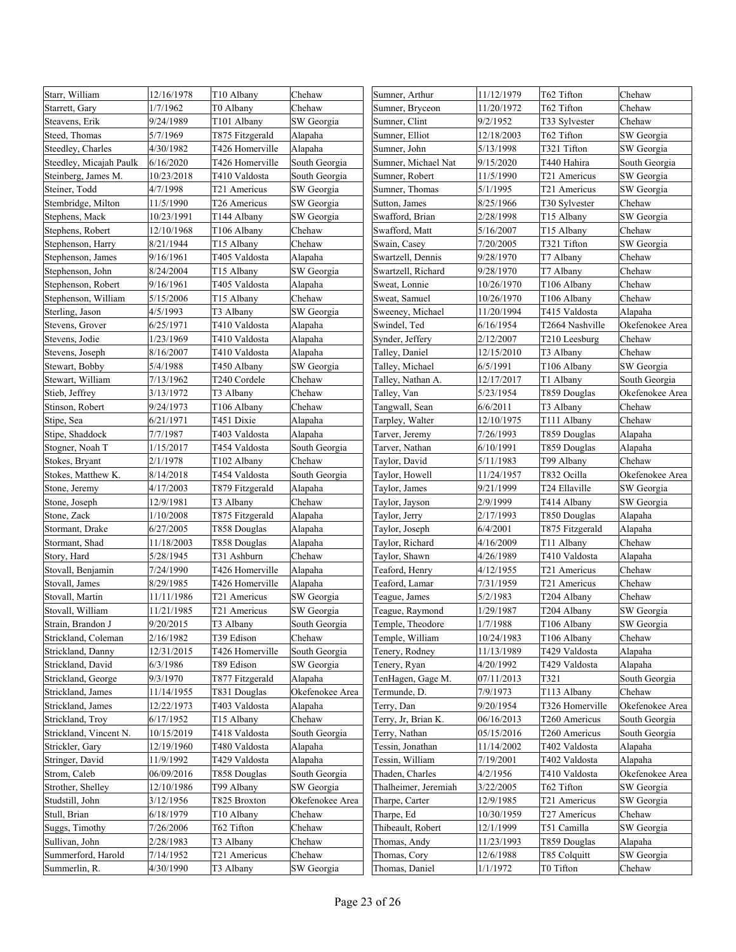| Starr, William          | 12/16/1978 | T10 Albany      | Chehaw          | Sumner, Arthur       | 11/12/1979 | T62 Tifton      | Chehaw          |
|-------------------------|------------|-----------------|-----------------|----------------------|------------|-----------------|-----------------|
| Starrett, Gary          | 1/7/1962   | T0 Albany       | Chehaw          | Sumner, Bryceon      | 11/20/1972 | T62 Tifton      | Chehaw          |
| Steavens, Erik          | 9/24/1989  | T101 Albany     | SW Georgia      | Sumner, Clint        | 9/2/1952   | T33 Sylvester   | Chehaw          |
| Steed, Thomas           | 5/7/1969   | T875 Fitzgerald | Alapaha         | Sumner, Elliot       | 12/18/2003 | T62 Tifton      | SW Georgia      |
| Steedley, Charles       | 4/30/1982  | T426 Homerville | Alapaha         | Sumner, John         | 5/13/1998  | T321 Tifton     | SW Georgia      |
| Steedley, Micajah Paulk | 6/16/2020  | T426 Homerville | South Georgia   | Sumner, Michael Nat  | 9/15/2020  | T440 Hahira     | South Georgia   |
| Steinberg, James M.     | 10/23/2018 | T410 Valdosta   | South Georgia   | Sumner, Robert       | 11/5/1990  | T21 Americus    | SW Georgia      |
| Steiner, Todd           | 4/7/1998   | T21 Americus    | SW Georgia      | Sumner, Thomas       | 5/1/1995   | T21 Americus    | SW Georgia      |
| Stembridge, Milton      | 11/5/1990  | T26 Americus    | SW Georgia      | Sutton, James        | 8/25/1966  | T30 Sylvester   | Chehaw          |
| Stephens, Mack          | 10/23/1991 | T144 Albany     | SW Georgia      | Swafford, Brian      | 2/28/1998  | T15 Albany      | SW Georgia      |
| Stephens, Robert        | 12/10/1968 | T106 Albany     | Chehaw          | Swafford, Matt       | 5/16/2007  | T15 Albany      | Chehaw          |
| Stephenson, Harry       | 8/21/1944  | T15 Albany      | Chehaw          | Swain, Casey         | 7/20/2005  | T321 Tifton     | SW Georgia      |
| Stephenson, James       | 9/16/1961  | T405 Valdosta   | Alapaha         | Swartzell, Dennis    | 9/28/1970  | T7 Albany       | Chehaw          |
| Stephenson, John        | 8/24/2004  | T15 Albany      | SW Georgia      | Swartzell, Richard   | 9/28/1970  | T7 Albany       | Chehaw          |
| Stephenson, Robert      | 9/16/1961  | T405 Valdosta   | Alapaha         | Sweat, Lonnie        | 10/26/1970 | T106 Albany     | Chehaw          |
| Stephenson, William     | 5/15/2006  | T15 Albany      | Chehaw          | Sweat, Samuel        | 10/26/1970 | T106 Albany     | Chehaw          |
| Sterling, Jason         | 4/5/1993   | T3 Albany       | SW Georgia      | Sweeney, Michael     | 11/20/1994 | T415 Valdosta   | Alapaha         |
| Stevens, Grover         | 6/25/1971  | T410 Valdosta   | Alapaha         | Swindel, Ted         | 6/16/1954  | T2664 Nashville | Okefenokee Area |
| Stevens, Jodie          | 1/23/1969  | T410 Valdosta   | Alapaha         | Synder, Jeffery      | 2/12/2007  | T210 Leesburg   | Chehaw          |
| Stevens, Joseph         | 8/16/2007  | T410 Valdosta   | Alapaha         | Talley, Daniel       | 12/15/2010 | T3 Albany       | Chehaw          |
| Stewart, Bobby          | 5/4/1988   | T450 Albany     | SW Georgia      | Talley, Michael      | 6/5/1991   | T106 Albany     | SW Georgia      |
| Stewart, William        | 7/13/1962  | T240 Cordele    | Chehaw          | Talley, Nathan A.    | 12/17/2017 | T1 Albany       | South Georgia   |
| Stieb, Jeffrey          | 3/13/1972  | T3 Albany       | Chehaw          | Talley, Van          | 5/23/1954  | T859 Douglas    | Okefenokee Area |
| Stinson, Robert         | 9/24/1973  | T106 Albany     | Chehaw          | Tangwall, Sean       | 6/6/2011   | T3 Albany       | Chehaw          |
| Stipe, Sea              | 6/21/1971  | T451 Dixie      | Alapaha         | Tarpley, Walter      | 12/10/1975 | T111 Albany     | Chehaw          |
| Stipe, Shaddock         | 7/7/1987   | T403 Valdosta   | Alapaha         | Tarver, Jeremy       | 7/26/1993  | T859 Douglas    | Alapaha         |
| Stogner, Noah T         | 1/15/2017  | T454 Valdosta   | South Georgia   | Tarver, Nathan       | 6/10/1991  | T859 Douglas    | Alapaha         |
| Stokes, Bryant          | 2/1/1978   | T102 Albany     | Chehaw          | Taylor, David        | 5/11/1983  | T99 Albany      | Chehaw          |
| Stokes, Matthew K.      | 8/14/2018  | T454 Valdosta   | South Georgia   | Taylor, Howell       | 11/24/1957 | T832 Ocilla     | Okefenokee Area |
| Stone, Jeremy           | 4/17/2003  | T879 Fitzgerald | Alapaha         | Taylor, James        | 9/21/1999  | T24 Ellaville   | SW Georgia      |
| Stone, Joseph           | 12/9/1981  | T3 Albany       | Chehaw          | Taylor, Jayson       | 2/9/1999   | T414 Albany     | SW Georgia      |
| Stone, Zack             | 1/10/2008  | T875 Fitzgerald | Alapaha         | Taylor, Jerry        | 2/17/1993  | T850 Douglas    | Alapaha         |
| Stormant, Drake         | 6/27/2005  | T858 Douglas    | Alapaha         | Taylor, Joseph       | 6/4/2001   | T875 Fitzgerald | Alapaha         |
| Stormant, Shad          | 11/18/2003 | T858 Douglas    | Alapaha         | Faylor, Richard      | 4/16/2009  | T11 Albany      | Chehaw          |
| Story, Hard             | 5/28/1945  | T31 Ashburn     | Chehaw          | Faylor, Shawn        | 4/26/1989  | T410 Valdosta   | Alapaha         |
| Stovall, Benjamin       | 7/24/1990  | T426 Homerville | Alapaha         | Feaford, Henry       | 4/12/1955  | T21 Americus    | Chehaw          |
| Stovall, James          | 8/29/1985  | T426 Homerville | Alapaha         | Teaford, Lamar       | 7/31/1959  | T21 Americus    | Chehaw          |
| Stovall, Martin         | 11/11/1986 | T21 Americus    | SW Georgia      | Teague, James        | 5/2/1983   | T204 Albany     | Chehaw          |
| Stovall, William        | 11/21/1985 | T21 Americus    | SW Georgia      | Teague, Raymond      | 1/29/1987  | T204 Albany     | SW Georgia      |
| Strain, Brandon J       | 9/20/2015  | T3 Albany       | South Georgia   | Temple, Theodore     | 1/7/1988   | T106 Albany     | SW Georgia      |
| Strickland, Coleman     | 2/16/1982  | T39 Edison      | Chehaw          | Temple, William      | 10/24/1983 | T106 Albany     | Chehaw          |
| Strickland, Danny       | 12/31/2015 | T426 Homerville | South Georgia   | Tenery, Rodney       | 11/13/1989 | T429 Valdosta   | Alapaha         |
| Strickland, David       | 6/3/1986   | T89 Edison      | SW Georgia      | Fenery, Ryan         | 4/20/1992  | T429 Valdosta   | Alapaha         |
| Strickland, George      | 9/3/1970   | T877 Fitzgerald | Alapaha         | TenHagen, Gage M.    | 07/11/2013 | T321            | South Georgia   |
| Strickland, James       | 11/14/1955 | T831 Douglas    | Okefenokee Area | Fermunde, D.         | 7/9/1973   | T113 Albany     | Chehaw          |
| Strickland, James       | 12/22/1973 | T403 Valdosta   | Alapaha         | Terry, Dan           | 9/20/1954  | T326 Homerville | Okefenokee Area |
| Strickland, Troy        | 6/17/1952  | T15 Albany      | Chehaw          | Ferry, Jr, Brian K.  | 06/16/2013 | T260 Americus   | South Georgia   |
| Strickland, Vincent N.  | 10/15/2019 | T418 Valdosta   | South Georgia   | Terry, Nathan        | 05/15/2016 | T260 Americus   | South Georgia   |
| Strickler, Gary         | 12/19/1960 | T480 Valdosta   | Alapaha         | Fessin, Jonathan     | 11/14/2002 | T402 Valdosta   | Alapaha         |
| Stringer, David         | 11/9/1992  | T429 Valdosta   | Alapaha         | Tessin, William      | 7/19/2001  | T402 Valdosta   | Alapaha         |
| Strom, Caleb            | 06/09/2016 | T858 Douglas    | South Georgia   | Thaden, Charles      | 4/2/1956   | T410 Valdosta   | Okefenokee Area |
| Strother, Shelley       | 12/10/1986 | T99 Albany      | SW Georgia      | Thalheimer, Jeremiah | 3/22/2005  | T62 Tifton      | SW Georgia      |
| Studstill, John         | 3/12/1956  | T825 Broxton    | Okefenokee Area | Tharpe, Carter       | 12/9/1985  | T21 Americus    | SW Georgia      |
| Stull, Brian            | 6/18/1979  | T10 Albany      | Chehaw          | Tharpe, Ed           | 10/30/1959 | T27 Americus    | Chehaw          |
| Suggs, Timothy          | 7/26/2006  | T62 Tifton      | Chehaw          | Thibeault, Robert    | 12/1/1999  | T51 Camilla     | SW Georgia      |
| Sullivan, John          | 2/28/1983  | T3 Albany       | Chehaw          | Thomas, Andy         | 11/23/1993 | T859 Douglas    | Alapaha         |
| Summerford, Harold      | 7/14/1952  | T21 Americus    | Chehaw          | Thomas, Cory         | 12/6/1988  | T85 Colquitt    | SW Georgia      |
| Summerlin, R.           | 4/30/1990  | T3 Albany       | SW Georgia      | Thomas, Daniel       | 1/1/1972   | T0 Tifton       | Chehaw          |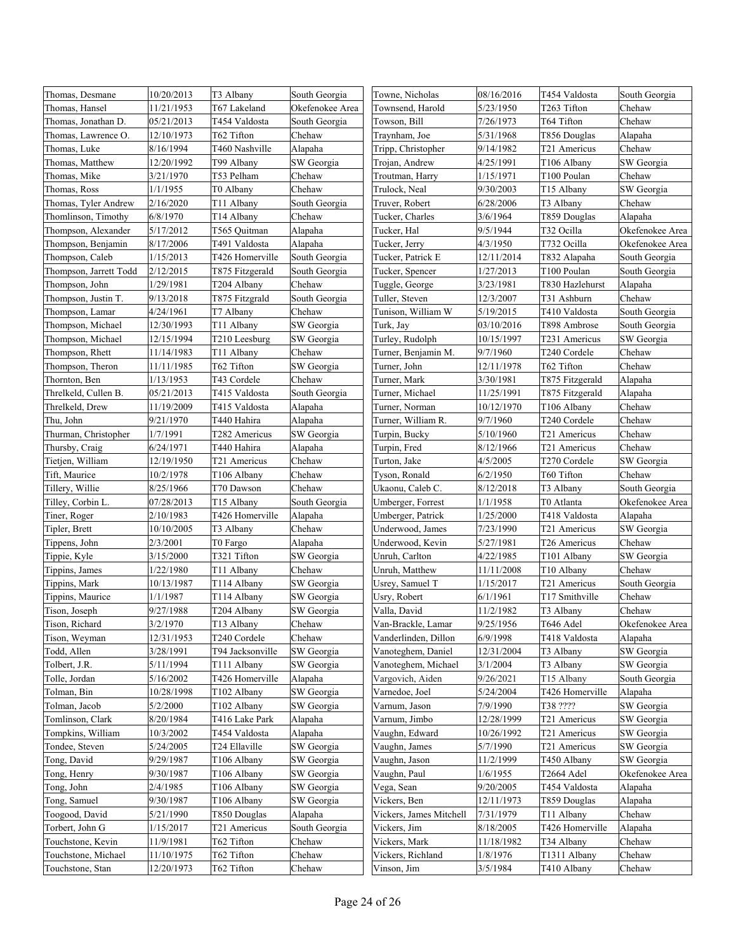| Thomas, Desmane        | 10/20/2013 | T3 Albany        | South Georgia   | Towne, Nicholas         | 08/16/2016 | T454 Valdosta   | South Georgia   |
|------------------------|------------|------------------|-----------------|-------------------------|------------|-----------------|-----------------|
| Thomas, Hansel         | 11/21/1953 | T67 Lakeland     | Okefenokee Area | Townsend, Harold        | 5/23/1950  | T263 Tifton     | Chehaw          |
| Thomas, Jonathan D.    | 05/21/2013 | T454 Valdosta    | South Georgia   | Towson, Bill            | 7/26/1973  | T64 Tifton      | Chehaw          |
| Thomas, Lawrence O.    | 12/10/1973 | T62 Tifton       | Chehaw          | Traynham, Joe           | 5/31/1968  | T856 Douglas    | Alapaha         |
| Thomas, Luke           | 8/16/1994  | T460 Nashville   | Alapaha         | Tripp, Christopher      | 9/14/1982  | T21 Americus    | Chehaw          |
| Thomas, Matthew        | 12/20/1992 | T99 Albany       | SW Georgia      | Trojan, Andrew          | 4/25/1991  | T106 Albany     | SW Georgia      |
| Thomas, Mike           | 3/21/1970  | T53 Pelham       | Chehaw          | Troutman, Harry         | 1/15/1971  | T100 Poulan     | Chehaw          |
| Thomas, Ross           | 1/1/1955   | T0 Albany        | Chehaw          | Trulock, Neal           | 9/30/2003  | T15 Albany      | SW Georgia      |
| Thomas, Tyler Andrew   | 2/16/2020  | T11 Albany       | South Georgia   | Truver, Robert          | 6/28/2006  | T3 Albany       | Chehaw          |
| Thomlinson, Timothy    | 6/8/1970   | T14 Albany       | Chehaw          | Tucker, Charles         | 3/6/1964   | T859 Douglas    | Alapaha         |
| Thompson, Alexander    | 5/17/2012  | T565 Ouitman     | Alapaha         | Tucker, Hal             | 9/5/1944   | T32 Ocilla      | Okefenokee Area |
| Thompson, Benjamin     | 8/17/2006  | T491 Valdosta    | Alapaha         | Tucker, Jerry           | 4/3/1950   | T732 Ocilla     | Okefenokee Area |
| Thompson, Caleb        | 1/15/2013  | T426 Homerville  | South Georgia   | Tucker, Patrick E       | 12/11/2014 | T832 Alapaha    | South Georgia   |
| Thompson, Jarrett Todd | 2/12/2015  | T875 Fitzgerald  | South Georgia   | Tucker, Spencer         | 1/27/2013  | T100 Poulan     | South Georgia   |
| Thompson, John         | 1/29/1981  | T204 Albany      | Chehaw          | Tuggle, George          | 3/23/1981  | T830 Hazlehurst | Alapaha         |
| Thompson, Justin T.    | 9/13/2018  | T875 Fitzgrald   | South Georgia   | Tuller, Steven          | 12/3/2007  | T31 Ashburn     | Chehaw          |
| Thompson, Lamar        | 4/24/1961  | T7 Albany        | Chehaw          | Tunison, William W      | 5/19/2015  | T410 Valdosta   | South Georgia   |
| Thompson, Michael      | 12/30/1993 | T11 Albany       | SW Georgia      | Turk, Jay               | 03/10/2016 | T898 Ambrose    | South Georgia   |
| Thompson, Michael      | 12/15/1994 | T210 Leesburg    | SW Georgia      | Turley, Rudolph         | 10/15/1997 | T231 Americus   | SW Georgia      |
| Thompson, Rhett        | 11/14/1983 | T11 Albany       | Chehaw          | Turner, Benjamin M.     | 9/7/1960   | T240 Cordele    | Chehaw          |
| Thompson, Theron       | 11/11/1985 | T62 Tifton       | SW Georgia      | Turner, John            | 12/11/1978 | T62 Tifton      | Chehaw          |
| Thornton, Ben          | 1/13/1953  | T43 Cordele      | Chehaw          | Turner, Mark            | 3/30/1981  | T875 Fitzgerald | Alapaha         |
| Threlkeld, Cullen B.   | 05/21/2013 | T415 Valdosta    | South Georgia   | Turner, Michael         | 11/25/1991 | T875 Fitzgerald | Alapaha         |
| Threlkeld, Drew        | 11/19/2009 | T415 Valdosta    | Alapaha         | Furner, Norman          | 10/12/1970 | T106 Albany     | Chehaw          |
| Thu, John              | 9/21/1970  | T440 Hahira      | Alapaha         | Turner, William R.      | 9/7/1960   | T240 Cordele    | Chehaw          |
| Thurman, Christopher   | 1/7/1991   | T282 Americus    | SW Georgia      | Turpin, Bucky           | 5/10/1960  | T21 Americus    | Chehaw          |
| Thursby, Craig         | 6/24/1971  | T440 Hahira      | Alapaha         | Turpin, Fred            | 8/12/1966  | T21 Americus    | Chehaw          |
| Tietjen, William       | 12/19/1950 | T21 Americus     | Chehaw          | Furton, Jake            | 4/5/2005   | T270 Cordele    | SW Georgia      |
| Tift, Maurice          | 10/2/1978  | T106 Albany      | Chehaw          | Tyson, Ronald           | 6/2/1950   | T60 Tifton      | Chehaw          |
| Tillery, Willie        | 8/25/1966  | T70 Dawson       | Chehaw          | Ukaonu, Caleb C.        | 8/12/2018  | T3 Albany       | South Georgia   |
| Tilley, Corbin L.      | 07/28/2013 | T15 Albany       | South Georgia   | Umberger, Forrest       | 1/1/1958   | T0 Atlanta      | Okefenokee Area |
| Tiner, Roger           | 2/10/1983  | T426 Homerville  | Alapaha         | Umberger, Patrick       | 1/25/2000  | T418 Valdosta   | Alapaha         |
| Tipler, Brett          | 10/10/2005 | T3 Albany        | Chehaw          | Underwood, James        | 7/23/1990  | T21 Americus    | SW Georgia      |
| Tippens, John          | 2/3/2001   | T0 Fargo         | Alapaha         | Underwood, Kevin        | 5/27/1981  | T26 Americus    | Chehaw          |
| Tippie, Kyle           | 3/15/2000  | T321 Tifton      | SW Georgia      | Unruh, Carlton          | 4/22/1985  | T101 Albany     | SW Georgia      |
| Tippins, James         | 1/22/1980  | T11 Albany       | Chehaw          | Unruh, Matthew          | 11/11/2008 | T10 Albany      | Chehaw          |
| Tippins, Mark          | 10/13/1987 | T114 Albany      | SW Georgia      | Usrey, Samuel T         | 1/15/2017  | T21 Americus    | South Georgia   |
| Tippins, Maurice       | 1/1/1987   | T114 Albany      | SW Georgia      | Usry, Robert            | 6/1/1961   | T17 Smithville  | Chehaw          |
| Tison, Joseph          | 9/27/1988  | T204 Albany      | SW Georgia      | Valla, David            | 11/2/1982  | T3 Albany       | Chehaw          |
| Tison, Richard         | 3/2/1970   | T13 Albany       | Chehaw          | Van-Brackle, Lamar      | 9/25/1956  | T646 Adel       | Okefenokee Area |
| Tison, Weyman          | 12/31/1953 | T240 Cordele     | Chehaw          | Vanderlinden, Dillon    | 6/9/1998   | T418 Valdosta   | Alapaha         |
| Todd, Allen            | 3/28/1991  | T94 Jacksonville | SW Georgia      | Vanoteghem, Daniel      | 12/31/2004 | T3 Albany       | SW Georgia      |
| Tolbert, J.R.          | 5/11/1994  | T111 Albany      | SW Georgia      | Vanoteghem, Michael     | 3/1/2004   | T3 Albany       | SW Georgia      |
| Tolle, Jordan          | 5/16/2002  | T426 Homerville  | Alapaha         | Vargovich, Aiden        | 9/26/2021  | T15 Albany      | South Georgia   |
| Tolman, Bin            | 10/28/1998 | T102 Albany      | SW Georgia      | Varnedoe, Joel          | 5/24/2004  | T426 Homerville | Alapaha         |
| Tolman, Jacob          | 5/2/2000   | T102 Albany      | SW Georgia      | Varnum, Jason           | 7/9/1990   | T38 ????        | SW Georgia      |
| Tomlinson, Clark       | 8/20/1984  | T416 Lake Park   | Alapaha         | Varnum, Jimbo           | 12/28/1999 | T21 Americus    | SW Georgia      |
| Tompkins, William      | 10/3/2002  | T454 Valdosta    | Alapaha         | Vaughn, Edward          | 10/26/1992 | T21 Americus    | SW Georgia      |
| Tondee, Steven         | 5/24/2005  | T24 Ellaville    | SW Georgia      | Vaughn, James           | 5/7/1990   | T21 Americus    | SW Georgia      |
| Tong, David            | 9/29/1987  | T106 Albany      | SW Georgia      | Vaughn, Jason           | 11/2/1999  | T450 Albany     | SW Georgia      |
| Tong, Henry            | 9/30/1987  | T106 Albany      | SW Georgia      | Vaughn, Paul            | 1/6/1955   | T2664 Adel      | Okefenokee Area |
| Tong, John             | 2/4/1985   | T106 Albany      | SW Georgia      | Vega, Sean              | 9/20/2005  | T454 Valdosta   | Alapaha         |
| Tong, Samuel           | 9/30/1987  | T106 Albany      | SW Georgia      | Vickers, Ben            | 12/11/1973 | T859 Douglas    | Alapaha         |
| Toogood, David         | 5/21/1990  | T850 Douglas     | Alapaha         | Vickers, James Mitchell | 7/31/1979  | T11 Albany      | Chehaw          |
| Torbert, John G        | 1/15/2017  | T21 Americus     | South Georgia   | Vickers, Jim            | 8/18/2005  | T426 Homerville | Alapaha         |
| Touchstone, Kevin      | 11/9/1981  | T62 Tifton       | Chehaw          | Vickers, Mark           | 11/18/1982 | T34 Albany      | Chehaw          |
| Touchstone, Michael    | 11/10/1975 | T62 Tifton       | Chehaw          | Vickers, Richland       | 1/8/1976   | T1311 Albany    | Chehaw          |
| Touchstone, Stan       | 12/20/1973 | T62 Tifton       | Chehaw          | Vinson, Jim             | 3/5/1984   | T410 Albany     | Chehaw          |
|                        |            |                  |                 |                         |            |                 |                 |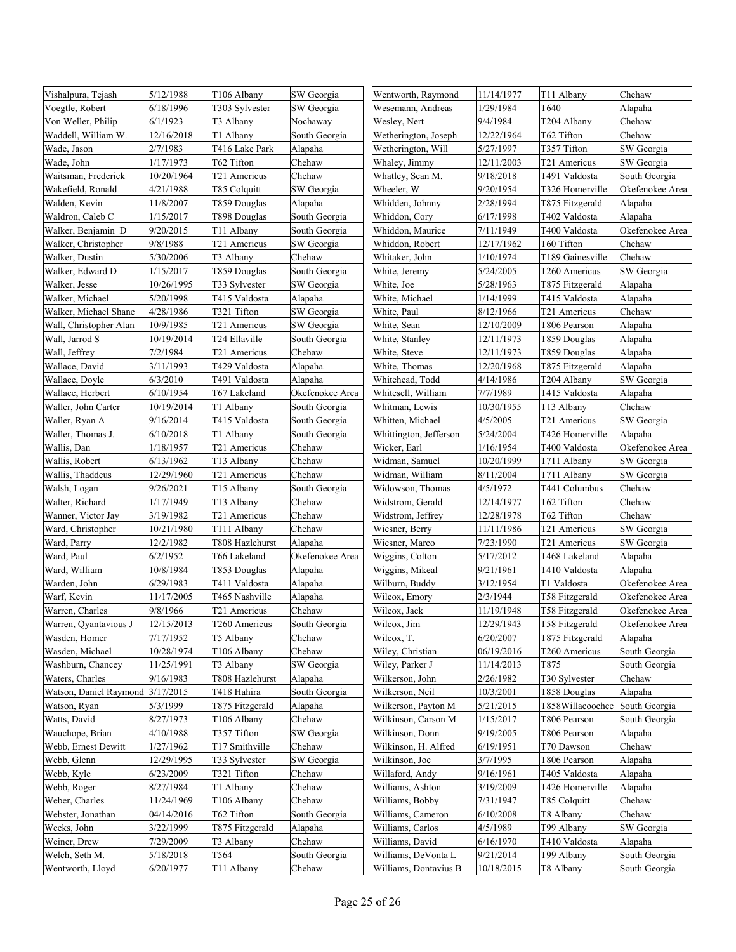| Vishalpura, Tejash     | 5/12/1988  | T106 Albany     | SW Georgia      | Wentworth, Raymond     | 11/14/1977 | T11 Albany       | Chehaw          |
|------------------------|------------|-----------------|-----------------|------------------------|------------|------------------|-----------------|
| Voegtle, Robert        | 6/18/1996  | T303 Sylvester  | SW Georgia      | Wesemann, Andreas      | 1/29/1984  | T640             | Alapaha         |
| Von Weller, Philip     | 6/1/1923   | T3 Albany       | Nochaway        | Wesley, Nert           | 9/4/1984   | T204 Albany      | Chehaw          |
| Waddell, William W.    | 12/16/2018 | T1 Albany       | South Georgia   | Wetherington, Joseph   | 12/22/1964 | T62 Tifton       | Chehaw          |
| Wade, Jason            | 2/7/1983   | T416 Lake Park  | Alapaha         | Wetherington, Will     | 5/27/1997  | T357 Tifton      | SW Georgia      |
| Wade, John             | 1/17/1973  | T62 Tifton      | Chehaw          | Whaley, Jimmy          | 12/11/2003 | T21 Americus     | SW Georgia      |
| Waitsman, Frederick    | 10/20/1964 | T21 Americus    | Chehaw          | Whatley, Sean M.       | 9/18/2018  | T491 Valdosta    | South Georgia   |
| Wakefield, Ronald      | 4/21/1988  | T85 Colquitt    | SW Georgia      | Wheeler, W             | 9/20/1954  | T326 Homerville  | Okefenokee Area |
| Walden, Kevin          | 11/8/2007  | T859 Douglas    | Alapaha         | Whidden, Johnny        | 2/28/1994  | T875 Fitzgerald  | Alapaha         |
| Waldron, Caleb C       | 1/15/2017  | T898 Douglas    | South Georgia   | Whiddon, Cory          | 6/17/1998  | T402 Valdosta    | Alapaha         |
| Walker, Benjamin D     | 9/20/2015  | T11 Albany      | South Georgia   | Whiddon, Maurice       | 7/11/1949  | T400 Valdosta    | Okefenokee Area |
| Walker, Christopher    | 9/8/1988   | T21 Americus    | SW Georgia      | Whiddon, Robert        | 12/17/1962 | T60 Tifton       | Chehaw          |
| Walker, Dustin         | 5/30/2006  | T3 Albany       | Chehaw          | Whitaker, John         | 1/10/1974  | T189 Gainesville | Chehaw          |
| Walker, Edward D       | 1/15/2017  | T859 Douglas    | South Georgia   | White, Jeremy          | 5/24/2005  | T260 Americus    | SW Georgia      |
| Walker, Jesse          | 10/26/1995 | T33 Sylvester   | SW Georgia      | White, Joe             | 5/28/1963  | T875 Fitzgerald  | Alapaha         |
| Walker, Michael        | 5/20/1998  | T415 Valdosta   | Alapaha         | White, Michael         | 1/14/1999  | T415 Valdosta    | Alapaha         |
| Walker, Michael Shane  | 4/28/1986  | T321 Tifton     | SW Georgia      | White, Paul            | 8/12/1966  | T21 Americus     | Chehaw          |
| Wall, Christopher Alan | 10/9/1985  | T21 Americus    | SW Georgia      | White, Sean            | 12/10/2009 | T806 Pearson     | Alapaha         |
| Wall, Jarrod S         | 10/19/2014 | T24 Ellaville   | South Georgia   | White, Stanley         | 12/11/1973 | T859 Douglas     | Alapaha         |
| Wall, Jeffrey          | 7/2/1984   | T21 Americus    | Chehaw          | White, Steve           | 12/11/1973 | T859 Douglas     | Alapaha         |
| Wallace, David         | 3/11/1993  | T429 Valdosta   | Alapaha         | White, Thomas          | 12/20/1968 | T875 Fitzgerald  | Alapaha         |
| Wallace, Doyle         | 6/3/2010   | T491 Valdosta   | Alapaha         | Whitehead, Todd        | 4/14/1986  | T204 Albany      | SW Georgia      |
| Wallace, Herbert       | 6/10/1954  | T67 Lakeland    | Okefenokee Area | Whitesell, William     | 7/7/1989   | T415 Valdosta    | Alapaha         |
| Waller, John Carter    | 10/19/2014 | T1 Albany       | South Georgia   | Whitman, Lewis         | 10/30/1955 | T13 Albany       | Chehaw          |
| Waller, Ryan A         | 9/16/2014  | T415 Valdosta   | South Georgia   | Whitten, Michael       | 4/5/2005   | T21 Americus     | SW Georgia      |
| Waller, Thomas J.      | 6/10/2018  | T1 Albany       | South Georgia   | Whittington, Jefferson | 5/24/2004  | T426 Homerville  | Alapaha         |
| Wallis, Dan            | 1/18/1957  | T21 Americus    | Chehaw          | Wicker, Earl           | 1/16/1954  | T400 Valdosta    | Okefenokee Area |
| Wallis, Robert         | 6/13/1962  | T13 Albany      | Chehaw          | Widman, Samuel         | 10/20/1999 | T711 Albany      | SW Georgia      |
| Wallis, Thaddeus       | 12/29/1960 | T21 Americus    | Chehaw          | Widman, William        | 8/11/2004  | T711 Albany      | SW Georgia      |
| Walsh, Logan           | 9/26/2021  | T15 Albany      | South Georgia   | Widowson, Thomas       | 4/5/1972   | T441 Columbus    | Chehaw          |
| Walter, Richard        | 1/17/1949  | T13 Albany      | Chehaw          | Widstrom, Gerald       | 12/14/1977 | T62 Tifton       | Chehaw          |
| Wanner, Victor Jay     | 3/19/1982  | T21 Americus    | Chehaw          | Widstrom, Jeffrey      | 12/28/1978 | T62 Tifton       | Chehaw          |
| Ward, Christopher      | 10/21/1980 | T111 Albany     | Chehaw          | Wiesner, Berry         | 11/11/1986 | T21 Americus     | SW Georgia      |
| Ward, Parry            | 12/2/1982  | T808 Hazlehurst | Alapaha         | Wiesner, Marco         | 7/23/1990  | T21 Americus     | SW Georgia      |
| Ward, Paul             | 6/2/1952   | T66 Lakeland    | Okefenokee Area | Wiggins, Colton        | 5/17/2012  | T468 Lakeland    | Alapaha         |
| Ward, William          | 10/8/1984  | T853 Douglas    | Alapaha         | Wiggins, Mikeal        | 9/21/1961  | T410 Valdosta    | Alapaha         |
| Warden, John           | 6/29/1983  | T411 Valdosta   | Alapaha         | Wilburn, Buddy         | 3/12/1954  | T1 Valdosta      | Okefenokee Area |
| Warf, Kevin            | 11/17/2005 | T465 Nashville  | Alapaha         | Wilcox, Emory          | 2/3/1944   | T58 Fitzgerald   | Okefenokee Area |
| Warren, Charles        | 9/8/1966   | T21 Americus    | Chehaw          | Wilcox, Jack           | 11/19/1948 | T58 Fitzgerald   | Okefenokee Area |
| Warren, Qyantavious J  | 12/15/2013 | T260 Americus   | South Georgia   | Wilcox, Jim            | 12/29/1943 | T58 Fitzgerald   | Okefenokee Area |
| Wasden, Homer          | 7/17/1952  | T5 Albany       | Chehaw          | Wilcox, T.             | 6/20/2007  | T875 Fitzgerald  | Alapaha         |
| Wasden, Michael        | 10/28/1974 | T106 Albany     | Chehaw          | Wiley, Christian       | 06/19/2016 | T260 Americus    | South Georgia   |
| Washburn, Chancey      | 11/25/1991 | T3 Albany       | SW Georgia      | Wiley, Parker J        | 11/14/2013 | T875             | South Georgia   |
| Waters, Charles        | 9/16/1983  | T808 Hazlehurst | Alapaha         | Wilkerson, John        | 2/26/1982  | T30 Sylvester    | Chehaw          |
| Watson, Daniel Raymond | 3/17/2015  | T418 Hahira     | South Georgia   | Wilkerson, Neil        | 10/3/2001  | T858 Douglas     | Alapaha         |
| Watson, Ryan           | 5/3/1999   | T875 Fitzgerald | Alapaha         | Wilkerson, Payton M    | 5/21/2015  | T858Willacoochee | South Georgia   |
| Watts, David           | 8/27/1973  | T106 Albany     | Chehaw          | Wilkinson, Carson M    | 1/15/2017  | T806 Pearson     | South Georgia   |
| Wauchope, Brian        | 4/10/1988  | T357 Tifton     | SW Georgia      | Wilkinson, Donn        | 9/19/2005  | T806 Pearson     | Alapaha         |
| Webb, Ernest Dewitt    | 1/27/1962  | T17 Smithville  | Chehaw          | Wilkinson, H. Alfred   | 6/19/1951  | T70 Dawson       | Chehaw          |
| Webb, Glenn            | 12/29/1995 | T33 Sylvester   | SW Georgia      | Wilkinson, Joe         | 3/7/1995   | T806 Pearson     | Alapaha         |
| Webb, Kyle             | 6/23/2009  | T321 Tifton     | Chehaw          | Willaford, Andy        | 9/16/1961  | T405 Valdosta    | Alapaha         |
| Webb, Roger            | 8/27/1984  | T1 Albany       | Chehaw          | Williams, Ashton       | 3/19/2009  | T426 Homerville  | Alapaha         |
| Weber, Charles         | 11/24/1969 | T106 Albany     | Chehaw          | Williams, Bobby        | 7/31/1947  | T85 Colquitt     | Chehaw          |
| Webster, Jonathan      | 04/14/2016 | T62 Tifton      | South Georgia   | Williams, Cameron      | 6/10/2008  | T8 Albany        | Chehaw          |
| Weeks, John            | 3/22/1999  | T875 Fitzgerald | Alapaha         | Williams, Carlos       | 4/5/1989   | T99 Albany       | SW Georgia      |
| Weiner, Drew           | 7/29/2009  | T3 Albany       | Chehaw          | Williams, David        | 6/16/1970  | T410 Valdosta    | Alapaha         |
| Welch, Seth M.         | 5/18/2018  | T564            | South Georgia   | Williams, DeVonta L    | 9/21/2014  | T99 Albany       | South Georgia   |
| Wentworth, Lloyd       | 6/20/1977  | T11 Albany      | Chehaw          | Williams, Dontavius B  | 10/18/2015 | T8 Albany        | South Georgia   |